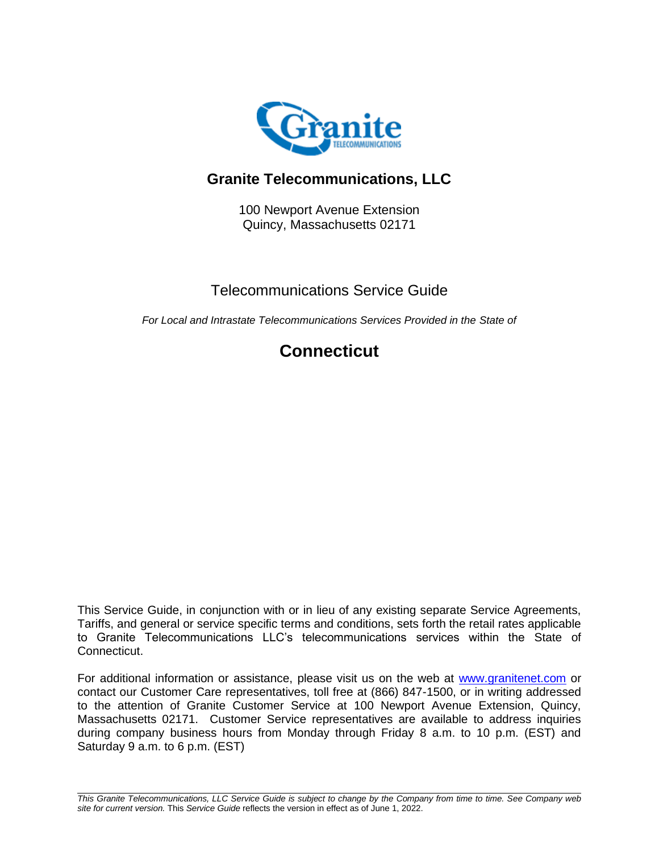

# **Granite Telecommunications, LLC**

100 Newport Avenue Extension Quincy, Massachusetts 02171

# Telecommunications Service Guide

*For Local and Intrastate Telecommunications Services Provided in the State of*

# **Connecticut**

This Service Guide, in conjunction with or in lieu of any existing separate Service Agreements, Tariffs, and general or service specific terms and conditions, sets forth the retail rates applicable to Granite Telecommunications LLC's telecommunications services within the State of Connecticut.

For additional information or assistance, please visit us on the web at [www.granitenet.com](http://www.granitenet.com/) or contact our Customer Care representatives, toll free at (866) 847-1500, or in writing addressed to the attention of Granite Customer Service at 100 Newport Avenue Extension, Quincy, Massachusetts 02171. Customer Service representatives are available to address inquiries during company business hours from Monday through Friday 8 a.m. to 10 p.m. (EST) and Saturday 9 a.m. to 6 p.m. (EST)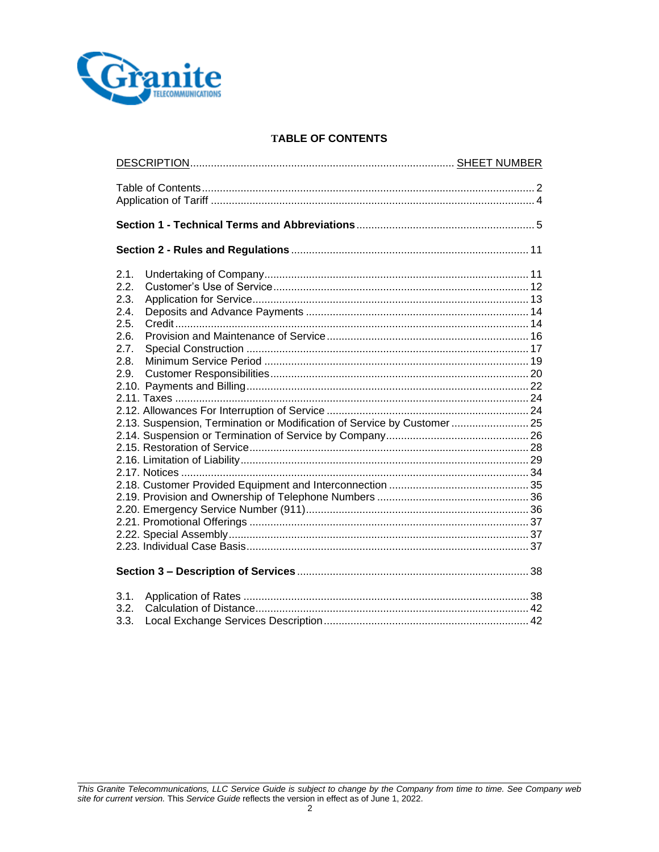

## **TABLE OF CONTENTS**

| 2.1.<br>2.2.<br>2.3.<br>2.4.<br>2.5.<br>2.6.<br>2.7.<br>2.8.<br>2.9.<br>2.13. Suspension, Termination or Modification of Service by Customer 25 |  |  |  |
|-------------------------------------------------------------------------------------------------------------------------------------------------|--|--|--|
|                                                                                                                                                 |  |  |  |
| 3.1.<br>3.2.<br>3.3.                                                                                                                            |  |  |  |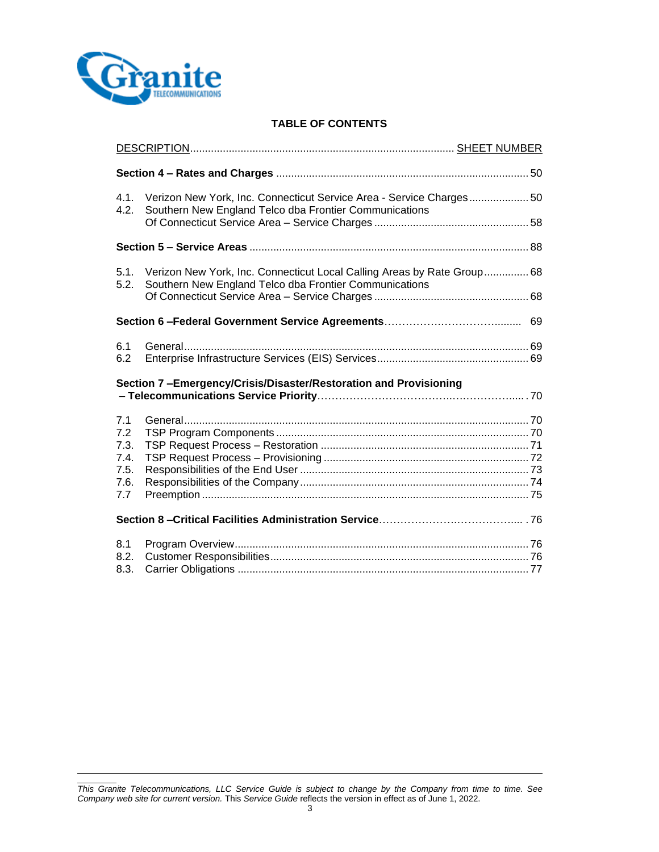

## **TABLE OF CONTENTS**

| 4.1.<br>4.2.                                                     | Verizon New York, Inc. Connecticut Service Area - Service Charges 50<br>Southern New England Telco dba Frontier Communications    |  |
|------------------------------------------------------------------|-----------------------------------------------------------------------------------------------------------------------------------|--|
|                                                                  |                                                                                                                                   |  |
|                                                                  |                                                                                                                                   |  |
| 5.1.<br>5.2.                                                     | Verizon New York, Inc. Connecticut Local Calling Areas by Rate Group 68<br>Southern New England Telco dba Frontier Communications |  |
|                                                                  |                                                                                                                                   |  |
|                                                                  |                                                                                                                                   |  |
| 6.1<br>6.2                                                       |                                                                                                                                   |  |
| Section 7-Emergency/Crisis/Disaster/Restoration and Provisioning |                                                                                                                                   |  |
| 7.1                                                              |                                                                                                                                   |  |
| 7.2                                                              |                                                                                                                                   |  |
| 7.3.<br>7.4.                                                     |                                                                                                                                   |  |
| 7.5.                                                             |                                                                                                                                   |  |
| 7.6.                                                             |                                                                                                                                   |  |
| 7.7                                                              |                                                                                                                                   |  |
|                                                                  |                                                                                                                                   |  |
| 8.1<br>8.2.<br>8.3.                                              |                                                                                                                                   |  |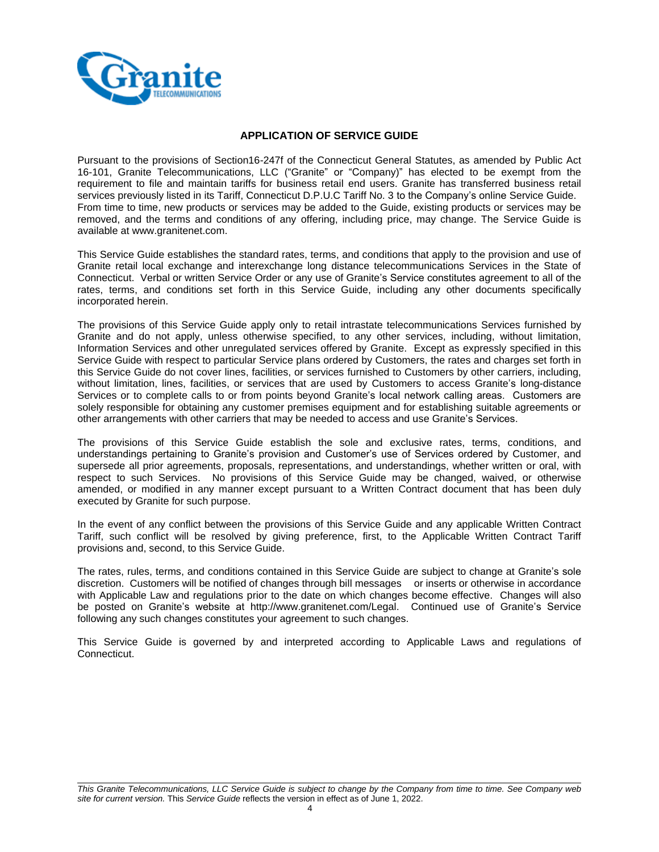

## **APPLICATION OF SERVICE GUIDE**

Pursuant to the provisions of Section16-247f of the Connecticut General Statutes, as amended by Public Act 16-101, Granite Telecommunications, LLC ("Granite" or "Company)" has elected to be exempt from the requirement to file and maintain tariffs for business retail end users. Granite has transferred business retail services previously listed in its Tariff, Connecticut D.P.U.C Tariff No. 3 to the Company's online Service Guide. From time to time, new products or services may be added to the Guide, existing products or services may be removed, and the terms and conditions of any offering, including price, may change. The Service Guide is available at www.granitenet.com.

This Service Guide establishes the standard rates, terms, and conditions that apply to the provision and use of Granite retail local exchange and interexchange long distance telecommunications Services in the State of Connecticut. Verbal or written Service Order or any use of Granite's Service constitutes agreement to all of the rates, terms, and conditions set forth in this Service Guide, including any other documents specifically incorporated herein.

The provisions of this Service Guide apply only to retail intrastate telecommunications Services furnished by Granite and do not apply, unless otherwise specified, to any other services, including, without limitation, Information Services and other unregulated services offered by Granite. Except as expressly specified in this Service Guide with respect to particular Service plans ordered by Customers, the rates and charges set forth in this Service Guide do not cover lines, facilities, or services furnished to Customers by other carriers, including, without limitation, lines, facilities, or services that are used by Customers to access Granite's long-distance Services or to complete calls to or from points beyond Granite's local network calling areas. Customers are solely responsible for obtaining any customer premises equipment and for establishing suitable agreements or other arrangements with other carriers that may be needed to access and use Granite's Services.

The provisions of this Service Guide establish the sole and exclusive rates, terms, conditions, and understandings pertaining to Granite's provision and Customer's use of Services ordered by Customer, and supersede all prior agreements, proposals, representations, and understandings, whether written or oral, with respect to such Services. No provisions of this Service Guide may be changed, waived, or otherwise amended, or modified in any manner except pursuant to a Written Contract document that has been duly executed by Granite for such purpose.

In the event of any conflict between the provisions of this Service Guide and any applicable Written Contract Tariff, such conflict will be resolved by giving preference, first, to the Applicable Written Contract Tariff provisions and, second, to this Service Guide.

The rates, rules, terms, and conditions contained in this Service Guide are subject to change at Granite's sole discretion. Customers will be notified of changes through bill messages or inserts or otherwise in accordance with Applicable Law and regulations prior to the date on which changes become effective. Changes will also be posted on Granite's website at http://www.granitenet.com/Legal. Continued use of Granite's Service following any such changes constitutes your agreement to such changes.

This Service Guide is governed by and interpreted according to Applicable Laws and regulations of Connecticut.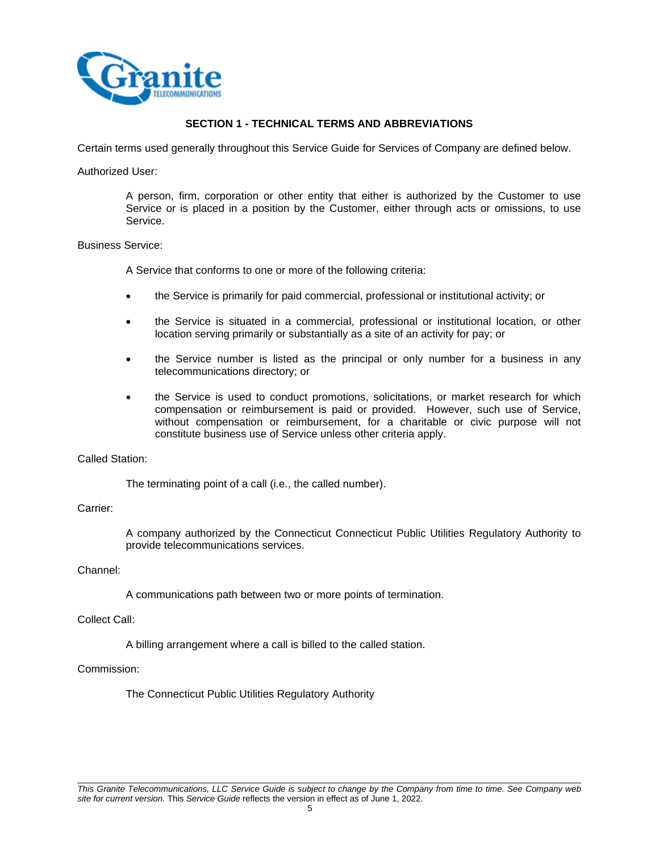

## **SECTION 1 - TECHNICAL TERMS AND ABBREVIATIONS**

Certain terms used generally throughout this Service Guide for Services of Company are defined below.

#### Authorized User:

A person, firm, corporation or other entity that either is authorized by the Customer to use Service or is placed in a position by the Customer, either through acts or omissions, to use Service.

## Business Service:

A Service that conforms to one or more of the following criteria:

- the Service is primarily for paid commercial, professional or institutional activity; or
- the Service is situated in a commercial, professional or institutional location, or other location serving primarily or substantially as a site of an activity for pay; or
- the Service number is listed as the principal or only number for a business in any telecommunications directory; or
- the Service is used to conduct promotions, solicitations, or market research for which compensation or reimbursement is paid or provided. However, such use of Service, without compensation or reimbursement, for a charitable or civic purpose will not constitute business use of Service unless other criteria apply.

## Called Station:

The terminating point of a call (i.e., the called number).

## Carrier:

A company authorized by the Connecticut Connecticut Public Utilities Regulatory Authority to provide telecommunications services.

## Channel:

A communications path between two or more points of termination.

#### Collect Call:

A billing arrangement where a call is billed to the called station.

#### Commission:

The Connecticut Public Utilities Regulatory Authority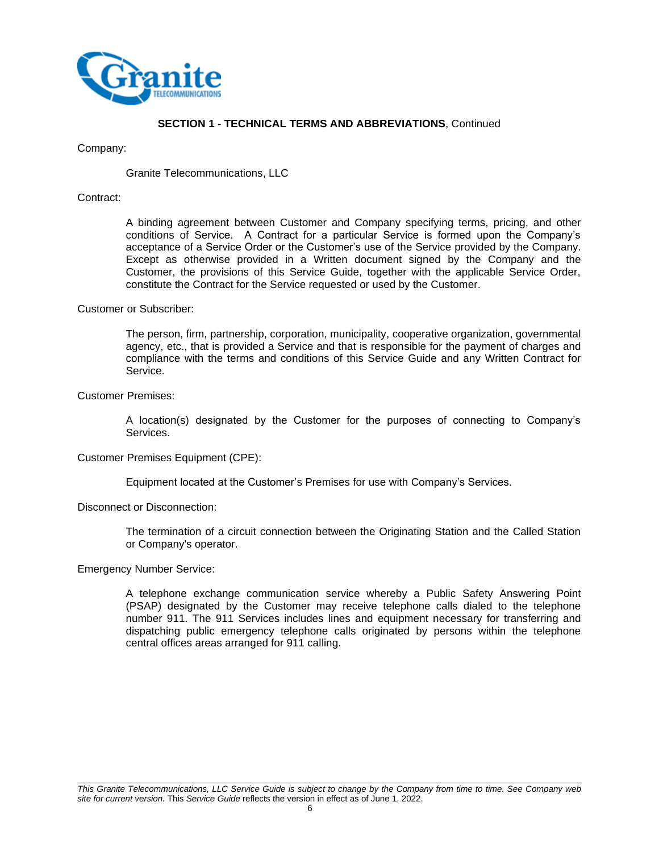

#### Company:

Granite Telecommunications, LLC

#### Contract:

A binding agreement between Customer and Company specifying terms, pricing, and other conditions of Service. A Contract for a particular Service is formed upon the Company's acceptance of a Service Order or the Customer's use of the Service provided by the Company. Except as otherwise provided in a Written document signed by the Company and the Customer, the provisions of this Service Guide, together with the applicable Service Order, constitute the Contract for the Service requested or used by the Customer.

#### Customer or Subscriber:

The person, firm, partnership, corporation, municipality, cooperative organization, governmental agency, etc., that is provided a Service and that is responsible for the payment of charges and compliance with the terms and conditions of this Service Guide and any Written Contract for Service.

#### Customer Premises:

A location(s) designated by the Customer for the purposes of connecting to Company's Services.

#### Customer Premises Equipment (CPE):

Equipment located at the Customer's Premises for use with Company's Services.

#### Disconnect or Disconnection:

The termination of a circuit connection between the Originating Station and the Called Station or Company's operator.

Emergency Number Service:

A telephone exchange communication service whereby a Public Safety Answering Point (PSAP) designated by the Customer may receive telephone calls dialed to the telephone number 911. The 911 Services includes lines and equipment necessary for transferring and dispatching public emergency telephone calls originated by persons within the telephone central offices areas arranged for 911 calling.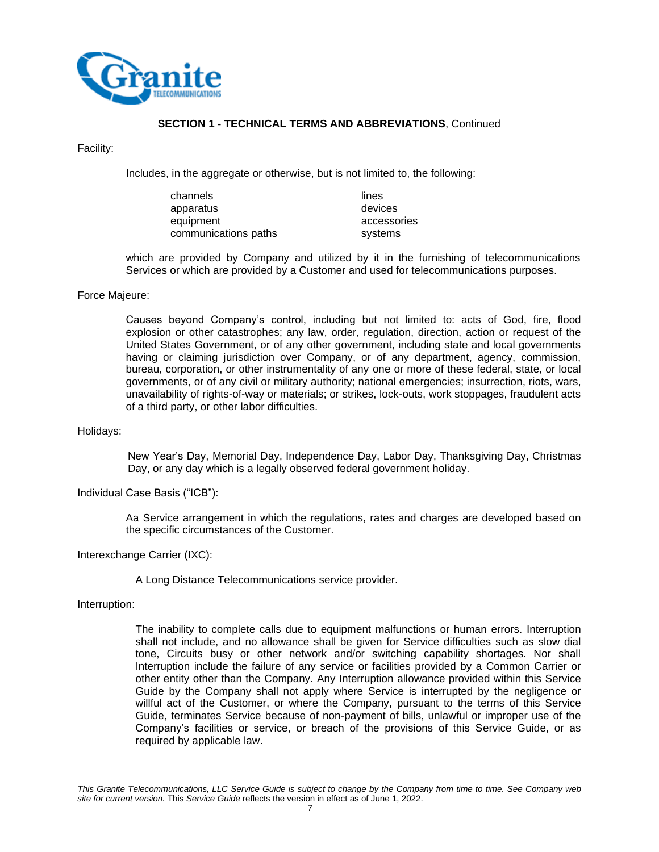

Facility:

Includes, in the aggregate or otherwise, but is not limited to, the following:

| channels             | lines       |
|----------------------|-------------|
| apparatus            | devices     |
| equipment            | accessories |
| communications paths | systems     |

which are provided by Company and utilized by it in the furnishing of telecommunications Services or which are provided by a Customer and used for telecommunications purposes.

#### Force Majeure:

Causes beyond Company's control, including but not limited to: acts of God, fire, flood explosion or other catastrophes; any law, order, regulation, direction, action or request of the United States Government, or of any other government, including state and local governments having or claiming jurisdiction over Company, or of any department, agency, commission, bureau, corporation, or other instrumentality of any one or more of these federal, state, or local governments, or of any civil or military authority; national emergencies; insurrection, riots, wars, unavailability of rights-of-way or materials; or strikes, lock-outs, work stoppages, fraudulent acts of a third party, or other labor difficulties.

#### Holidays:

New Year's Day, Memorial Day, Independence Day, Labor Day, Thanksgiving Day, Christmas Day, or any day which is a legally observed federal government holiday.

Individual Case Basis ("ICB"):

Aa Service arrangement in which the regulations, rates and charges are developed based on the specific circumstances of the Customer.

Interexchange Carrier (IXC):

A Long Distance Telecommunications service provider.

Interruption:

The inability to complete calls due to equipment malfunctions or human errors. Interruption shall not include, and no allowance shall be given for Service difficulties such as slow dial tone, Circuits busy or other network and/or switching capability shortages. Nor shall Interruption include the failure of any service or facilities provided by a Common Carrier or other entity other than the Company. Any Interruption allowance provided within this Service Guide by the Company shall not apply where Service is interrupted by the negligence or willful act of the Customer, or where the Company, pursuant to the terms of this Service Guide, terminates Service because of non-payment of bills, unlawful or improper use of the Company's facilities or service, or breach of the provisions of this Service Guide, or as required by applicable law.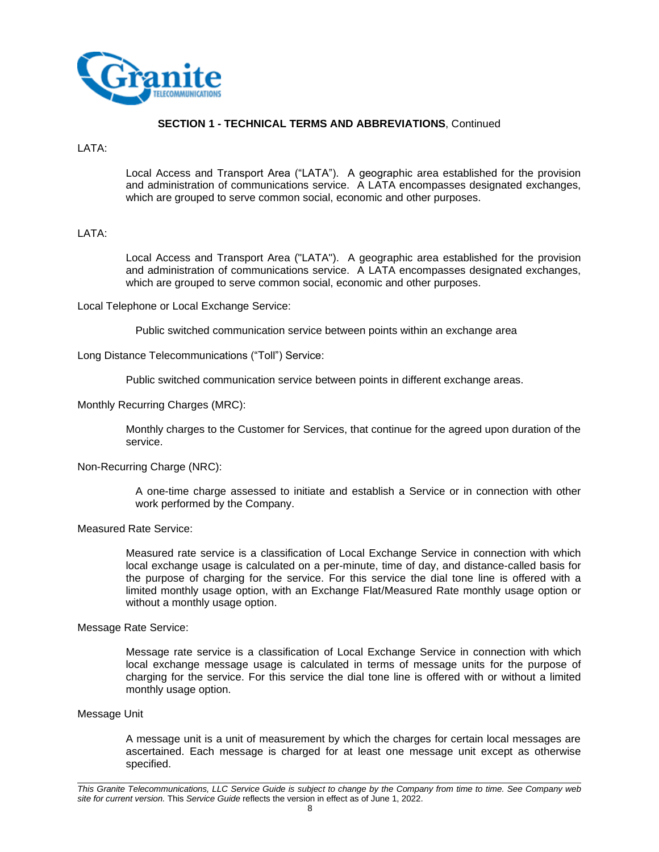

#### LATA:

Local Access and Transport Area ("LATA"). A geographic area established for the provision and administration of communications service. A LATA encompasses designated exchanges, which are grouped to serve common social, economic and other purposes.

#### LATA:

Local Access and Transport Area ("LATA"). A geographic area established for the provision and administration of communications service. A LATA encompasses designated exchanges, which are grouped to serve common social, economic and other purposes.

Local Telephone or Local Exchange Service:

Public switched communication service between points within an exchange area

Long Distance Telecommunications ("Toll") Service:

Public switched communication service between points in different exchange areas.

Monthly Recurring Charges (MRC):

Monthly charges to the Customer for Services, that continue for the agreed upon duration of the service.

#### Non-Recurring Charge (NRC):

A one-time charge assessed to initiate and establish a Service or in connection with other work performed by the Company.

#### Measured Rate Service:

Measured rate service is a classification of Local Exchange Service in connection with which local exchange usage is calculated on a per-minute, time of day, and distance-called basis for the purpose of charging for the service. For this service the dial tone line is offered with a limited monthly usage option, with an Exchange Flat/Measured Rate monthly usage option or without a monthly usage option.

Message Rate Service:

Message rate service is a classification of Local Exchange Service in connection with which local exchange message usage is calculated in terms of message units for the purpose of charging for the service. For this service the dial tone line is offered with or without a limited monthly usage option.

#### Message Unit

A message unit is a unit of measurement by which the charges for certain local messages are ascertained. Each message is charged for at least one message unit except as otherwise specified.

*This Granite Telecommunications, LLC Service Guide is subject to change by the Company from time to time. See Company web site for current version.* This *Service Guide* reflects the version in effect as of June 1, 2022.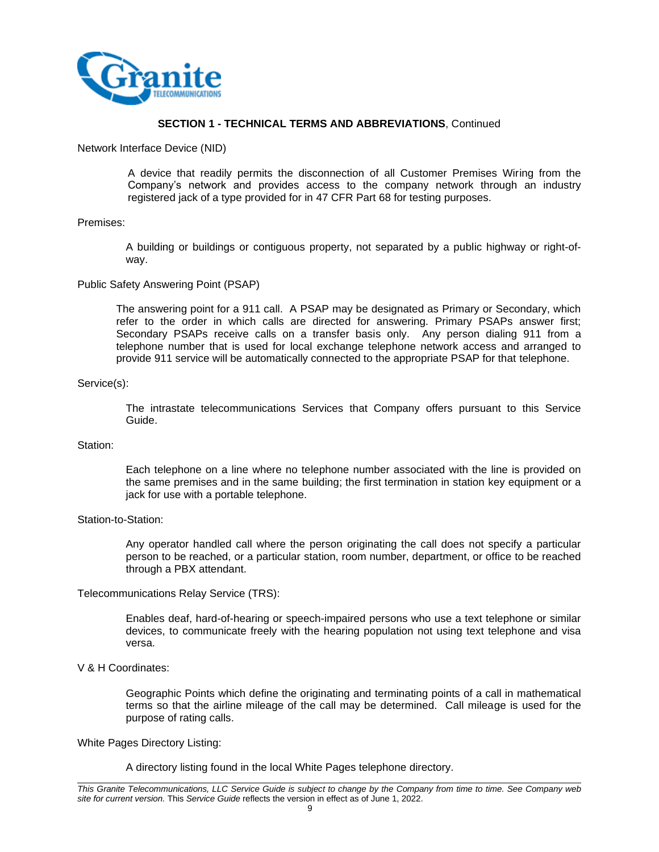

Network Interface Device (NID)

A device that readily permits the disconnection of all Customer Premises Wiring from the Company's network and provides access to the company network through an industry registered jack of a type provided for in 47 CFR Part 68 for testing purposes.

#### Premises:

A building or buildings or contiguous property, not separated by a public highway or right-ofway.

#### Public Safety Answering Point (PSAP)

The answering point for a 911 call. A PSAP may be designated as Primary or Secondary, which refer to the order in which calls are directed for answering. Primary PSAPs answer first; Secondary PSAPs receive calls on a transfer basis only. Any person dialing 911 from a telephone number that is used for local exchange telephone network access and arranged to provide 911 service will be automatically connected to the appropriate PSAP for that telephone.

#### Service(s):

The intrastate telecommunications Services that Company offers pursuant to this Service Guide.

#### Station:

Each telephone on a line where no telephone number associated with the line is provided on the same premises and in the same building; the first termination in station key equipment or a jack for use with a portable telephone.

#### Station-to-Station:

Any operator handled call where the person originating the call does not specify a particular person to be reached, or a particular station, room number, department, or office to be reached through a PBX attendant.

#### Telecommunications Relay Service (TRS):

Enables deaf, hard-of-hearing or speech-impaired persons who use a text telephone or similar devices, to communicate freely with the hearing population not using text telephone and visa versa.

#### V & H Coordinates:

Geographic Points which define the originating and terminating points of a call in mathematical terms so that the airline mileage of the call may be determined. Call mileage is used for the purpose of rating calls.

#### White Pages Directory Listing:

A directory listing found in the local White Pages telephone directory.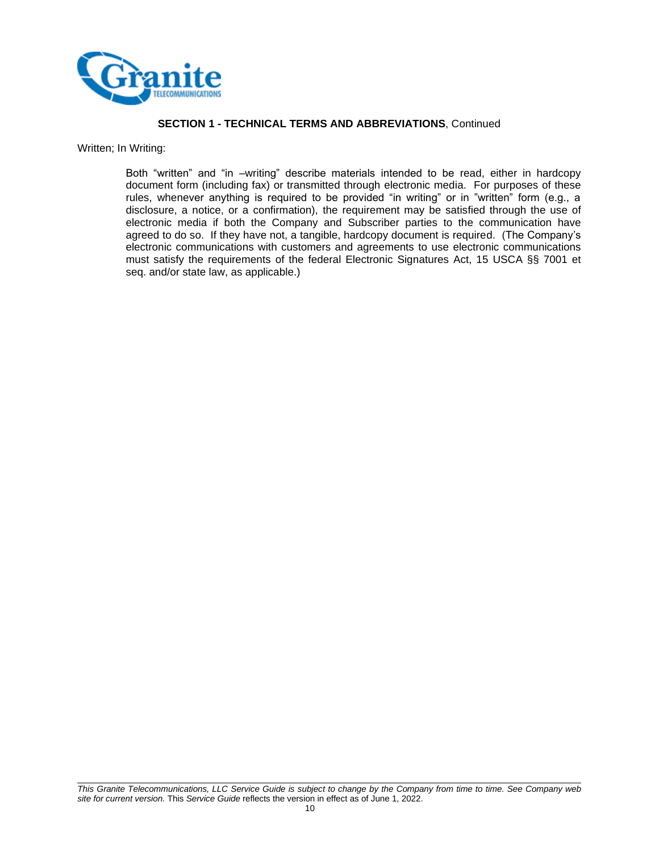

Written; In Writing:

Both "written" and "in –writing" describe materials intended to be read, either in hardcopy document form (including fax) or transmitted through electronic media. For purposes of these rules, whenever anything is required to be provided "in writing" or in "written" form (e.g., a disclosure, a notice, or a confirmation), the requirement may be satisfied through the use of electronic media if both the Company and Subscriber parties to the communication have agreed to do so. If they have not, a tangible, hardcopy document is required. (The Company's electronic communications with customers and agreements to use electronic communications must satisfy the requirements of the federal Electronic Signatures Act, 15 USCA §§ 7001 et seq. and/or state law, as applicable.)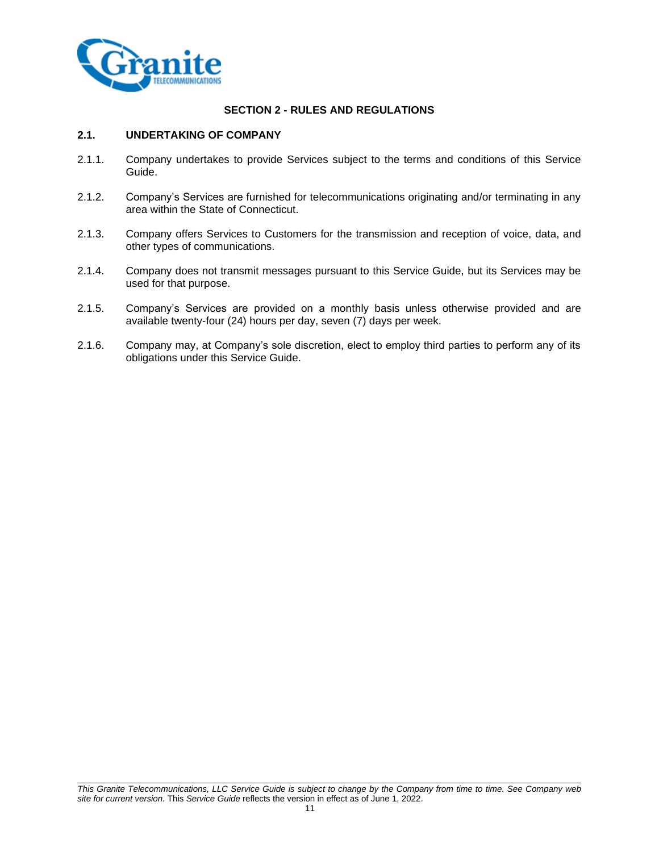

## **SECTION 2 - RULES AND REGULATIONS**

#### **2.1. UNDERTAKING OF COMPANY**

- 2.1.1. Company undertakes to provide Services subject to the terms and conditions of this Service Guide.
- 2.1.2. Company's Services are furnished for telecommunications originating and/or terminating in any area within the State of Connecticut.
- 2.1.3. Company offers Services to Customers for the transmission and reception of voice, data, and other types of communications.
- 2.1.4. Company does not transmit messages pursuant to this Service Guide, but its Services may be used for that purpose.
- 2.1.5. Company's Services are provided on a monthly basis unless otherwise provided and are available twenty-four (24) hours per day, seven (7) days per week.
- 2.1.6. Company may, at Company's sole discretion, elect to employ third parties to perform any of its obligations under this Service Guide.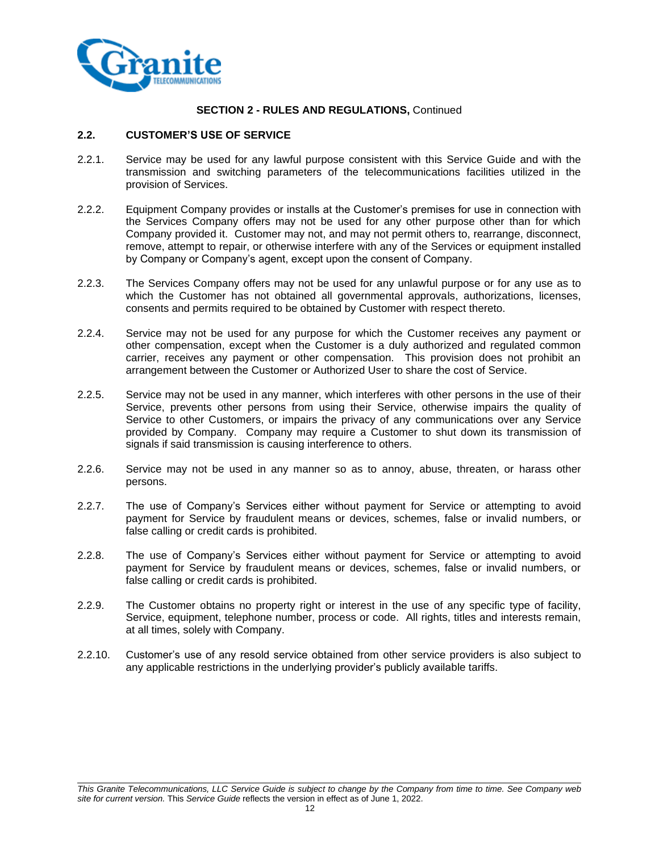

## **2.2. CUSTOMER'S USE OF SERVICE**

- 2.2.1. Service may be used for any lawful purpose consistent with this Service Guide and with the transmission and switching parameters of the telecommunications facilities utilized in the provision of Services.
- 2.2.2. Equipment Company provides or installs at the Customer's premises for use in connection with the Services Company offers may not be used for any other purpose other than for which Company provided it. Customer may not, and may not permit others to, rearrange, disconnect, remove, attempt to repair, or otherwise interfere with any of the Services or equipment installed by Company or Company's agent, except upon the consent of Company.
- 2.2.3. The Services Company offers may not be used for any unlawful purpose or for any use as to which the Customer has not obtained all governmental approvals, authorizations, licenses, consents and permits required to be obtained by Customer with respect thereto.
- 2.2.4. Service may not be used for any purpose for which the Customer receives any payment or other compensation, except when the Customer is a duly authorized and regulated common carrier, receives any payment or other compensation. This provision does not prohibit an arrangement between the Customer or Authorized User to share the cost of Service.
- 2.2.5. Service may not be used in any manner, which interferes with other persons in the use of their Service, prevents other persons from using their Service, otherwise impairs the quality of Service to other Customers, or impairs the privacy of any communications over any Service provided by Company. Company may require a Customer to shut down its transmission of signals if said transmission is causing interference to others.
- 2.2.6. Service may not be used in any manner so as to annoy, abuse, threaten, or harass other persons.
- 2.2.7. The use of Company's Services either without payment for Service or attempting to avoid payment for Service by fraudulent means or devices, schemes, false or invalid numbers, or false calling or credit cards is prohibited.
- 2.2.8. The use of Company's Services either without payment for Service or attempting to avoid payment for Service by fraudulent means or devices, schemes, false or invalid numbers, or false calling or credit cards is prohibited.
- 2.2.9. The Customer obtains no property right or interest in the use of any specific type of facility, Service, equipment, telephone number, process or code. All rights, titles and interests remain, at all times, solely with Company.
- 2.2.10. Customer's use of any resold service obtained from other service providers is also subject to any applicable restrictions in the underlying provider's publicly available tariffs.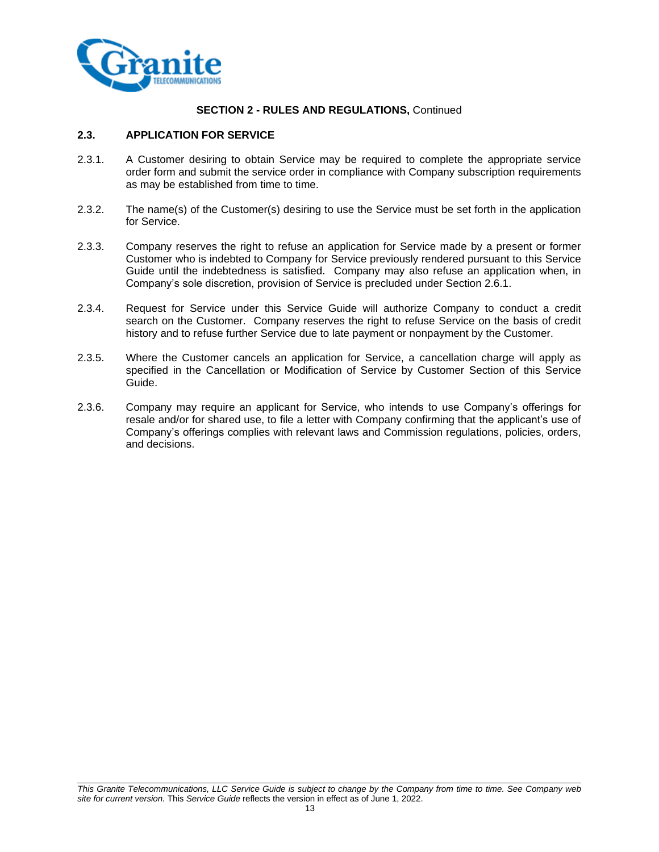

## **2.3. APPLICATION FOR SERVICE**

- 2.3.1. A Customer desiring to obtain Service may be required to complete the appropriate service order form and submit the service order in compliance with Company subscription requirements as may be established from time to time.
- 2.3.2. The name(s) of the Customer(s) desiring to use the Service must be set forth in the application for Service.
- 2.3.3. Company reserves the right to refuse an application for Service made by a present or former Customer who is indebted to Company for Service previously rendered pursuant to this Service Guide until the indebtedness is satisfied. Company may also refuse an application when, in Company's sole discretion, provision of Service is precluded under Section 2.6.1.
- 2.3.4. Request for Service under this Service Guide will authorize Company to conduct a credit search on the Customer. Company reserves the right to refuse Service on the basis of credit history and to refuse further Service due to late payment or nonpayment by the Customer.
- 2.3.5. Where the Customer cancels an application for Service, a cancellation charge will apply as specified in the Cancellation or Modification of Service by Customer Section of this Service Guide.
- 2.3.6. Company may require an applicant for Service, who intends to use Company's offerings for resale and/or for shared use, to file a letter with Company confirming that the applicant's use of Company's offerings complies with relevant laws and Commission regulations, policies, orders, and decisions.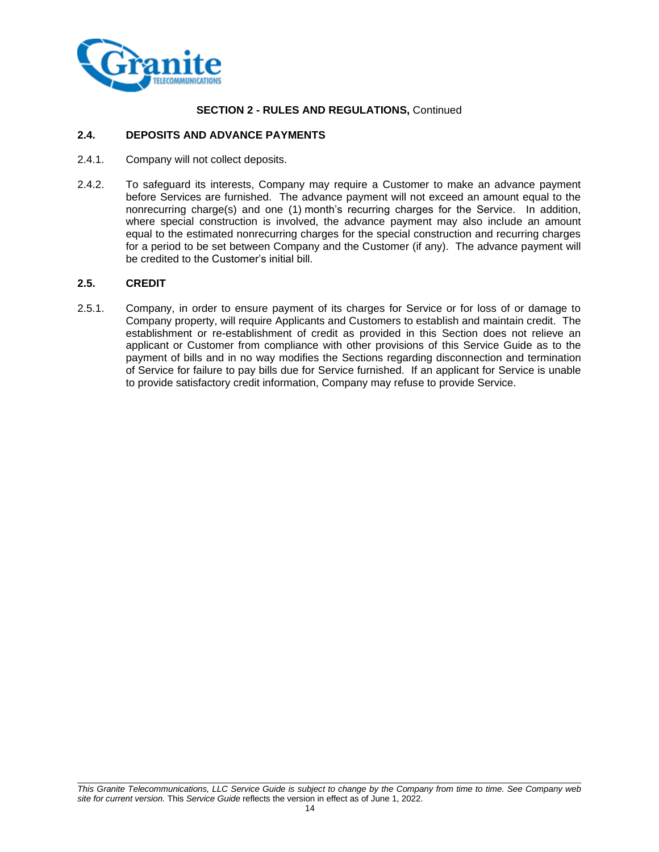

## **2.4. DEPOSITS AND ADVANCE PAYMENTS**

- 2.4.1. Company will not collect deposits.
- 2.4.2. To safeguard its interests, Company may require a Customer to make an advance payment before Services are furnished. The advance payment will not exceed an amount equal to the nonrecurring charge(s) and one (1) month's recurring charges for the Service. In addition, where special construction is involved, the advance payment may also include an amount equal to the estimated nonrecurring charges for the special construction and recurring charges for a period to be set between Company and the Customer (if any). The advance payment will be credited to the Customer's initial bill.

## **2.5. CREDIT**

2.5.1. Company, in order to ensure payment of its charges for Service or for loss of or damage to Company property, will require Applicants and Customers to establish and maintain credit. The establishment or re-establishment of credit as provided in this Section does not relieve an applicant or Customer from compliance with other provisions of this Service Guide as to the payment of bills and in no way modifies the Sections regarding disconnection and termination of Service for failure to pay bills due for Service furnished. If an applicant for Service is unable to provide satisfactory credit information, Company may refuse to provide Service.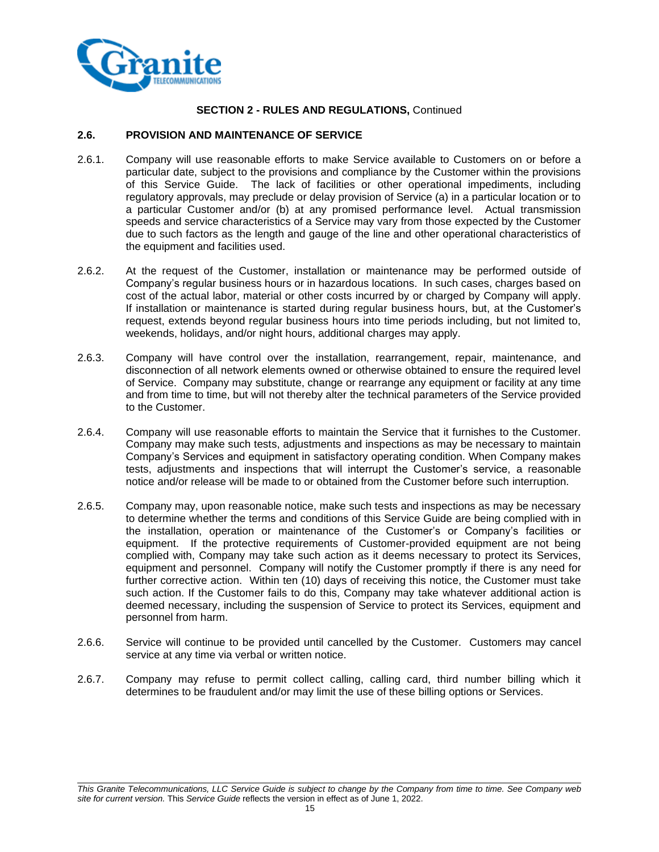

## **2.6. PROVISION AND MAINTENANCE OF SERVICE**

- 2.6.1. Company will use reasonable efforts to make Service available to Customers on or before a particular date, subject to the provisions and compliance by the Customer within the provisions of this Service Guide. The lack of facilities or other operational impediments, including regulatory approvals, may preclude or delay provision of Service (a) in a particular location or to a particular Customer and/or (b) at any promised performance level. Actual transmission speeds and service characteristics of a Service may vary from those expected by the Customer due to such factors as the length and gauge of the line and other operational characteristics of the equipment and facilities used.
- 2.6.2. At the request of the Customer, installation or maintenance may be performed outside of Company's regular business hours or in hazardous locations. In such cases, charges based on cost of the actual labor, material or other costs incurred by or charged by Company will apply. If installation or maintenance is started during regular business hours, but, at the Customer's request, extends beyond regular business hours into time periods including, but not limited to, weekends, holidays, and/or night hours, additional charges may apply.
- 2.6.3. Company will have control over the installation, rearrangement, repair, maintenance, and disconnection of all network elements owned or otherwise obtained to ensure the required level of Service. Company may substitute, change or rearrange any equipment or facility at any time and from time to time, but will not thereby alter the technical parameters of the Service provided to the Customer.
- 2.6.4. Company will use reasonable efforts to maintain the Service that it furnishes to the Customer. Company may make such tests, adjustments and inspections as may be necessary to maintain Company's Services and equipment in satisfactory operating condition. When Company makes tests, adjustments and inspections that will interrupt the Customer's service, a reasonable notice and/or release will be made to or obtained from the Customer before such interruption.
- 2.6.5. Company may, upon reasonable notice, make such tests and inspections as may be necessary to determine whether the terms and conditions of this Service Guide are being complied with in the installation, operation or maintenance of the Customer's or Company's facilities or equipment. If the protective requirements of Customer-provided equipment are not being complied with, Company may take such action as it deems necessary to protect its Services, equipment and personnel. Company will notify the Customer promptly if there is any need for further corrective action. Within ten (10) days of receiving this notice, the Customer must take such action. If the Customer fails to do this, Company may take whatever additional action is deemed necessary, including the suspension of Service to protect its Services, equipment and personnel from harm.
- 2.6.6. Service will continue to be provided until cancelled by the Customer. Customers may cancel service at any time via verbal or written notice.
- 2.6.7. Company may refuse to permit collect calling, calling card, third number billing which it determines to be fraudulent and/or may limit the use of these billing options or Services.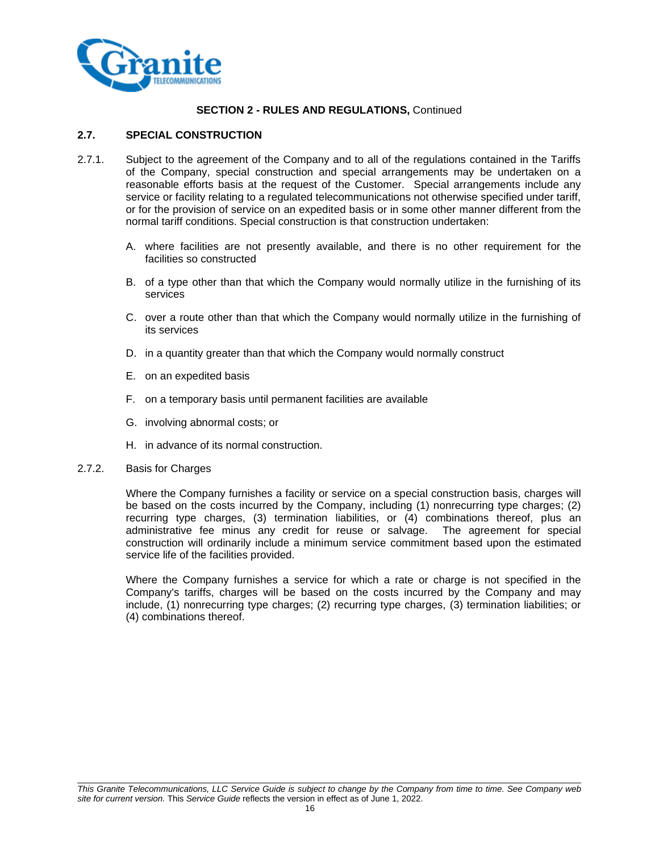

## **2.7. SPECIAL CONSTRUCTION**

- 2.7.1. Subject to the agreement of the Company and to all of the regulations contained in the Tariffs of the Company, special construction and special arrangements may be undertaken on a reasonable efforts basis at the request of the Customer. Special arrangements include any service or facility relating to a regulated telecommunications not otherwise specified under tariff, or for the provision of service on an expedited basis or in some other manner different from the normal tariff conditions. Special construction is that construction undertaken:
	- A. where facilities are not presently available, and there is no other requirement for the facilities so constructed
	- B. of a type other than that which the Company would normally utilize in the furnishing of its services
	- C. over a route other than that which the Company would normally utilize in the furnishing of its services
	- D. in a quantity greater than that which the Company would normally construct
	- E. on an expedited basis
	- F. on a temporary basis until permanent facilities are available
	- G. involving abnormal costs; or
	- H. in advance of its normal construction.

#### 2.7.2. Basis for Charges

Where the Company furnishes a facility or service on a special construction basis, charges will be based on the costs incurred by the Company, including (1) nonrecurring type charges; (2) recurring type charges, (3) termination liabilities, or (4) combinations thereof, plus an administrative fee minus any credit for reuse or salvage. The agreement for special construction will ordinarily include a minimum service commitment based upon the estimated service life of the facilities provided.

Where the Company furnishes a service for which a rate or charge is not specified in the Company's tariffs, charges will be based on the costs incurred by the Company and may include, (1) nonrecurring type charges; (2) recurring type charges, (3) termination liabilities; or (4) combinations thereof.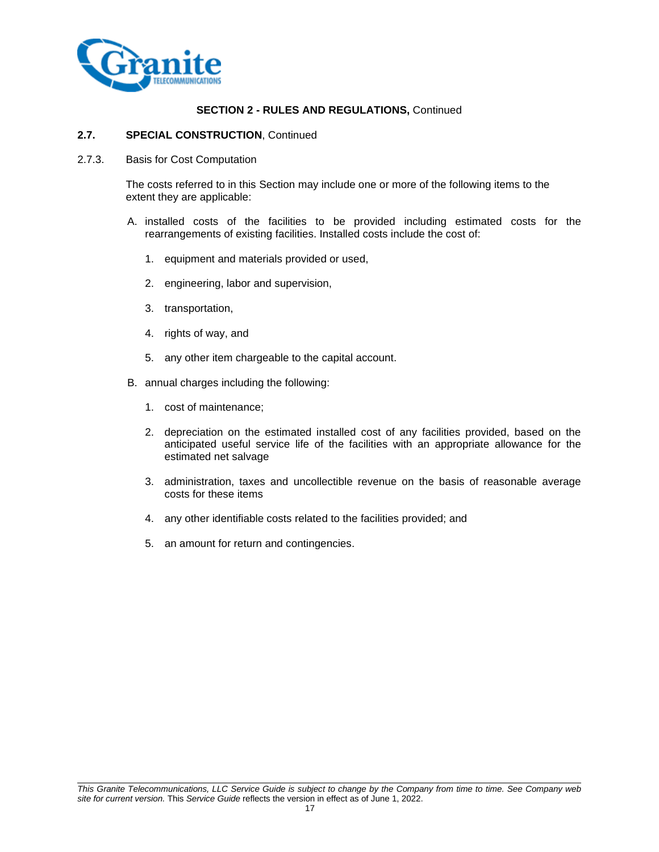

## **2.7. SPECIAL CONSTRUCTION**, Continued

2.7.3. Basis for Cost Computation

The costs referred to in this Section may include one or more of the following items to the extent they are applicable:

- A. installed costs of the facilities to be provided including estimated costs for the rearrangements of existing facilities. Installed costs include the cost of:
	- 1. equipment and materials provided or used,
	- 2. engineering, labor and supervision,
	- 3. transportation,
	- 4. rights of way, and
	- 5. any other item chargeable to the capital account.
- B. annual charges including the following:
	- 1. cost of maintenance;
	- 2. depreciation on the estimated installed cost of any facilities provided, based on the anticipated useful service life of the facilities with an appropriate allowance for the estimated net salvage
	- 3. administration, taxes and uncollectible revenue on the basis of reasonable average costs for these items
	- 4. any other identifiable costs related to the facilities provided; and
	- 5. an amount for return and contingencies.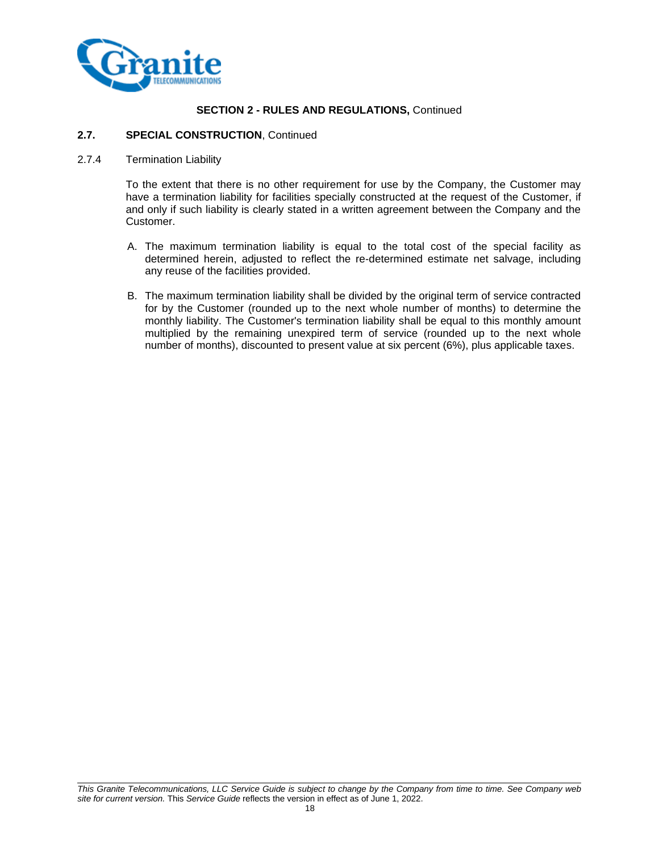

#### **2.7. SPECIAL CONSTRUCTION**, Continued

#### 2.7.4 Termination Liability

To the extent that there is no other requirement for use by the Company, the Customer may have a termination liability for facilities specially constructed at the request of the Customer, if and only if such liability is clearly stated in a written agreement between the Company and the Customer.

- A. The maximum termination liability is equal to the total cost of the special facility as determined herein, adjusted to reflect the re-determined estimate net salvage, including any reuse of the facilities provided.
- B. The maximum termination liability shall be divided by the original term of service contracted for by the Customer (rounded up to the next whole number of months) to determine the monthly liability. The Customer's termination liability shall be equal to this monthly amount multiplied by the remaining unexpired term of service (rounded up to the next whole number of months), discounted to present value at six percent (6%), plus applicable taxes.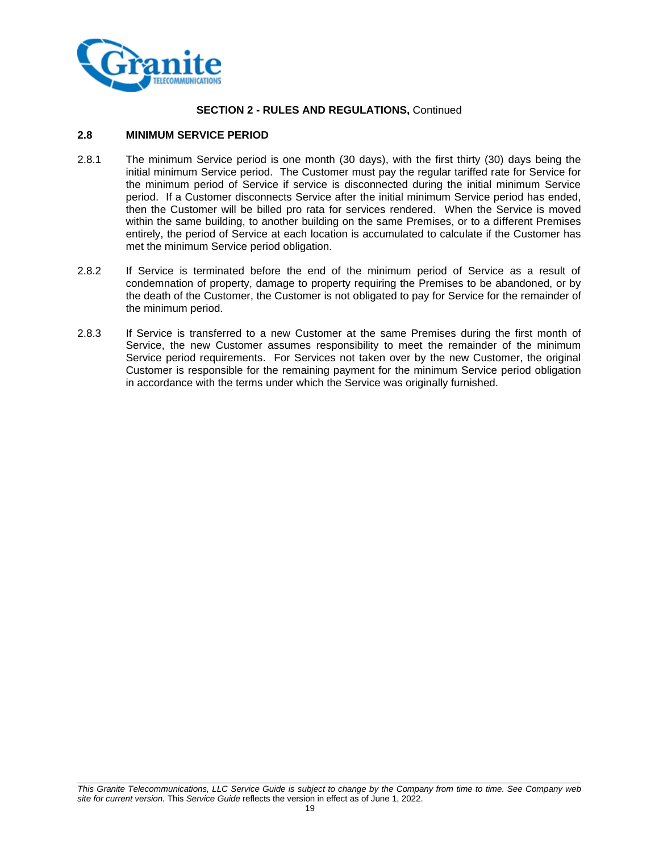

## **2.8 MINIMUM SERVICE PERIOD**

- 2.8.1 The minimum Service period is one month (30 days), with the first thirty (30) days being the initial minimum Service period. The Customer must pay the regular tariffed rate for Service for the minimum period of Service if service is disconnected during the initial minimum Service period. If a Customer disconnects Service after the initial minimum Service period has ended, then the Customer will be billed pro rata for services rendered. When the Service is moved within the same building, to another building on the same Premises, or to a different Premises entirely, the period of Service at each location is accumulated to calculate if the Customer has met the minimum Service period obligation.
- 2.8.2 If Service is terminated before the end of the minimum period of Service as a result of condemnation of property, damage to property requiring the Premises to be abandoned, or by the death of the Customer, the Customer is not obligated to pay for Service for the remainder of the minimum period.
- 2.8.3 If Service is transferred to a new Customer at the same Premises during the first month of Service, the new Customer assumes responsibility to meet the remainder of the minimum Service period requirements. For Services not taken over by the new Customer, the original Customer is responsible for the remaining payment for the minimum Service period obligation in accordance with the terms under which the Service was originally furnished.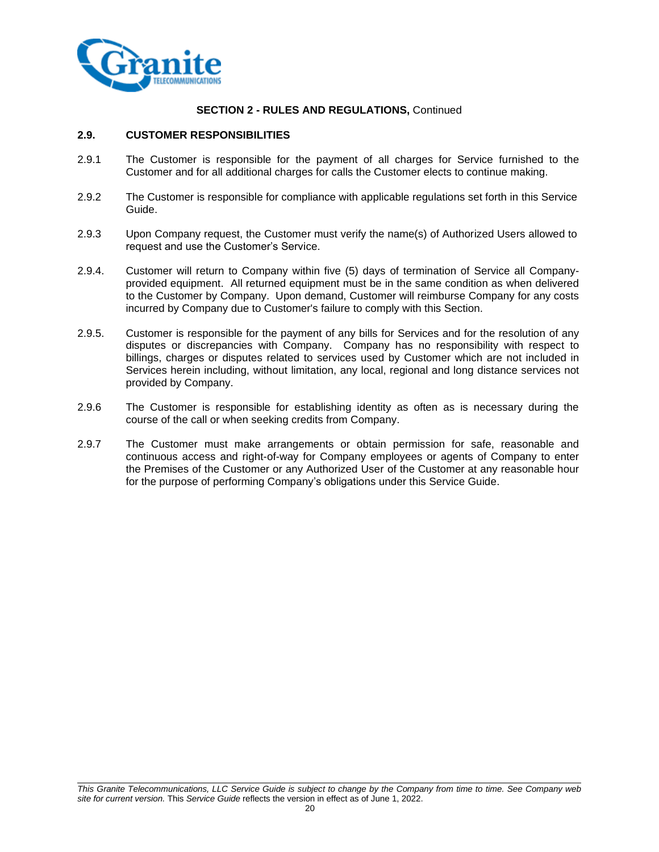

## **2.9. CUSTOMER RESPONSIBILITIES**

- 2.9.1 The Customer is responsible for the payment of all charges for Service furnished to the Customer and for all additional charges for calls the Customer elects to continue making.
- 2.9.2 The Customer is responsible for compliance with applicable regulations set forth in this Service Guide.
- 2.9.3 Upon Company request, the Customer must verify the name(s) of Authorized Users allowed to request and use the Customer's Service.
- 2.9.4. Customer will return to Company within five (5) days of termination of Service all Companyprovided equipment. All returned equipment must be in the same condition as when delivered to the Customer by Company. Upon demand, Customer will reimburse Company for any costs incurred by Company due to Customer's failure to comply with this Section.
- 2.9.5. Customer is responsible for the payment of any bills for Services and for the resolution of any disputes or discrepancies with Company. Company has no responsibility with respect to billings, charges or disputes related to services used by Customer which are not included in Services herein including, without limitation, any local, regional and long distance services not provided by Company.
- 2.9.6 The Customer is responsible for establishing identity as often as is necessary during the course of the call or when seeking credits from Company.
- 2.9.7 The Customer must make arrangements or obtain permission for safe, reasonable and continuous access and right-of-way for Company employees or agents of Company to enter the Premises of the Customer or any Authorized User of the Customer at any reasonable hour for the purpose of performing Company's obligations under this Service Guide.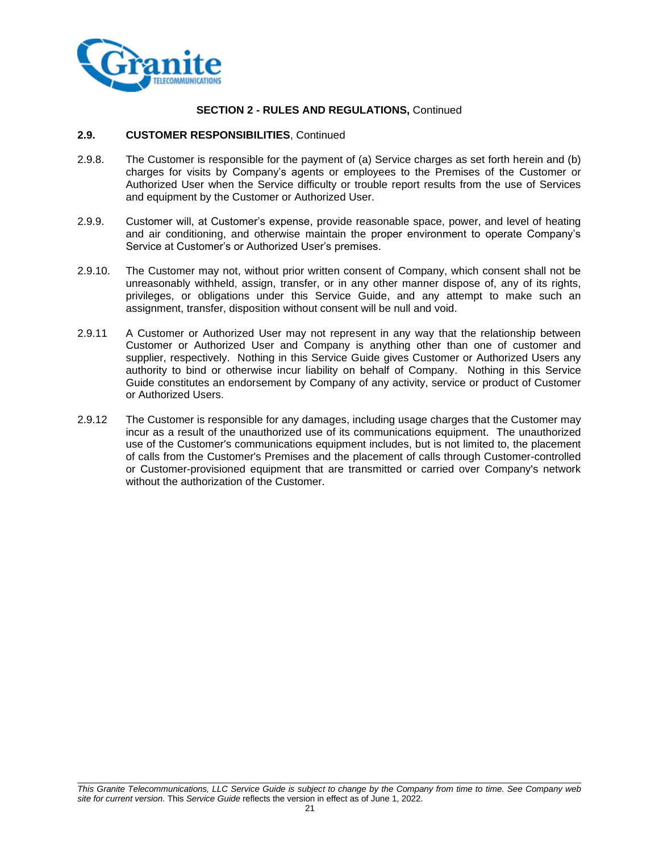

#### **2.9. CUSTOMER RESPONSIBILITIES**, Continued

- 2.9.8. The Customer is responsible for the payment of (a) Service charges as set forth herein and (b) charges for visits by Company's agents or employees to the Premises of the Customer or Authorized User when the Service difficulty or trouble report results from the use of Services and equipment by the Customer or Authorized User.
- 2.9.9. Customer will, at Customer's expense, provide reasonable space, power, and level of heating and air conditioning, and otherwise maintain the proper environment to operate Company's Service at Customer's or Authorized User's premises.
- 2.9.10. The Customer may not, without prior written consent of Company, which consent shall not be unreasonably withheld, assign, transfer, or in any other manner dispose of, any of its rights, privileges, or obligations under this Service Guide, and any attempt to make such an assignment, transfer, disposition without consent will be null and void.
- 2.9.11 A Customer or Authorized User may not represent in any way that the relationship between Customer or Authorized User and Company is anything other than one of customer and supplier, respectively. Nothing in this Service Guide gives Customer or Authorized Users any authority to bind or otherwise incur liability on behalf of Company. Nothing in this Service Guide constitutes an endorsement by Company of any activity, service or product of Customer or Authorized Users.
- 2.9.12 The Customer is responsible for any damages, including usage charges that the Customer may incur as a result of the unauthorized use of its communications equipment. The unauthorized use of the Customer's communications equipment includes, but is not limited to, the placement of calls from the Customer's Premises and the placement of calls through Customer-controlled or Customer-provisioned equipment that are transmitted or carried over Company's network without the authorization of the Customer.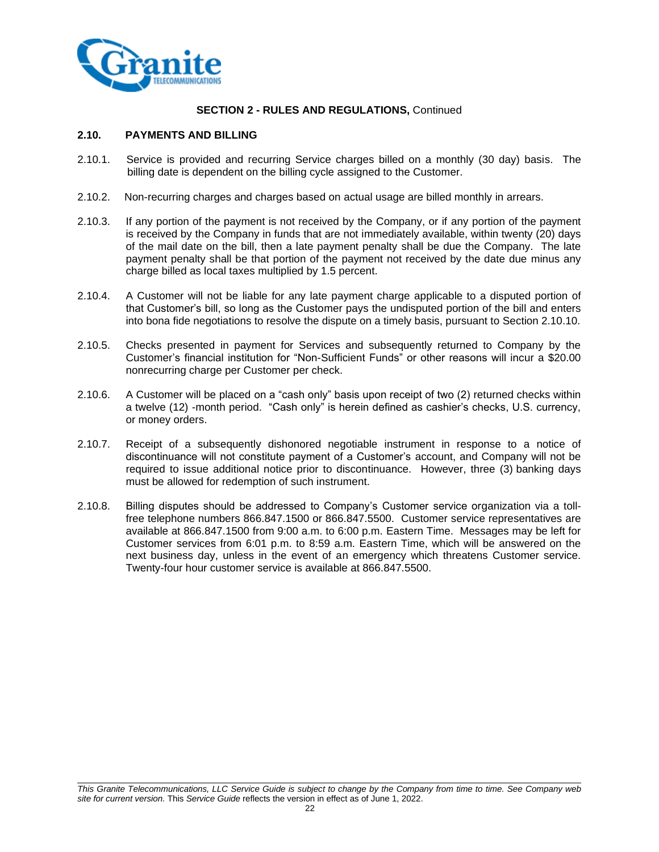

## **2.10. PAYMENTS AND BILLING**

- 2.10.1. Service is provided and recurring Service charges billed on a monthly (30 day) basis. The billing date is dependent on the billing cycle assigned to the Customer.
- 2.10.2. Non-recurring charges and charges based on actual usage are billed monthly in arrears.
- 2.10.3. If any portion of the payment is not received by the Company, or if any portion of the payment is received by the Company in funds that are not immediately available, within twenty (20) days of the mail date on the bill, then a late payment penalty shall be due the Company. The late payment penalty shall be that portion of the payment not received by the date due minus any charge billed as local taxes multiplied by 1.5 percent.
- 2.10.4. A Customer will not be liable for any late payment charge applicable to a disputed portion of that Customer's bill, so long as the Customer pays the undisputed portion of the bill and enters into bona fide negotiations to resolve the dispute on a timely basis, pursuant to Section 2.10.10.
- 2.10.5. Checks presented in payment for Services and subsequently returned to Company by the Customer's financial institution for "Non-Sufficient Funds" or other reasons will incur a \$20.00 nonrecurring charge per Customer per check.
- 2.10.6. A Customer will be placed on a "cash only" basis upon receipt of two (2) returned checks within a twelve (12) -month period. "Cash only" is herein defined as cashier's checks, U.S. currency, or money orders.
- 2.10.7. Receipt of a subsequently dishonored negotiable instrument in response to a notice of discontinuance will not constitute payment of a Customer's account, and Company will not be required to issue additional notice prior to discontinuance. However, three (3) banking days must be allowed for redemption of such instrument.
- 2.10.8. Billing disputes should be addressed to Company's Customer service organization via a tollfree telephone numbers 866.847.1500 or 866.847.5500.Customer service representatives are available at 866.847.1500 from 9:00 a.m. to 6:00 p.m. Eastern Time. Messages may be left for Customer services from 6:01 p.m. to 8:59 a.m. Eastern Time, which will be answered on the next business day, unless in the event of an emergency which threatens Customer service. Twenty-four hour customer service is available at 866.847.5500.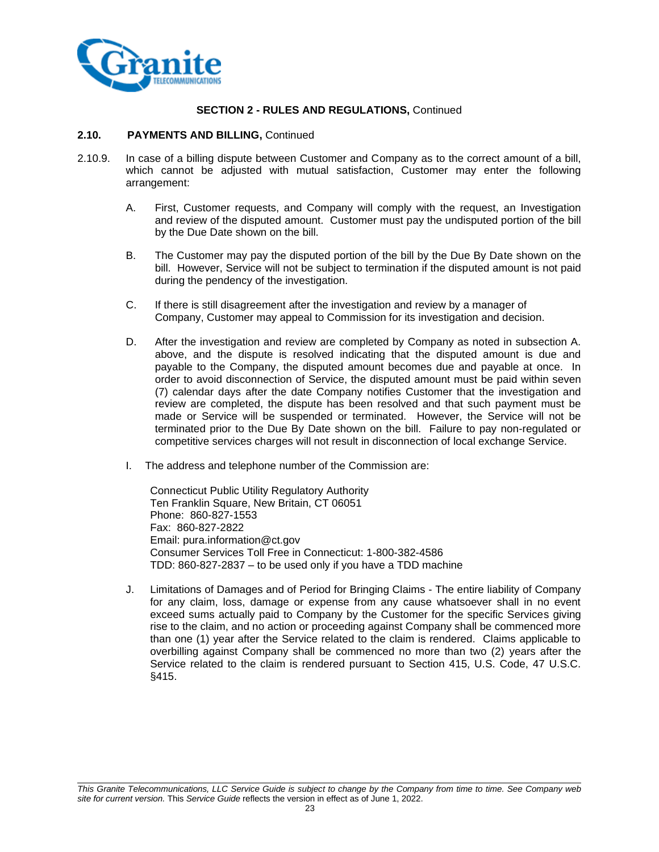

#### **2.10. PAYMENTS AND BILLING,** Continued

- 2.10.9. In case of a billing dispute between Customer and Company as to the correct amount of a bill, which cannot be adjusted with mutual satisfaction, Customer may enter the following arrangement:
	- A. First, Customer requests, and Company will comply with the request, an Investigation and review of the disputed amount. Customer must pay the undisputed portion of the bill by the Due Date shown on the bill.
	- B. The Customer may pay the disputed portion of the bill by the Due By Date shown on the bill. However, Service will not be subject to termination if the disputed amount is not paid during the pendency of the investigation.
	- C. If there is still disagreement after the investigation and review by a manager of Company, Customer may appeal to Commission for its investigation and decision.
	- D. After the investigation and review are completed by Company as noted in subsection A. above, and the dispute is resolved indicating that the disputed amount is due and payable to the Company, the disputed amount becomes due and payable at once. In order to avoid disconnection of Service, the disputed amount must be paid within seven (7) calendar days after the date Company notifies Customer that the investigation and review are completed, the dispute has been resolved and that such payment must be made or Service will be suspended or terminated. However, the Service will not be terminated prior to the Due By Date shown on the bill. Failure to pay non-regulated or competitive services charges will not result in disconnection of local exchange Service.
	- I. The address and telephone number of the Commission are:

Connecticut Public Utility Regulatory Authority Ten Franklin Square, New Britain, CT 06051 Phone: 860-827-1553 Fax: 860-827-2822 Email: pura.information@ct.gov Consumer Services Toll Free in Connecticut: 1-800-382-4586 TDD: 860-827-2837 – to be used only if you have a TDD machine

J. Limitations of Damages and of Period for Bringing Claims - The entire liability of Company for any claim, loss, damage or expense from any cause whatsoever shall in no event exceed sums actually paid to Company by the Customer for the specific Services giving rise to the claim, and no action or proceeding against Company shall be commenced more than one (1) year after the Service related to the claim is rendered. Claims applicable to overbilling against Company shall be commenced no more than two (2) years after the Service related to the claim is rendered pursuant to Section 415, U.S. Code, 47 U.S.C. §415.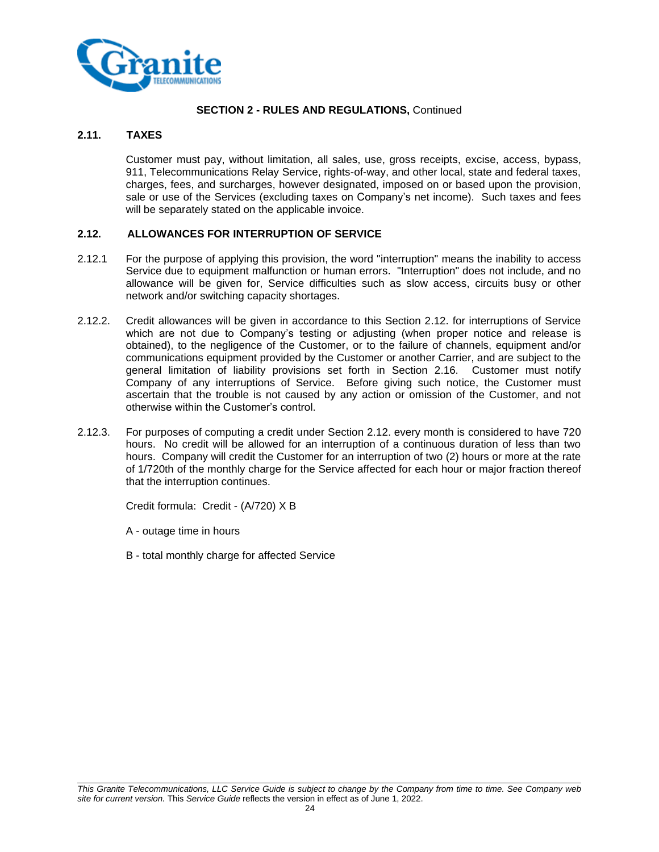

## **2.11. TAXES**

Customer must pay, without limitation, all sales, use, gross receipts, excise, access, bypass, 911, Telecommunications Relay Service, rights-of-way, and other local, state and federal taxes, charges, fees, and surcharges, however designated, imposed on or based upon the provision, sale or use of the Services (excluding taxes on Company's net income). Such taxes and fees will be separately stated on the applicable invoice.

## **2.12. ALLOWANCES FOR INTERRUPTION OF SERVICE**

- 2.12.1 For the purpose of applying this provision, the word "interruption" means the inability to access Service due to equipment malfunction or human errors. "Interruption" does not include, and no allowance will be given for, Service difficulties such as slow access, circuits busy or other network and/or switching capacity shortages.
- 2.12.2. Credit allowances will be given in accordance to this Section 2.12. for interruptions of Service which are not due to Company's testing or adjusting (when proper notice and release is obtained), to the negligence of the Customer, or to the failure of channels, equipment and/or communications equipment provided by the Customer or another Carrier, and are subject to the general limitation of liability provisions set forth in Section 2.16. Customer must notify Company of any interruptions of Service. Before giving such notice, the Customer must ascertain that the trouble is not caused by any action or omission of the Customer, and not otherwise within the Customer's control.
- 2.12.3. For purposes of computing a credit under Section 2.12. every month is considered to have 720 hours. No credit will be allowed for an interruption of a continuous duration of less than two hours. Company will credit the Customer for an interruption of two (2) hours or more at the rate of 1/720th of the monthly charge for the Service affected for each hour or major fraction thereof that the interruption continues.

Credit formula: Credit - (A/720) X B

- A outage time in hours
- B total monthly charge for affected Service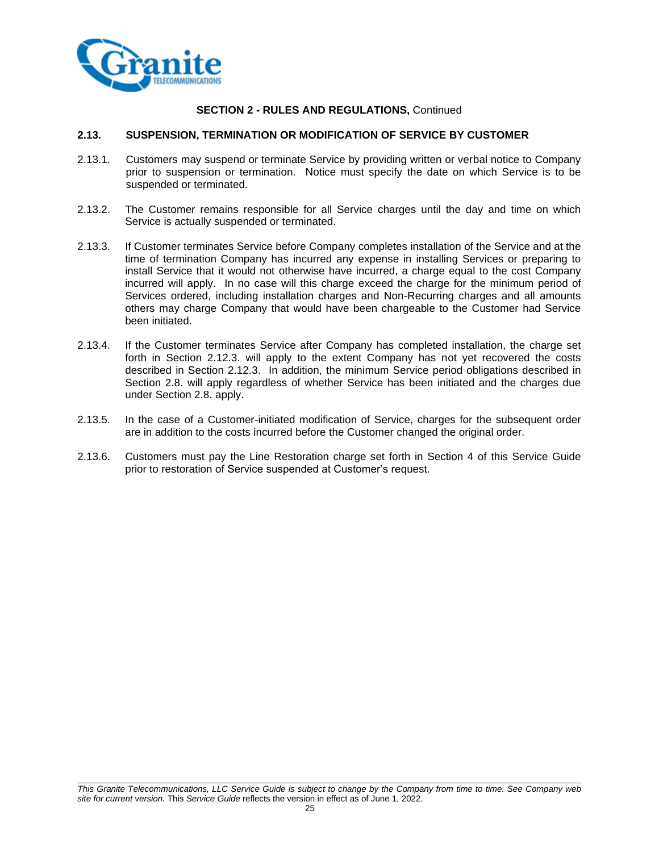

#### **2.13. SUSPENSION, TERMINATION OR MODIFICATION OF SERVICE BY CUSTOMER**

- 2.13.1. Customers may suspend or terminate Service by providing written or verbal notice to Company prior to suspension or termination. Notice must specify the date on which Service is to be suspended or terminated.
- 2.13.2. The Customer remains responsible for all Service charges until the day and time on which Service is actually suspended or terminated.
- 2.13.3. If Customer terminates Service before Company completes installation of the Service and at the time of termination Company has incurred any expense in installing Services or preparing to install Service that it would not otherwise have incurred, a charge equal to the cost Company incurred will apply. In no case will this charge exceed the charge for the minimum period of Services ordered, including installation charges and Non-Recurring charges and all amounts others may charge Company that would have been chargeable to the Customer had Service been initiated.
- 2.13.4. If the Customer terminates Service after Company has completed installation, the charge set forth in Section 2.12.3. will apply to the extent Company has not yet recovered the costs described in Section 2.12.3. In addition, the minimum Service period obligations described in Section 2.8. will apply regardless of whether Service has been initiated and the charges due under Section 2.8. apply.
- 2.13.5. In the case of a Customer-initiated modification of Service, charges for the subsequent order are in addition to the costs incurred before the Customer changed the original order.
- 2.13.6. Customers must pay the Line Restoration charge set forth in Section 4 of this Service Guide prior to restoration of Service suspended at Customer's request.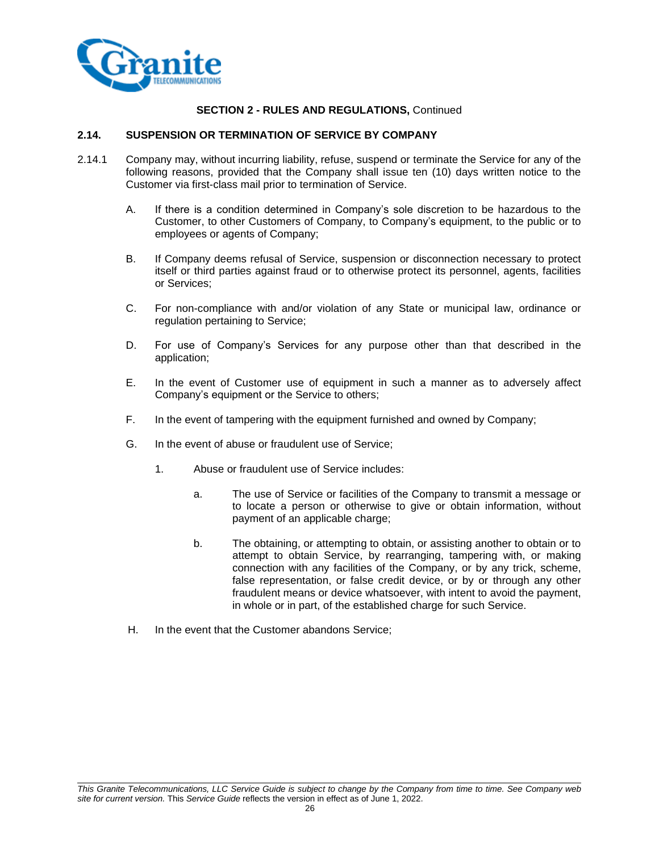

#### **2.14. SUSPENSION OR TERMINATION OF SERVICE BY COMPANY**

- 2.14.1 Company may, without incurring liability, refuse, suspend or terminate the Service for any of the following reasons, provided that the Company shall issue ten (10) days written notice to the Customer via first-class mail prior to termination of Service.
	- A. If there is a condition determined in Company's sole discretion to be hazardous to the Customer, to other Customers of Company, to Company's equipment, to the public or to employees or agents of Company;
	- B. If Company deems refusal of Service, suspension or disconnection necessary to protect itself or third parties against fraud or to otherwise protect its personnel, agents, facilities or Services;
	- C. For non-compliance with and/or violation of any State or municipal law, ordinance or regulation pertaining to Service;
	- D. For use of Company's Services for any purpose other than that described in the application;
	- E. In the event of Customer use of equipment in such a manner as to adversely affect Company's equipment or the Service to others;
	- F. In the event of tampering with the equipment furnished and owned by Company;
	- G. In the event of abuse or fraudulent use of Service;
		- 1. Abuse or fraudulent use of Service includes:
			- a. The use of Service or facilities of the Company to transmit a message or to locate a person or otherwise to give or obtain information, without payment of an applicable charge;
			- b. The obtaining, or attempting to obtain, or assisting another to obtain or to attempt to obtain Service, by rearranging, tampering with, or making connection with any facilities of the Company, or by any trick, scheme, false representation, or false credit device, or by or through any other fraudulent means or device whatsoever, with intent to avoid the payment, in whole or in part, of the established charge for such Service.
	- H. In the event that the Customer abandons Service;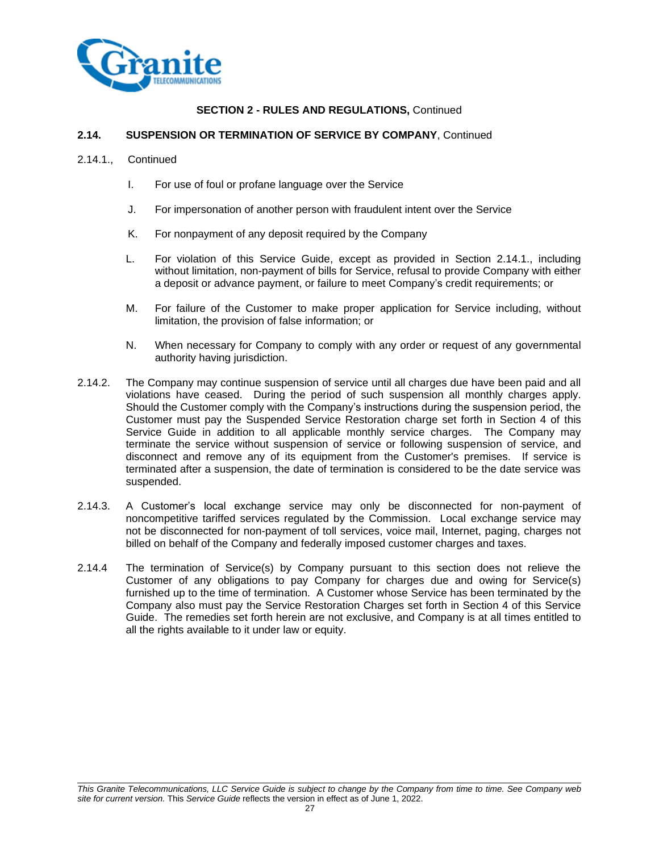

#### **2.14. SUSPENSION OR TERMINATION OF SERVICE BY COMPANY**, Continued

- 2.14.1., Continued
	- I. For use of foul or profane language over the Service
	- J. For impersonation of another person with fraudulent intent over the Service
	- K. For nonpayment of any deposit required by the Company
	- L. For violation of this Service Guide, except as provided in Section 2.14.1., including without limitation, non-payment of bills for Service, refusal to provide Company with either a deposit or advance payment, or failure to meet Company's credit requirements; or
	- M. For failure of the Customer to make proper application for Service including, without limitation, the provision of false information; or
	- N. When necessary for Company to comply with any order or request of any governmental authority having jurisdiction.
- 2.14.2. The Company may continue suspension of service until all charges due have been paid and all violations have ceased. During the period of such suspension all monthly charges apply. Should the Customer comply with the Company's instructions during the suspension period, the Customer must pay the Suspended Service Restoration charge set forth in Section 4 of this Service Guide in addition to all applicable monthly service charges. The Company may terminate the service without suspension of service or following suspension of service, and disconnect and remove any of its equipment from the Customer's premises. If service is terminated after a suspension, the date of termination is considered to be the date service was suspended.
- 2.14.3. A Customer's local exchange service may only be disconnected for non-payment of noncompetitive tariffed services regulated by the Commission. Local exchange service may not be disconnected for non-payment of toll services, voice mail, Internet, paging, charges not billed on behalf of the Company and federally imposed customer charges and taxes.
- 2.14.4 The termination of Service(s) by Company pursuant to this section does not relieve the Customer of any obligations to pay Company for charges due and owing for Service(s) furnished up to the time of termination. A Customer whose Service has been terminated by the Company also must pay the Service Restoration Charges set forth in Section 4 of this Service Guide. The remedies set forth herein are not exclusive, and Company is at all times entitled to all the rights available to it under law or equity.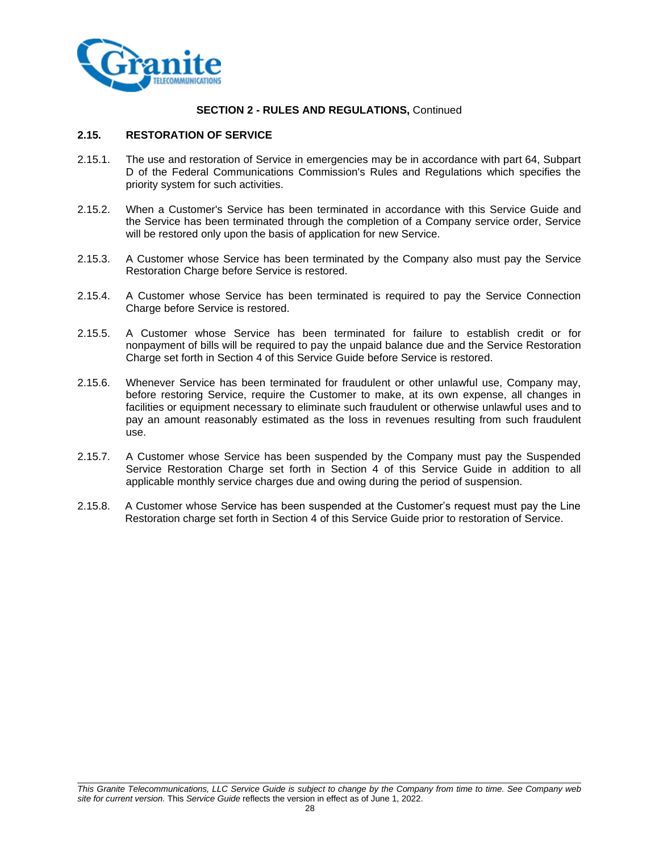

## **2.15. RESTORATION OF SERVICE**

- 2.15.1. The use and restoration of Service in emergencies may be in accordance with part 64, Subpart D of the Federal Communications Commission's Rules and Regulations which specifies the priority system for such activities.
- 2.15.2. When a Customer's Service has been terminated in accordance with this Service Guide and the Service has been terminated through the completion of a Company service order, Service will be restored only upon the basis of application for new Service.
- 2.15.3. A Customer whose Service has been terminated by the Company also must pay the Service Restoration Charge before Service is restored.
- 2.15.4. A Customer whose Service has been terminated is required to pay the Service Connection Charge before Service is restored.
- 2.15.5. A Customer whose Service has been terminated for failure to establish credit or for nonpayment of bills will be required to pay the unpaid balance due and the Service Restoration Charge set forth in Section 4 of this Service Guide before Service is restored.
- 2.15.6. Whenever Service has been terminated for fraudulent or other unlawful use, Company may, before restoring Service, require the Customer to make, at its own expense, all changes in facilities or equipment necessary to eliminate such fraudulent or otherwise unlawful uses and to pay an amount reasonably estimated as the loss in revenues resulting from such fraudulent use.
- 2.15.7. A Customer whose Service has been suspended by the Company must pay the Suspended Service Restoration Charge set forth in Section 4 of this Service Guide in addition to all applicable monthly service charges due and owing during the period of suspension.
- 2.15.8. A Customer whose Service has been suspended at the Customer's request must pay the Line Restoration charge set forth in Section 4 of this Service Guide prior to restoration of Service.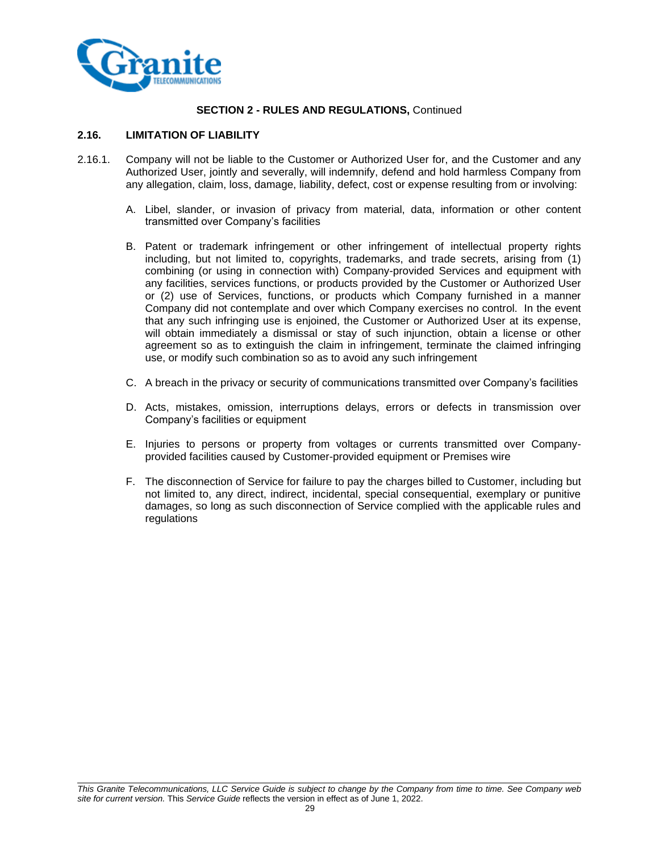

## **2.16. LIMITATION OF LIABILITY**

- 2.16.1. Company will not be liable to the Customer or Authorized User for, and the Customer and any Authorized User, jointly and severally, will indemnify, defend and hold harmless Company from any allegation, claim, loss, damage, liability, defect, cost or expense resulting from or involving:
	- A. Libel, slander, or invasion of privacy from material, data, information or other content transmitted over Company's facilities
	- B. Patent or trademark infringement or other infringement of intellectual property rights including, but not limited to, copyrights, trademarks, and trade secrets, arising from (1) combining (or using in connection with) Company-provided Services and equipment with any facilities, services functions, or products provided by the Customer or Authorized User or (2) use of Services, functions, or products which Company furnished in a manner Company did not contemplate and over which Company exercises no control. In the event that any such infringing use is enjoined, the Customer or Authorized User at its expense, will obtain immediately a dismissal or stay of such injunction, obtain a license or other agreement so as to extinguish the claim in infringement, terminate the claimed infringing use, or modify such combination so as to avoid any such infringement
	- C. A breach in the privacy or security of communications transmitted over Company's facilities
	- D. Acts, mistakes, omission, interruptions delays, errors or defects in transmission over Company's facilities or equipment
	- E. Injuries to persons or property from voltages or currents transmitted over Companyprovided facilities caused by Customer-provided equipment or Premises wire
	- F. The disconnection of Service for failure to pay the charges billed to Customer, including but not limited to, any direct, indirect, incidental, special consequential, exemplary or punitive damages, so long as such disconnection of Service complied with the applicable rules and regulations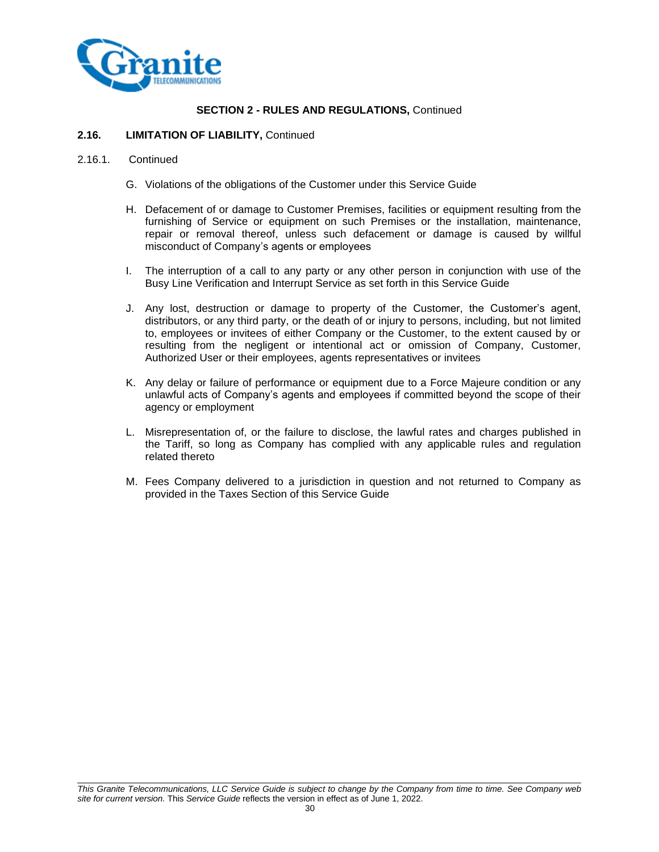

#### **2.16. LIMITATION OF LIABILITY,** Continued

#### 2.16.1. Continued

- G. Violations of the obligations of the Customer under this Service Guide
- H. Defacement of or damage to Customer Premises, facilities or equipment resulting from the furnishing of Service or equipment on such Premises or the installation, maintenance, repair or removal thereof, unless such defacement or damage is caused by willful misconduct of Company's agents or employees
- I. The interruption of a call to any party or any other person in conjunction with use of the Busy Line Verification and Interrupt Service as set forth in this Service Guide
- J. Any lost, destruction or damage to property of the Customer, the Customer's agent, distributors, or any third party, or the death of or injury to persons, including, but not limited to, employees or invitees of either Company or the Customer, to the extent caused by or resulting from the negligent or intentional act or omission of Company, Customer, Authorized User or their employees, agents representatives or invitees
- K. Any delay or failure of performance or equipment due to a Force Majeure condition or any unlawful acts of Company's agents and employees if committed beyond the scope of their agency or employment
- L. Misrepresentation of, or the failure to disclose, the lawful rates and charges published in the Tariff, so long as Company has complied with any applicable rules and regulation related thereto
- M. Fees Company delivered to a jurisdiction in question and not returned to Company as provided in the Taxes Section of this Service Guide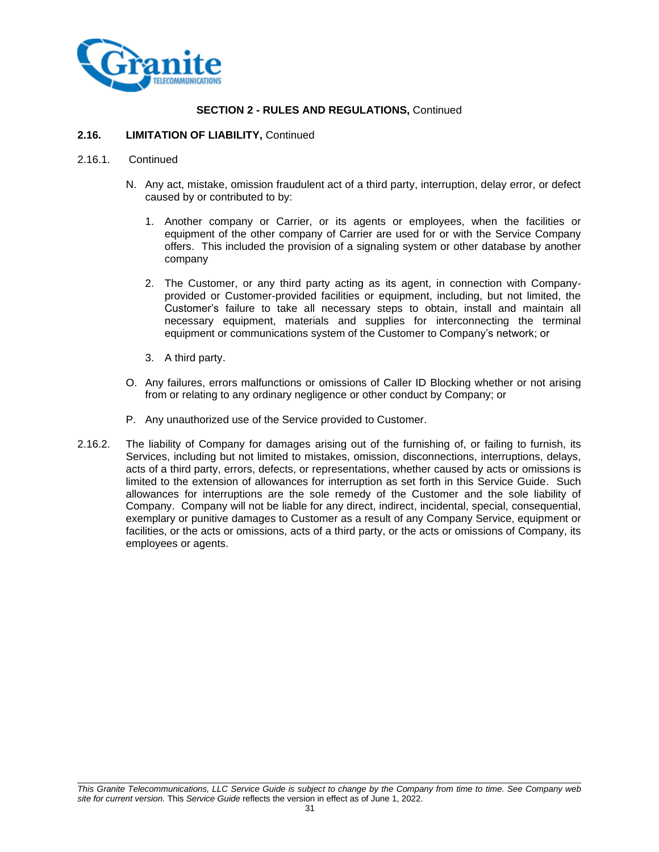

#### **2.16. LIMITATION OF LIABILITY,** Continued

#### 2.16.1. Continued

- N. Any act, mistake, omission fraudulent act of a third party, interruption, delay error, or defect caused by or contributed to by:
	- 1. Another company or Carrier, or its agents or employees, when the facilities or equipment of the other company of Carrier are used for or with the Service Company offers. This included the provision of a signaling system or other database by another company
	- 2. The Customer, or any third party acting as its agent, in connection with Companyprovided or Customer-provided facilities or equipment, including, but not limited, the Customer's failure to take all necessary steps to obtain, install and maintain all necessary equipment, materials and supplies for interconnecting the terminal equipment or communications system of the Customer to Company's network; or
	- 3. A third party.
- O. Any failures, errors malfunctions or omissions of Caller ID Blocking whether or not arising from or relating to any ordinary negligence or other conduct by Company; or
- P. Any unauthorized use of the Service provided to Customer.
- 2.16.2. The liability of Company for damages arising out of the furnishing of, or failing to furnish, its Services, including but not limited to mistakes, omission, disconnections, interruptions, delays, acts of a third party, errors, defects, or representations, whether caused by acts or omissions is limited to the extension of allowances for interruption as set forth in this Service Guide. Such allowances for interruptions are the sole remedy of the Customer and the sole liability of Company. Company will not be liable for any direct, indirect, incidental, special, consequential, exemplary or punitive damages to Customer as a result of any Company Service, equipment or facilities, or the acts or omissions, acts of a third party, or the acts or omissions of Company, its employees or agents.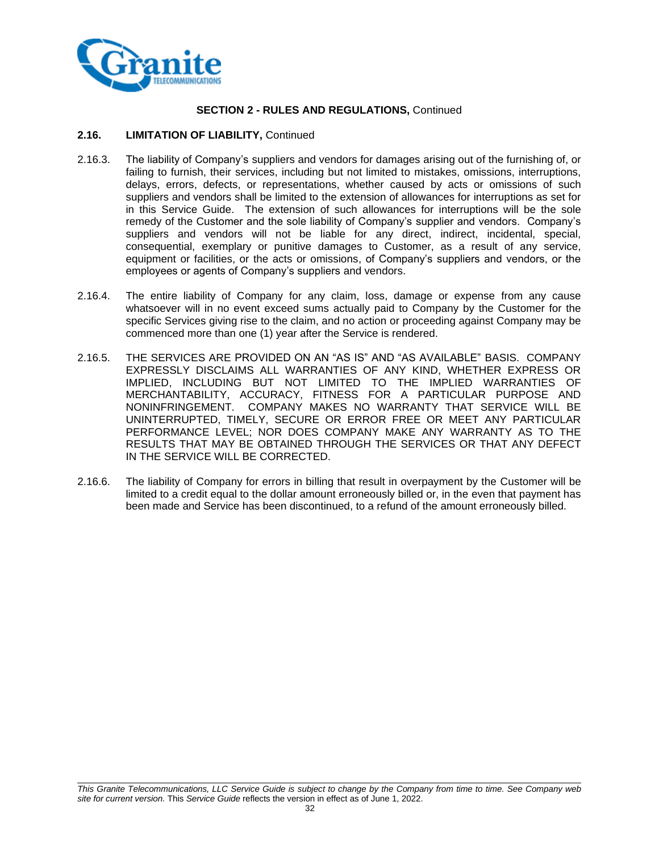

#### **2.16. LIMITATION OF LIABILITY,** Continued

- 2.16.3. The liability of Company's suppliers and vendors for damages arising out of the furnishing of, or failing to furnish, their services, including but not limited to mistakes, omissions, interruptions, delays, errors, defects, or representations, whether caused by acts or omissions of such suppliers and vendors shall be limited to the extension of allowances for interruptions as set for in this Service Guide. The extension of such allowances for interruptions will be the sole remedy of the Customer and the sole liability of Company's supplier and vendors. Company's suppliers and vendors will not be liable for any direct, indirect, incidental, special, consequential, exemplary or punitive damages to Customer, as a result of any service, equipment or facilities, or the acts or omissions, of Company's suppliers and vendors, or the employees or agents of Company's suppliers and vendors.
- 2.16.4. The entire liability of Company for any claim, loss, damage or expense from any cause whatsoever will in no event exceed sums actually paid to Company by the Customer for the specific Services giving rise to the claim, and no action or proceeding against Company may be commenced more than one (1) year after the Service is rendered.
- 2.16.5. THE SERVICES ARE PROVIDED ON AN "AS IS" AND "AS AVAILABLE" BASIS. COMPANY EXPRESSLY DISCLAIMS ALL WARRANTIES OF ANY KIND, WHETHER EXPRESS OR IMPLIED, INCLUDING BUT NOT LIMITED TO THE IMPLIED WARRANTIES OF MERCHANTABILITY, ACCURACY, FITNESS FOR A PARTICULAR PURPOSE AND NONINFRINGEMENT. COMPANY MAKES NO WARRANTY THAT SERVICE WILL BE UNINTERRUPTED, TIMELY, SECURE OR ERROR FREE OR MEET ANY PARTICULAR PERFORMANCE LEVEL; NOR DOES COMPANY MAKE ANY WARRANTY AS TO THE RESULTS THAT MAY BE OBTAINED THROUGH THE SERVICES OR THAT ANY DEFECT IN THE SERVICE WILL BE CORRECTED.
- 2.16.6. The liability of Company for errors in billing that result in overpayment by the Customer will be limited to a credit equal to the dollar amount erroneously billed or, in the even that payment has been made and Service has been discontinued, to a refund of the amount erroneously billed.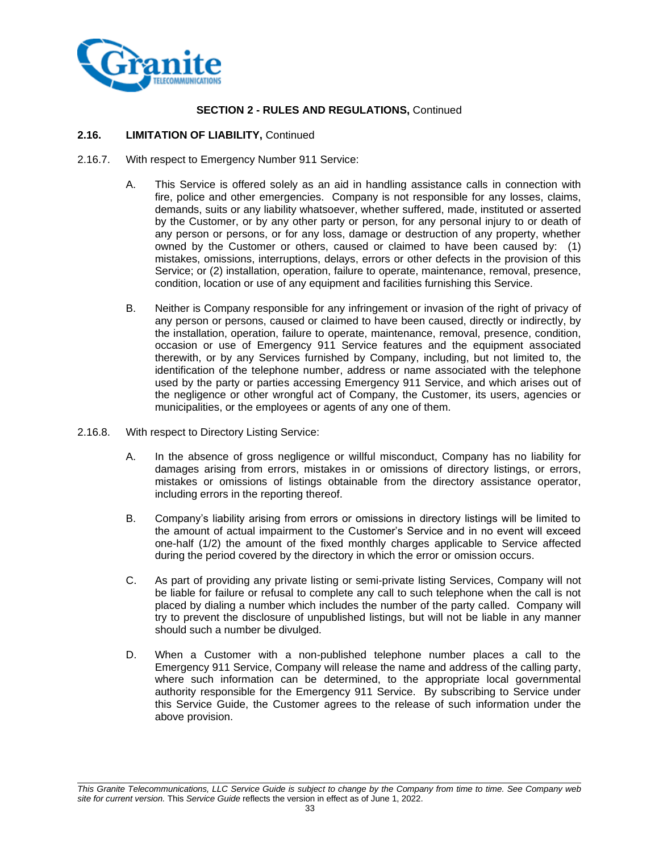

#### **2.16. LIMITATION OF LIABILITY,** Continued

- 2.16.7. With respect to Emergency Number 911 Service:
	- A. This Service is offered solely as an aid in handling assistance calls in connection with fire, police and other emergencies. Company is not responsible for any losses, claims, demands, suits or any liability whatsoever, whether suffered, made, instituted or asserted by the Customer, or by any other party or person, for any personal injury to or death of any person or persons, or for any loss, damage or destruction of any property, whether owned by the Customer or others, caused or claimed to have been caused by: (1) mistakes, omissions, interruptions, delays, errors or other defects in the provision of this Service; or (2) installation, operation, failure to operate, maintenance, removal, presence, condition, location or use of any equipment and facilities furnishing this Service.
	- B. Neither is Company responsible for any infringement or invasion of the right of privacy of any person or persons, caused or claimed to have been caused, directly or indirectly, by the installation, operation, failure to operate, maintenance, removal, presence, condition, occasion or use of Emergency 911 Service features and the equipment associated therewith, or by any Services furnished by Company, including, but not limited to, the identification of the telephone number, address or name associated with the telephone used by the party or parties accessing Emergency 911 Service, and which arises out of the negligence or other wrongful act of Company, the Customer, its users, agencies or municipalities, or the employees or agents of any one of them.
- 2.16.8. With respect to Directory Listing Service:
	- A. In the absence of gross negligence or willful misconduct, Company has no liability for damages arising from errors, mistakes in or omissions of directory listings, or errors, mistakes or omissions of listings obtainable from the directory assistance operator, including errors in the reporting thereof.
	- B. Company's liability arising from errors or omissions in directory listings will be limited to the amount of actual impairment to the Customer's Service and in no event will exceed one-half (1/2) the amount of the fixed monthly charges applicable to Service affected during the period covered by the directory in which the error or omission occurs.
	- C. As part of providing any private listing or semi-private listing Services, Company will not be liable for failure or refusal to complete any call to such telephone when the call is not placed by dialing a number which includes the number of the party called. Company will try to prevent the disclosure of unpublished listings, but will not be liable in any manner should such a number be divulged.
	- D. When a Customer with a non-published telephone number places a call to the Emergency 911 Service, Company will release the name and address of the calling party, where such information can be determined, to the appropriate local governmental authority responsible for the Emergency 911 Service. By subscribing to Service under this Service Guide, the Customer agrees to the release of such information under the above provision.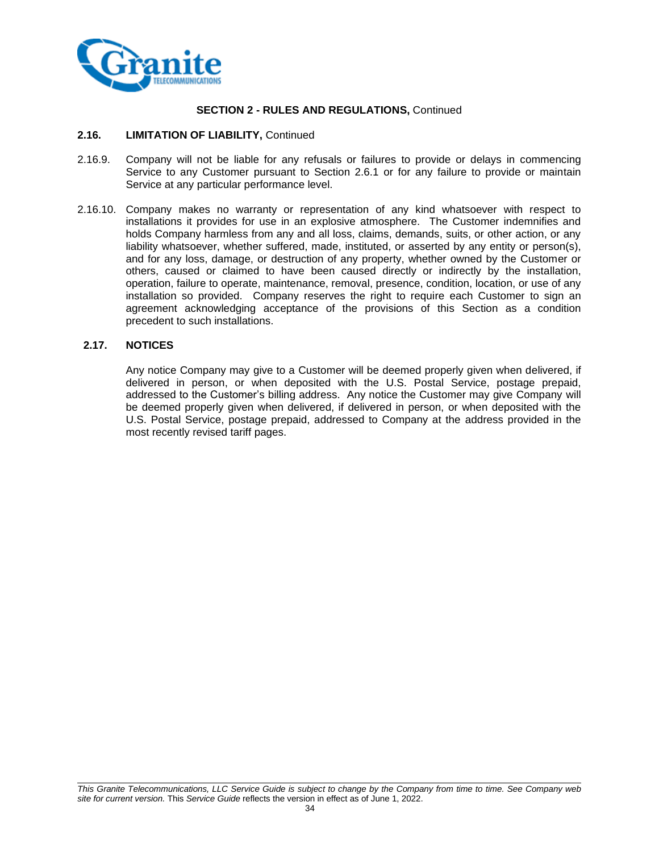

#### **2.16. LIMITATION OF LIABILITY,** Continued

- 2.16.9. Company will not be liable for any refusals or failures to provide or delays in commencing Service to any Customer pursuant to Section 2.6.1 or for any failure to provide or maintain Service at any particular performance level.
- 2.16.10. Company makes no warranty or representation of any kind whatsoever with respect to installations it provides for use in an explosive atmosphere. The Customer indemnifies and holds Company harmless from any and all loss, claims, demands, suits, or other action, or any liability whatsoever, whether suffered, made, instituted, or asserted by any entity or person(s), and for any loss, damage, or destruction of any property, whether owned by the Customer or others, caused or claimed to have been caused directly or indirectly by the installation, operation, failure to operate, maintenance, removal, presence, condition, location, or use of any installation so provided. Company reserves the right to require each Customer to sign an agreement acknowledging acceptance of the provisions of this Section as a condition precedent to such installations.

#### **2.17. NOTICES**

Any notice Company may give to a Customer will be deemed properly given when delivered, if delivered in person, or when deposited with the U.S. Postal Service, postage prepaid, addressed to the Customer's billing address. Any notice the Customer may give Company will be deemed properly given when delivered, if delivered in person, or when deposited with the U.S. Postal Service, postage prepaid, addressed to Company at the address provided in the most recently revised tariff pages.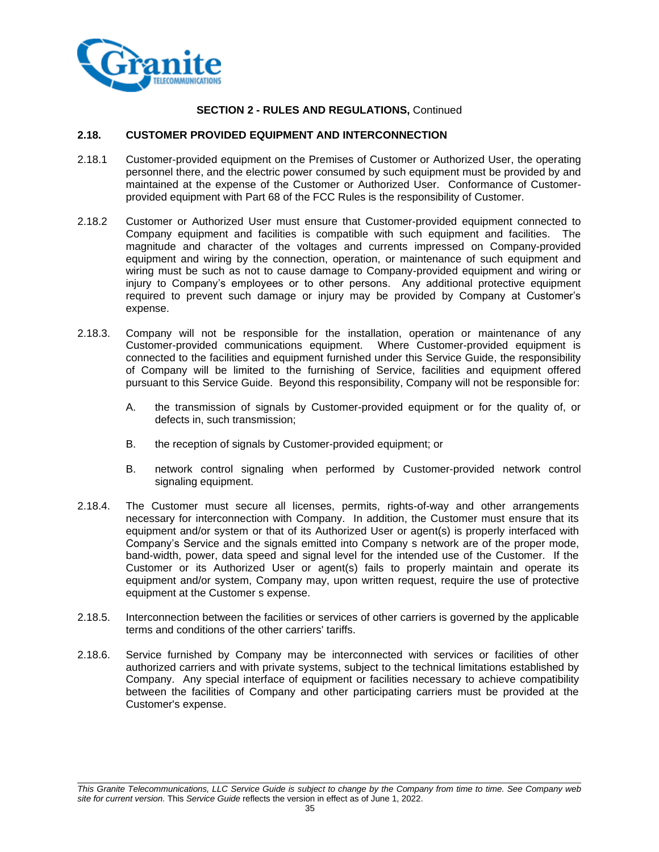

#### **2.18. CUSTOMER PROVIDED EQUIPMENT AND INTERCONNECTION**

- 2.18.1 Customer-provided equipment on the Premises of Customer or Authorized User, the operating personnel there, and the electric power consumed by such equipment must be provided by and maintained at the expense of the Customer or Authorized User. Conformance of Customerprovided equipment with Part 68 of the FCC Rules is the responsibility of Customer.
- 2.18.2 Customer or Authorized User must ensure that Customer-provided equipment connected to Company equipment and facilities is compatible with such equipment and facilities. The magnitude and character of the voltages and currents impressed on Company-provided equipment and wiring by the connection, operation, or maintenance of such equipment and wiring must be such as not to cause damage to Company-provided equipment and wiring or injury to Company's employees or to other persons. Any additional protective equipment required to prevent such damage or injury may be provided by Company at Customer's expense.
- 2.18.3. Company will not be responsible for the installation, operation or maintenance of any Customer-provided communications equipment. Where Customer-provided equipment is connected to the facilities and equipment furnished under this Service Guide, the responsibility of Company will be limited to the furnishing of Service, facilities and equipment offered pursuant to this Service Guide. Beyond this responsibility, Company will not be responsible for:
	- A. the transmission of signals by Customer-provided equipment or for the quality of, or defects in, such transmission;
	- B. the reception of signals by Customer-provided equipment; or
	- B. network control signaling when performed by Customer-provided network control signaling equipment.
- 2.18.4. The Customer must secure all licenses, permits, rights-of-way and other arrangements necessary for interconnection with Company. In addition, the Customer must ensure that its equipment and/or system or that of its Authorized User or agent(s) is properly interfaced with Company's Service and the signals emitted into Company s network are of the proper mode, band-width, power, data speed and signal level for the intended use of the Customer. If the Customer or its Authorized User or agent(s) fails to properly maintain and operate its equipment and/or system, Company may, upon written request, require the use of protective equipment at the Customer s expense.
- 2.18.5. Interconnection between the facilities or services of other carriers is governed by the applicable terms and conditions of the other carriers' tariffs.
- 2.18.6. Service furnished by Company may be interconnected with services or facilities of other authorized carriers and with private systems, subject to the technical limitations established by Company. Any special interface of equipment or facilities necessary to achieve compatibility between the facilities of Company and other participating carriers must be provided at the Customer's expense.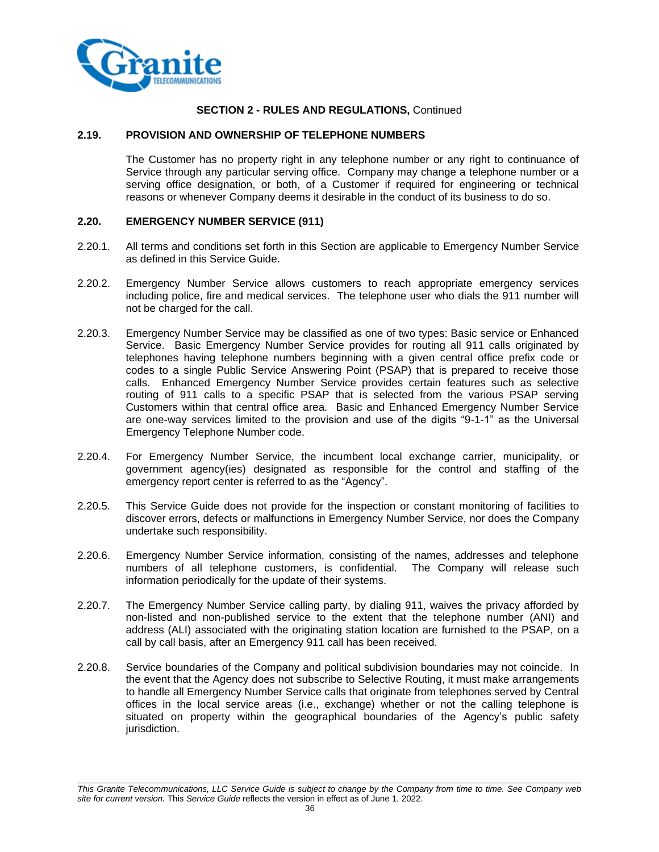

#### **2.19. PROVISION AND OWNERSHIP OF TELEPHONE NUMBERS**

The Customer has no property right in any telephone number or any right to continuance of Service through any particular serving office. Company may change a telephone number or a serving office designation, or both, of a Customer if required for engineering or technical reasons or whenever Company deems it desirable in the conduct of its business to do so.

## **2.20. EMERGENCY NUMBER SERVICE (911)**

- 2.20.1. All terms and conditions set forth in this Section are applicable to Emergency Number Service as defined in this Service Guide.
- 2.20.2. Emergency Number Service allows customers to reach appropriate emergency services including police, fire and medical services. The telephone user who dials the 911 number will not be charged for the call.
- 2.20.3. Emergency Number Service may be classified as one of two types: Basic service or Enhanced Service. Basic Emergency Number Service provides for routing all 911 calls originated by telephones having telephone numbers beginning with a given central office prefix code or codes to a single Public Service Answering Point (PSAP) that is prepared to receive those calls. Enhanced Emergency Number Service provides certain features such as selective routing of 911 calls to a specific PSAP that is selected from the various PSAP serving Customers within that central office area. Basic and Enhanced Emergency Number Service are one-way services limited to the provision and use of the digits "9-1-1" as the Universal Emergency Telephone Number code.
- 2.20.4. For Emergency Number Service, the incumbent local exchange carrier, municipality, or government agency(ies) designated as responsible for the control and staffing of the emergency report center is referred to as the "Agency".
- 2.20.5. This Service Guide does not provide for the inspection or constant monitoring of facilities to discover errors, defects or malfunctions in Emergency Number Service, nor does the Company undertake such responsibility.
- 2.20.6. Emergency Number Service information, consisting of the names, addresses and telephone numbers of all telephone customers, is confidential. The Company will release such information periodically for the update of their systems.
- 2.20.7. The Emergency Number Service calling party, by dialing 911, waives the privacy afforded by non-listed and non-published service to the extent that the telephone number (ANI) and address (ALI) associated with the originating station location are furnished to the PSAP, on a call by call basis, after an Emergency 911 call has been received.
- 2.20.8. Service boundaries of the Company and political subdivision boundaries may not coincide. In the event that the Agency does not subscribe to Selective Routing, it must make arrangements to handle all Emergency Number Service calls that originate from telephones served by Central offices in the local service areas (i.e., exchange) whether or not the calling telephone is situated on property within the geographical boundaries of the Agency's public safety jurisdiction.

*This Granite Telecommunications, LLC Service Guide is subject to change by the Company from time to time. See Company web site for current version.* This *Service Guide* reflects the version in effect as of June 1, 2022.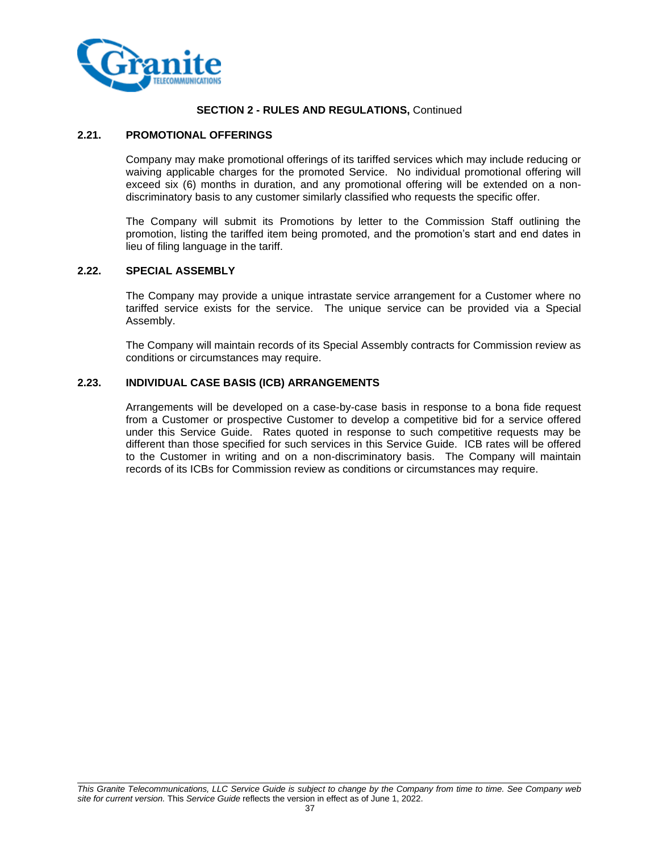

### **SECTION 2 - RULES AND REGULATIONS,** Continued

#### **2.21. PROMOTIONAL OFFERINGS**

Company may make promotional offerings of its tariffed services which may include reducing or waiving applicable charges for the promoted Service. No individual promotional offering will exceed six (6) months in duration, and any promotional offering will be extended on a nondiscriminatory basis to any customer similarly classified who requests the specific offer.

The Company will submit its Promotions by letter to the Commission Staff outlining the promotion, listing the tariffed item being promoted, and the promotion's start and end dates in lieu of filing language in the tariff.

#### **2.22. SPECIAL ASSEMBLY**

The Company may provide a unique intrastate service arrangement for a Customer where no tariffed service exists for the service. The unique service can be provided via a Special Assembly.

The Company will maintain records of its Special Assembly contracts for Commission review as conditions or circumstances may require.

#### **2.23. INDIVIDUAL CASE BASIS (ICB) ARRANGEMENTS**

Arrangements will be developed on a case-by-case basis in response to a bona fide request from a Customer or prospective Customer to develop a competitive bid for a service offered under this Service Guide. Rates quoted in response to such competitive requests may be different than those specified for such services in this Service Guide. ICB rates will be offered to the Customer in writing and on a non-discriminatory basis. The Company will maintain records of its ICBs for Commission review as conditions or circumstances may require.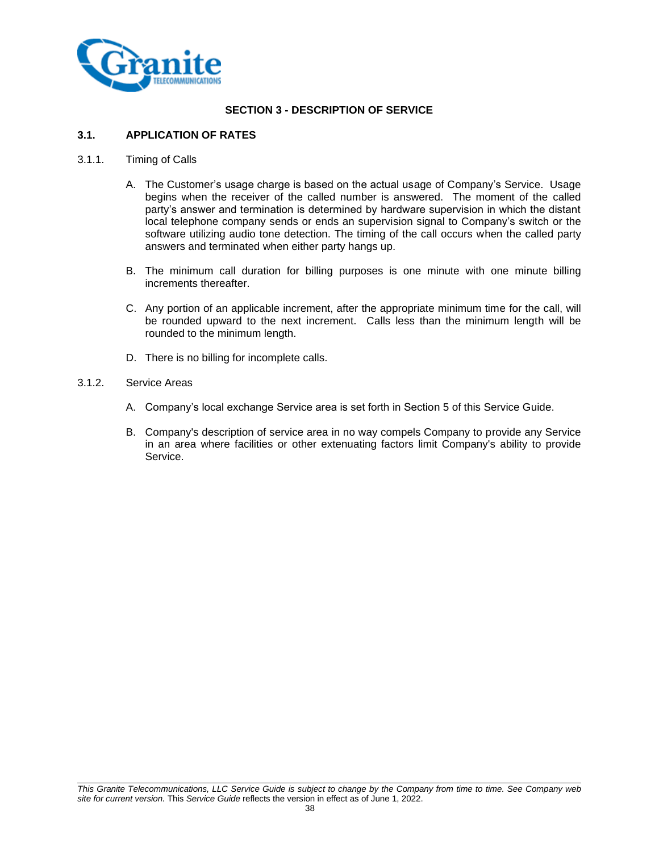

# **SECTION 3 - DESCRIPTION OF SERVICE**

# **3.1. APPLICATION OF RATES**

#### 3.1.1. Timing of Calls

- A. The Customer's usage charge is based on the actual usage of Company's Service. Usage begins when the receiver of the called number is answered. The moment of the called party's answer and termination is determined by hardware supervision in which the distant local telephone company sends or ends an supervision signal to Company's switch or the software utilizing audio tone detection. The timing of the call occurs when the called party answers and terminated when either party hangs up.
- B. The minimum call duration for billing purposes is one minute with one minute billing increments thereafter.
- C. Any portion of an applicable increment, after the appropriate minimum time for the call, will be rounded upward to the next increment. Calls less than the minimum length will be rounded to the minimum length.
- D. There is no billing for incomplete calls.

#### 3.1.2. Service Areas

- A. Company's local exchange Service area is set forth in Section 5 of this Service Guide.
- B. Company's description of service area in no way compels Company to provide any Service in an area where facilities or other extenuating factors limit Company's ability to provide Service.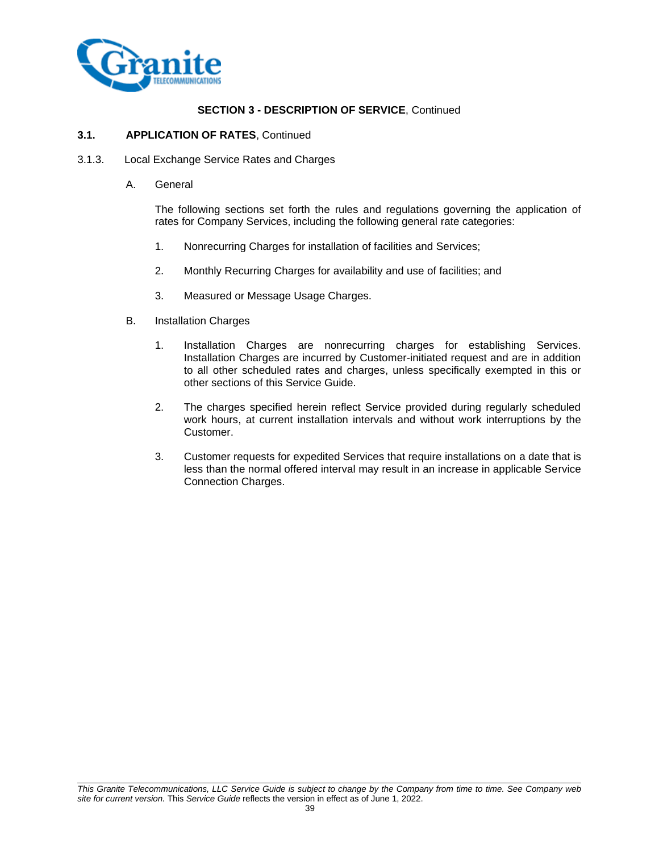

#### **3.1. APPLICATION OF RATES**, Continued

- 3.1.3. Local Exchange Service Rates and Charges
	- A. General

The following sections set forth the rules and regulations governing the application of rates for Company Services, including the following general rate categories:

- 1. Nonrecurring Charges for installation of facilities and Services;
- 2. Monthly Recurring Charges for availability and use of facilities; and
- 3. Measured or Message Usage Charges.
- B. Installation Charges
	- 1. Installation Charges are nonrecurring charges for establishing Services. Installation Charges are incurred by Customer-initiated request and are in addition to all other scheduled rates and charges, unless specifically exempted in this or other sections of this Service Guide.
	- 2. The charges specified herein reflect Service provided during regularly scheduled work hours, at current installation intervals and without work interruptions by the Customer.
	- 3. Customer requests for expedited Services that require installations on a date that is less than the normal offered interval may result in an increase in applicable Service Connection Charges.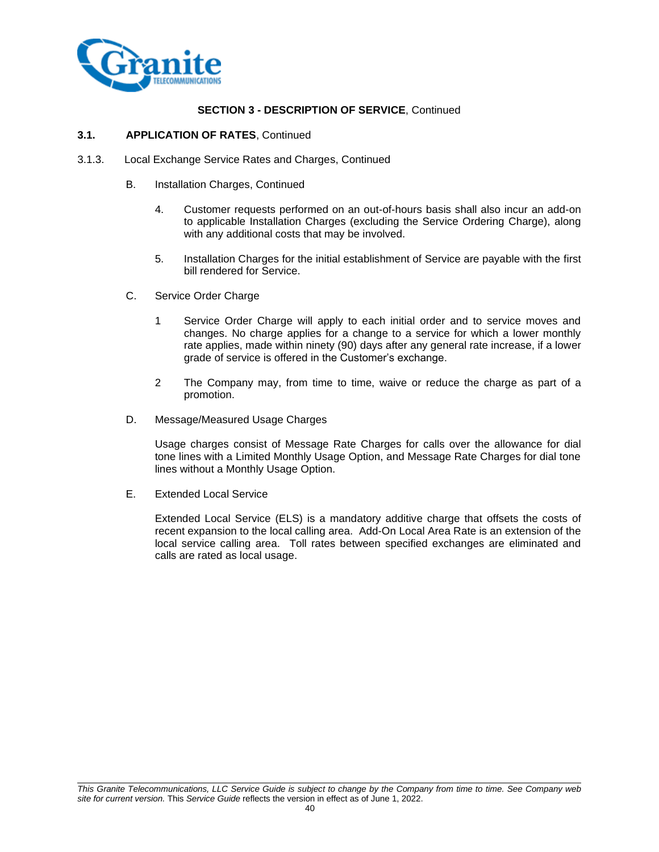

#### **3.1. APPLICATION OF RATES**, Continued

- 3.1.3. Local Exchange Service Rates and Charges, Continued
	- B. Installation Charges, Continued
		- 4. Customer requests performed on an out-of-hours basis shall also incur an add-on to applicable Installation Charges (excluding the Service Ordering Charge), along with any additional costs that may be involved.
		- 5. Installation Charges for the initial establishment of Service are payable with the first bill rendered for Service.
	- C. Service Order Charge
		- 1 Service Order Charge will apply to each initial order and to service moves and changes. No charge applies for a change to a service for which a lower monthly rate applies, made within ninety (90) days after any general rate increase, if a lower grade of service is offered in the Customer's exchange.
		- 2 The Company may, from time to time, waive or reduce the charge as part of a promotion.
	- D. Message/Measured Usage Charges

Usage charges consist of Message Rate Charges for calls over the allowance for dial tone lines with a Limited Monthly Usage Option, and Message Rate Charges for dial tone lines without a Monthly Usage Option.

E. Extended Local Service

Extended Local Service (ELS) is a mandatory additive charge that offsets the costs of recent expansion to the local calling area. Add-On Local Area Rate is an extension of the local service calling area. Toll rates between specified exchanges are eliminated and calls are rated as local usage.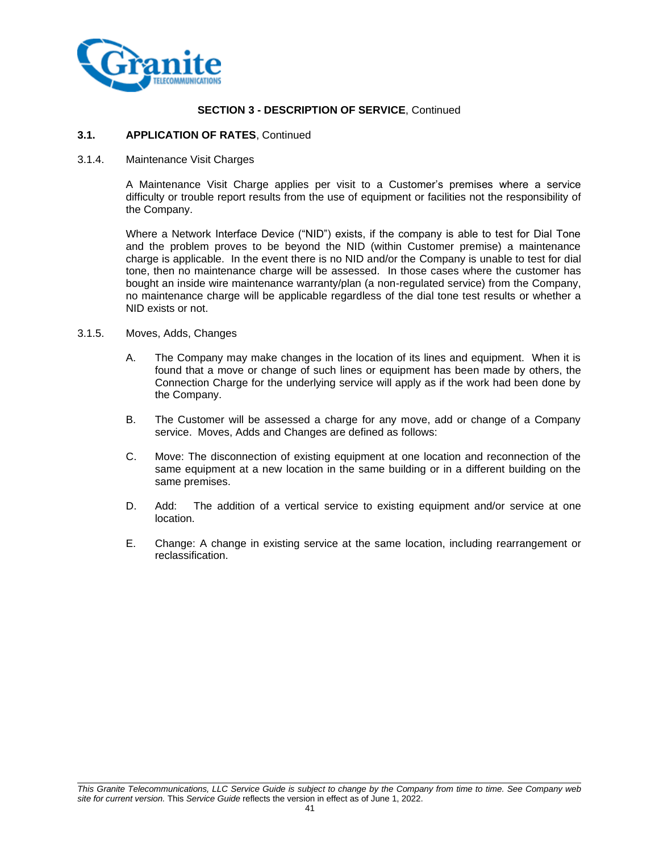

#### **3.1. APPLICATION OF RATES**, Continued

3.1.4. Maintenance Visit Charges

A Maintenance Visit Charge applies per visit to a Customer's premises where a service difficulty or trouble report results from the use of equipment or facilities not the responsibility of the Company.

Where a Network Interface Device ("NID") exists, if the company is able to test for Dial Tone and the problem proves to be beyond the NID (within Customer premise) a maintenance charge is applicable. In the event there is no NID and/or the Company is unable to test for dial tone, then no maintenance charge will be assessed. In those cases where the customer has bought an inside wire maintenance warranty/plan (a non-regulated service) from the Company, no maintenance charge will be applicable regardless of the dial tone test results or whether a NID exists or not.

- 3.1.5. Moves, Adds, Changes
	- A. The Company may make changes in the location of its lines and equipment. When it is found that a move or change of such lines or equipment has been made by others, the Connection Charge for the underlying service will apply as if the work had been done by the Company.
	- B. The Customer will be assessed a charge for any move, add or change of a Company service. Moves, Adds and Changes are defined as follows:
	- C. Move: The disconnection of existing equipment at one location and reconnection of the same equipment at a new location in the same building or in a different building on the same premises.
	- D. Add: The addition of a vertical service to existing equipment and/or service at one location.
	- E. Change: A change in existing service at the same location, including rearrangement or reclassification.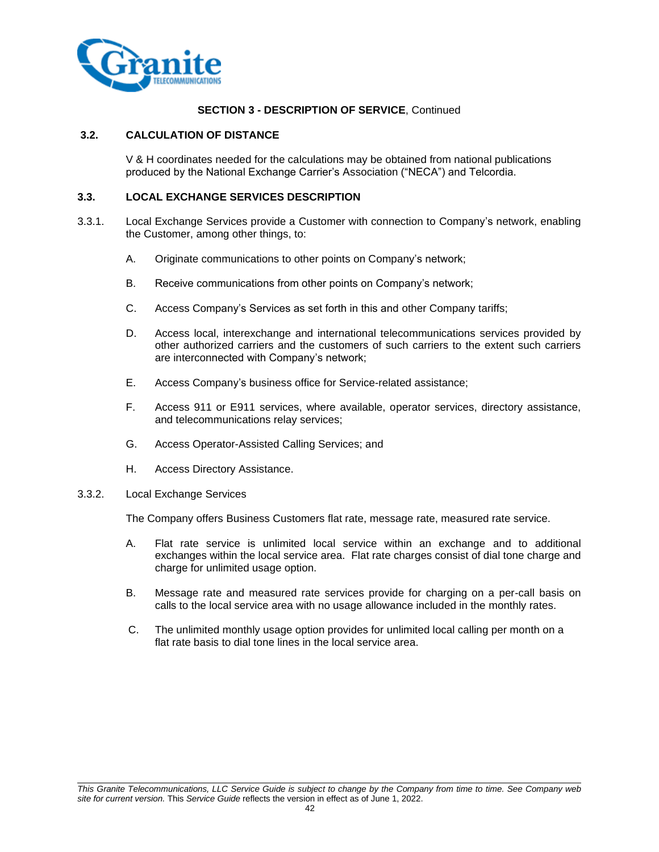

### **3.2. CALCULATION OF DISTANCE**

V & H coordinates needed for the calculations may be obtained from national publications produced by the National Exchange Carrier's Association ("NECA") and Telcordia.

#### **3.3. LOCAL EXCHANGE SERVICES DESCRIPTION**

- 3.3.1. Local Exchange Services provide a Customer with connection to Company's network, enabling the Customer, among other things, to:
	- A. Originate communications to other points on Company's network;
	- B. Receive communications from other points on Company's network;
	- C. Access Company's Services as set forth in this and other Company tariffs;
	- D. Access local, interexchange and international telecommunications services provided by other authorized carriers and the customers of such carriers to the extent such carriers are interconnected with Company's network;
	- E. Access Company's business office for Service-related assistance;
	- F. Access 911 or E911 services, where available, operator services, directory assistance, and telecommunications relay services;
	- G. Access Operator-Assisted Calling Services; and
	- H. Access Directory Assistance.

#### 3.3.2. Local Exchange Services

The Company offers Business Customers flat rate, message rate, measured rate service.

- A. Flat rate service is unlimited local service within an exchange and to additional exchanges within the local service area. Flat rate charges consist of dial tone charge and charge for unlimited usage option.
- B. Message rate and measured rate services provide for charging on a per-call basis on calls to the local service area with no usage allowance included in the monthly rates.
- C. The unlimited monthly usage option provides for unlimited local calling per month on a flat rate basis to dial tone lines in the local service area.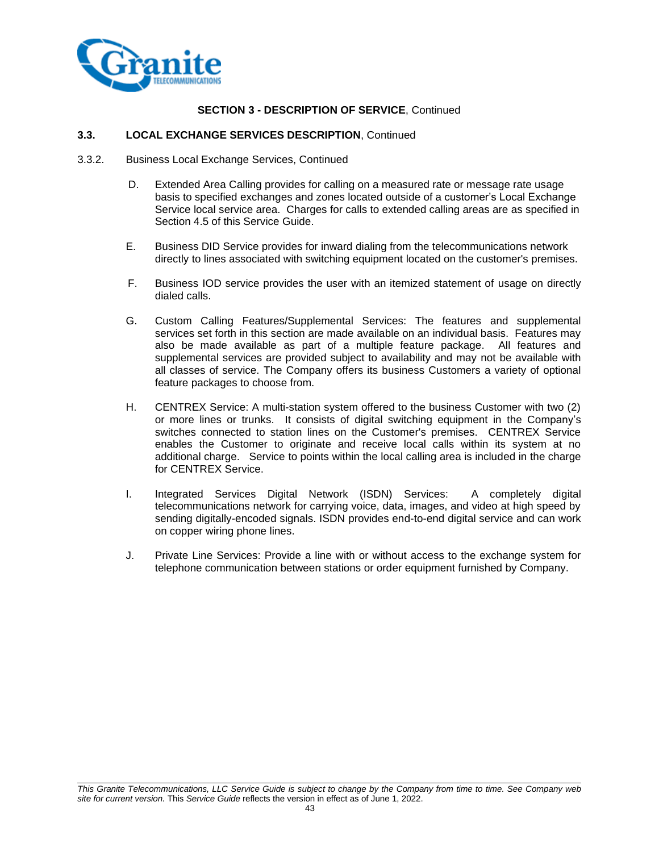

# **3.3. LOCAL EXCHANGE SERVICES DESCRIPTION**, Continued

- 3.3.2. Business Local Exchange Services, Continued
	- D. Extended Area Calling provides for calling on a measured rate or message rate usage basis to specified exchanges and zones located outside of a customer's Local Exchange Service local service area. Charges for calls to extended calling areas are as specified in Section 4.5 of this Service Guide.
	- E. Business DID Service provides for inward dialing from the telecommunications network directly to lines associated with switching equipment located on the customer's premises.
	- F. Business IOD service provides the user with an itemized statement of usage on directly dialed calls.
	- G. Custom Calling Features/Supplemental Services: The features and supplemental services set forth in this section are made available on an individual basis. Features may also be made available as part of a multiple feature package. All features and supplemental services are provided subject to availability and may not be available with all classes of service. The Company offers its business Customers a variety of optional feature packages to choose from.
	- H. CENTREX Service: A multi-station system offered to the business Customer with two (2) or more lines or trunks. It consists of digital switching equipment in the Company's switches connected to station lines on the Customer's premises. CENTREX Service enables the Customer to originate and receive local calls within its system at no additional charge. Service to points within the local calling area is included in the charge for CENTREX Service.
	- I. Integrated Services Digital Network (ISDN) Services: A completely digital telecommunications network for carrying voice, data, images, and video at high speed by sending digitally-encoded signals. ISDN provides end-to-end digital service and can work on copper wiring phone lines.
	- J. Private Line Services: Provide a line with or without access to the exchange system for telephone communication between stations or order equipment furnished by Company.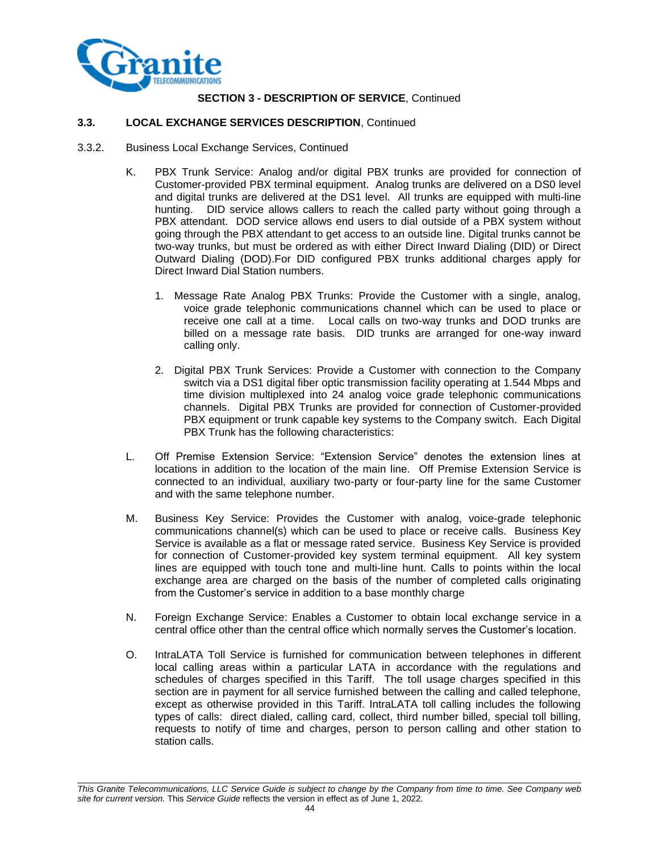

#### **3.3. LOCAL EXCHANGE SERVICES DESCRIPTION**, Continued

- 3.3.2. Business Local Exchange Services, Continued
	- K. PBX Trunk Service: Analog and/or digital PBX trunks are provided for connection of Customer-provided PBX terminal equipment. Analog trunks are delivered on a DS0 level and digital trunks are delivered at the DS1 level. All trunks are equipped with multi-line hunting. DID service allows callers to reach the called party without going through a PBX attendant. DOD service allows end users to dial outside of a PBX system without going through the PBX attendant to get access to an outside line. Digital trunks cannot be two-way trunks, but must be ordered as with either Direct Inward Dialing (DID) or Direct Outward Dialing (DOD).For DID configured PBX trunks additional charges apply for Direct Inward Dial Station numbers.
		- 1. Message Rate Analog PBX Trunks: Provide the Customer with a single, analog, voice grade telephonic communications channel which can be used to place or receive one call at a time. Local calls on two-way trunks and DOD trunks are billed on a message rate basis. DID trunks are arranged for one-way inward calling only.
		- 2. Digital PBX Trunk Services: Provide a Customer with connection to the Company switch via a DS1 digital fiber optic transmission facility operating at 1.544 Mbps and time division multiplexed into 24 analog voice grade telephonic communications channels. Digital PBX Trunks are provided for connection of Customer-provided PBX equipment or trunk capable key systems to the Company switch. Each Digital PBX Trunk has the following characteristics:
	- L. Off Premise Extension Service: "Extension Service" denotes the extension lines at locations in addition to the location of the main line. Off Premise Extension Service is connected to an individual, auxiliary two-party or four-party line for the same Customer and with the same telephone number.
	- M. Business Key Service: Provides the Customer with analog, voice-grade telephonic communications channel(s) which can be used to place or receive calls. Business Key Service is available as a flat or message rated service. Business Key Service is provided for connection of Customer-provided key system terminal equipment. All key system lines are equipped with touch tone and multi-line hunt. Calls to points within the local exchange area are charged on the basis of the number of completed calls originating from the Customer's service in addition to a base monthly charge
	- N. Foreign Exchange Service: Enables a Customer to obtain local exchange service in a central office other than the central office which normally serves the Customer's location.
	- O. IntraLATA Toll Service is furnished for communication between telephones in different local calling areas within a particular LATA in accordance with the regulations and schedules of charges specified in this Tariff. The toll usage charges specified in this section are in payment for all service furnished between the calling and called telephone, except as otherwise provided in this Tariff. IntraLATA toll calling includes the following types of calls: direct dialed, calling card, collect, third number billed, special toll billing, requests to notify of time and charges, person to person calling and other station to station calls.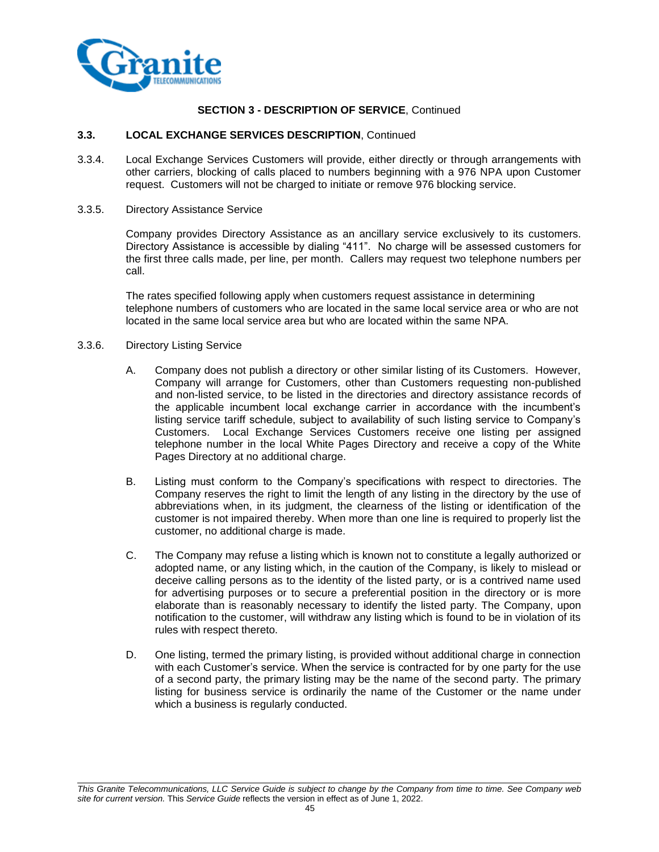

#### **3.3. LOCAL EXCHANGE SERVICES DESCRIPTION**, Continued

- 3.3.4. Local Exchange Services Customers will provide, either directly or through arrangements with other carriers, blocking of calls placed to numbers beginning with a 976 NPA upon Customer request. Customers will not be charged to initiate or remove 976 blocking service.
- 3.3.5. Directory Assistance Service

Company provides Directory Assistance as an ancillary service exclusively to its customers. Directory Assistance is accessible by dialing "411". No charge will be assessed customers for the first three calls made, per line, per month. Callers may request two telephone numbers per call.

The rates specified following apply when customers request assistance in determining telephone numbers of customers who are located in the same local service area or who are not located in the same local service area but who are located within the same NPA.

- 3.3.6. Directory Listing Service
	- A. Company does not publish a directory or other similar listing of its Customers. However, Company will arrange for Customers, other than Customers requesting non-published and non-listed service, to be listed in the directories and directory assistance records of the applicable incumbent local exchange carrier in accordance with the incumbent's listing service tariff schedule, subject to availability of such listing service to Company's Customers. Local Exchange Services Customers receive one listing per assigned telephone number in the local White Pages Directory and receive a copy of the White Pages Directory at no additional charge.
	- B. Listing must conform to the Company's specifications with respect to directories. The Company reserves the right to limit the length of any listing in the directory by the use of abbreviations when, in its judgment, the clearness of the listing or identification of the customer is not impaired thereby. When more than one line is required to properly list the customer, no additional charge is made.
	- C. The Company may refuse a listing which is known not to constitute a legally authorized or adopted name, or any listing which, in the caution of the Company, is likely to mislead or deceive calling persons as to the identity of the listed party, or is a contrived name used for advertising purposes or to secure a preferential position in the directory or is more elaborate than is reasonably necessary to identify the listed party. The Company, upon notification to the customer, will withdraw any listing which is found to be in violation of its rules with respect thereto.
	- D. One listing, termed the primary listing, is provided without additional charge in connection with each Customer's service. When the service is contracted for by one party for the use of a second party, the primary listing may be the name of the second party. The primary listing for business service is ordinarily the name of the Customer or the name under which a business is regularly conducted.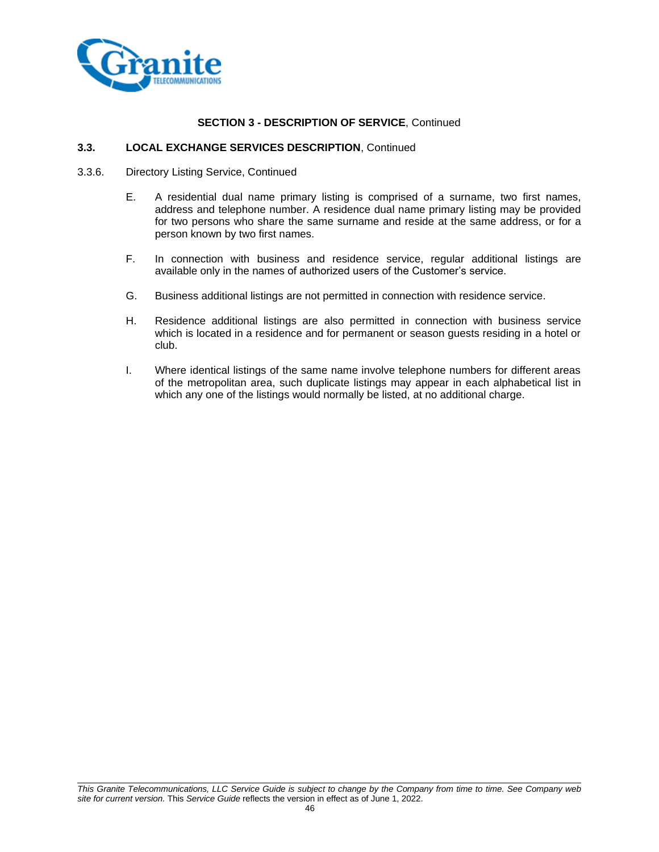

#### **3.3. LOCAL EXCHANGE SERVICES DESCRIPTION**, Continued

- 3.3.6. Directory Listing Service, Continued
	- E. A residential dual name primary listing is comprised of a surname, two first names, address and telephone number. A residence dual name primary listing may be provided for two persons who share the same surname and reside at the same address, or for a person known by two first names.
	- F. In connection with business and residence service, regular additional listings are available only in the names of authorized users of the Customer's service.
	- G. Business additional listings are not permitted in connection with residence service.
	- H. Residence additional listings are also permitted in connection with business service which is located in a residence and for permanent or season guests residing in a hotel or club.
	- I. Where identical listings of the same name involve telephone numbers for different areas of the metropolitan area, such duplicate listings may appear in each alphabetical list in which any one of the listings would normally be listed, at no additional charge.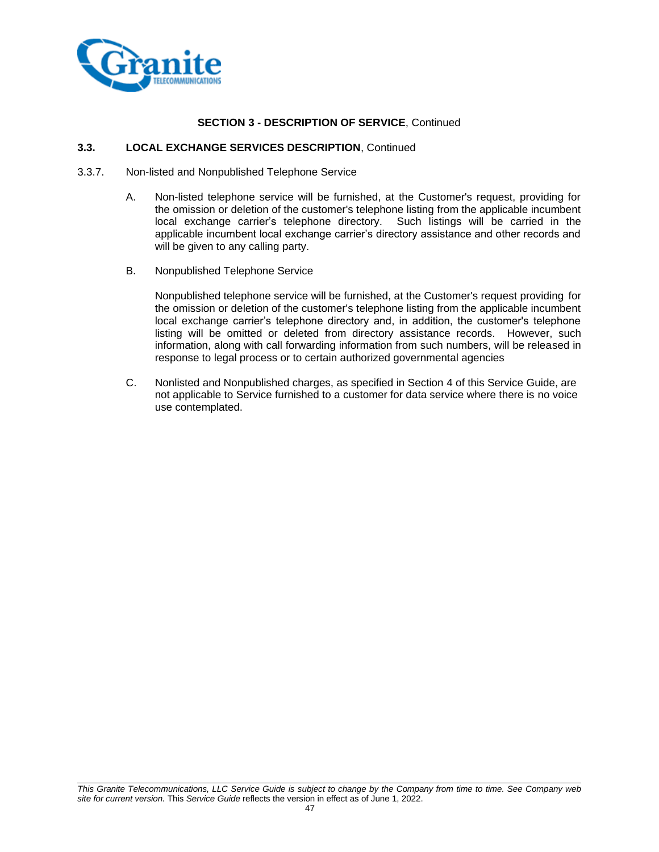

### **3.3. LOCAL EXCHANGE SERVICES DESCRIPTION**, Continued

- 3.3.7. Non-listed and Nonpublished Telephone Service
	- A. Non-listed telephone service will be furnished, at the Customer's request, providing for the omission or deletion of the customer's telephone listing from the applicable incumbent local exchange carrier's telephone directory. Such listings will be carried in the applicable incumbent local exchange carrier's directory assistance and other records and will be given to any calling party.
	- B. Nonpublished Telephone Service

Nonpublished telephone service will be furnished, at the Customer's request providing for the omission or deletion of the customer's telephone listing from the applicable incumbent local exchange carrier's telephone directory and, in addition, the customer's telephone listing will be omitted or deleted from directory assistance records. However, such information, along with call forwarding information from such numbers, will be released in response to legal process or to certain authorized governmental agencies

C. Nonlisted and Nonpublished charges, as specified in Section 4 of this Service Guide, are not applicable to Service furnished to a customer for data service where there is no voice use contemplated.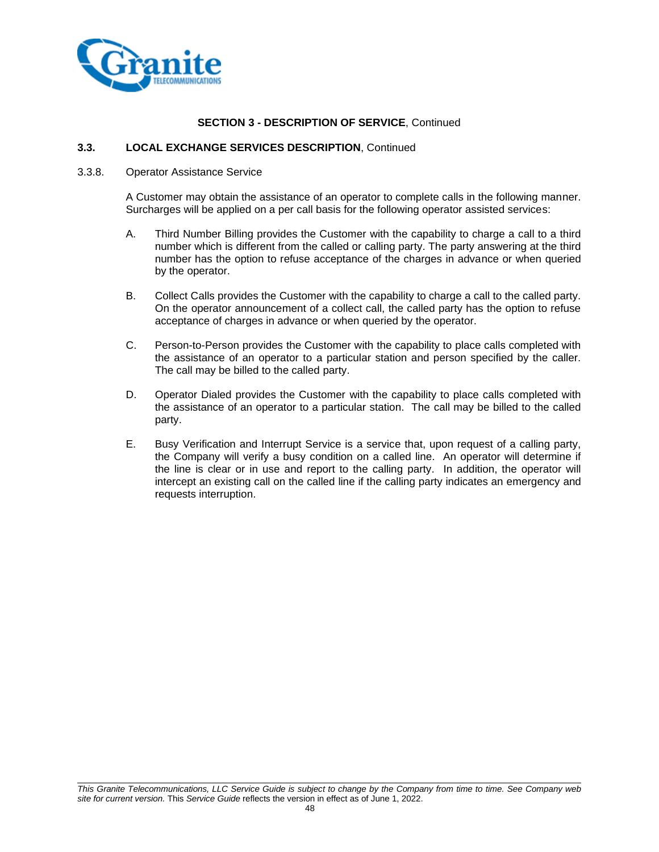

#### **3.3. LOCAL EXCHANGE SERVICES DESCRIPTION**, Continued

#### 3.3.8. Operator Assistance Service

A Customer may obtain the assistance of an operator to complete calls in the following manner. Surcharges will be applied on a per call basis for the following operator assisted services:

- A. Third Number Billing provides the Customer with the capability to charge a call to a third number which is different from the called or calling party. The party answering at the third number has the option to refuse acceptance of the charges in advance or when queried by the operator.
- B. Collect Calls provides the Customer with the capability to charge a call to the called party. On the operator announcement of a collect call, the called party has the option to refuse acceptance of charges in advance or when queried by the operator.
- C. Person-to-Person provides the Customer with the capability to place calls completed with the assistance of an operator to a particular station and person specified by the caller. The call may be billed to the called party.
- D. Operator Dialed provides the Customer with the capability to place calls completed with the assistance of an operator to a particular station. The call may be billed to the called party.
- E. Busy Verification and Interrupt Service is a service that, upon request of a calling party, the Company will verify a busy condition on a called line. An operator will determine if the line is clear or in use and report to the calling party. In addition, the operator will intercept an existing call on the called line if the calling party indicates an emergency and requests interruption.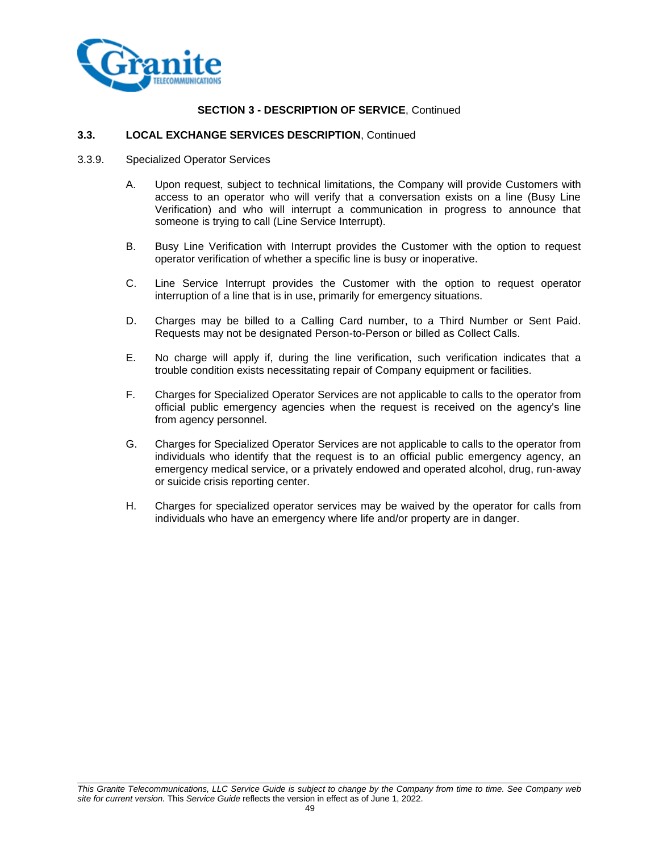

# **3.3. LOCAL EXCHANGE SERVICES DESCRIPTION**, Continued

- 3.3.9. Specialized Operator Services
	- A. Upon request, subject to technical limitations, the Company will provide Customers with access to an operator who will verify that a conversation exists on a line (Busy Line Verification) and who will interrupt a communication in progress to announce that someone is trying to call (Line Service Interrupt).
	- B. Busy Line Verification with Interrupt provides the Customer with the option to request operator verification of whether a specific line is busy or inoperative.
	- C. Line Service Interrupt provides the Customer with the option to request operator interruption of a line that is in use, primarily for emergency situations.
	- D. Charges may be billed to a Calling Card number, to a Third Number or Sent Paid. Requests may not be designated Person-to-Person or billed as Collect Calls.
	- E. No charge will apply if, during the line verification, such verification indicates that a trouble condition exists necessitating repair of Company equipment or facilities.
	- F. Charges for Specialized Operator Services are not applicable to calls to the operator from official public emergency agencies when the request is received on the agency's line from agency personnel.
	- G. Charges for Specialized Operator Services are not applicable to calls to the operator from individuals who identify that the request is to an official public emergency agency, an emergency medical service, or a privately endowed and operated alcohol, drug, run-away or suicide crisis reporting center.
	- H. Charges for specialized operator services may be waived by the operator for calls from individuals who have an emergency where life and/or property are in danger.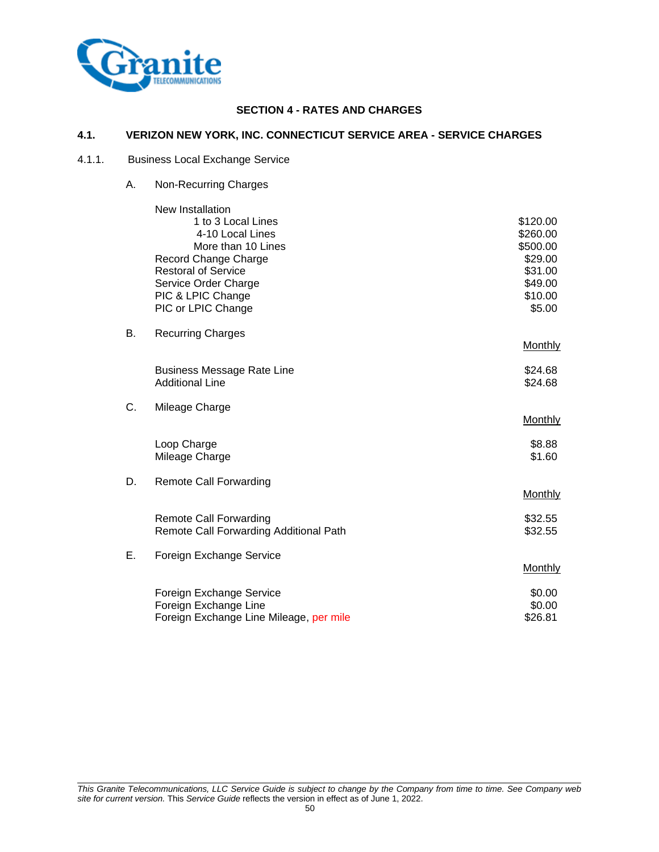

# **SECTION 4 - RATES AND CHARGES**

# **4.1. VERIZON NEW YORK, INC. CONNECTICUT SERVICE AREA - SERVICE CHARGES**

# 4.1.1. Business Local Exchange Service

A. Non-Recurring Charges

|    | New Installation<br>1 to 3 Local Lines<br>4-10 Local Lines<br>More than 10 Lines<br>Record Change Charge | \$120.00<br>\$260.00<br>\$500.00<br>\$29.00 |
|----|----------------------------------------------------------------------------------------------------------|---------------------------------------------|
|    | <b>Restoral of Service</b><br>Service Order Charge<br>PIC & LPIC Change<br>PIC or LPIC Change            | \$31.00<br>\$49.00<br>\$10.00<br>\$5.00     |
| В. | <b>Recurring Charges</b>                                                                                 | Monthly                                     |
|    | <b>Business Message Rate Line</b><br><b>Additional Line</b>                                              | \$24.68<br>\$24.68                          |
| C. | Mileage Charge                                                                                           | Monthly                                     |
|    | Loop Charge<br>Mileage Charge                                                                            | \$8.88<br>\$1.60                            |
| D. | <b>Remote Call Forwarding</b>                                                                            | <b>Monthly</b>                              |
|    | <b>Remote Call Forwarding</b><br>Remote Call Forwarding Additional Path                                  | \$32.55<br>\$32.55                          |
| Е. | Foreign Exchange Service                                                                                 | Monthly                                     |
|    | Foreign Exchange Service<br>Foreign Exchange Line<br>Foreign Exchange Line Mileage, per mile             | \$0.00<br>\$0.00<br>\$26.81                 |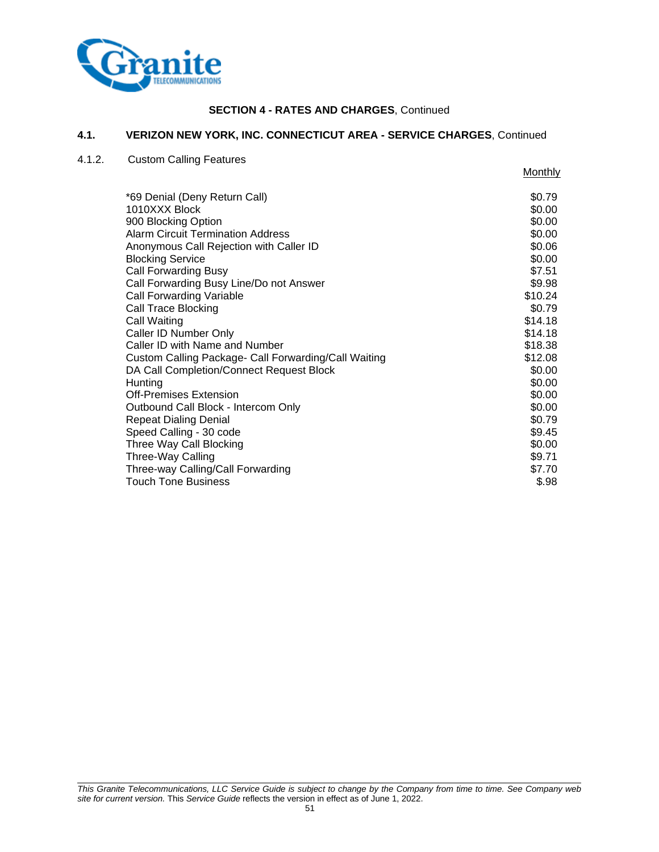

#### **4.1. VERIZON NEW YORK, INC. CONNECTICUT AREA - SERVICE CHARGES**, Continued

### 4.1.2. Custom Calling Features

**Monthly** \*69 Denial (Deny Return Call) \$0.79 <br>1010XXX Block \$0.00  $1010XXX$  Block 900 Blocking Option  $$0.00$ Alarm Circuit Termination Address **\$0.00**  $$0.00$ Anonymous Call Rejection with Caller ID  $$0.06$ Blocking Service **\$0.00** Call Forwarding Busy \$7.51 Call Forwarding Busy Line/Do not Answer \$9.98 Call Forwarding Variable  $$10.24$ Call Trace Blocking  $\sim$  80.79 Call Waiting \$14.18 Caller ID Number Only **\$14.18** Caller ID with Name and Number  $$18.38$ Custom Calling Package- Call Forwarding/Call Waiting \$12.08 DA Call Completion/Connect Request Block \$0.00 Hunting \$0.00 Off-Premises Extension  $$0.00$ Outbound Call Block - Intercom Only **\$0.00** \$0.00 Repeat Dialing Denial  $$0.79$ Speed Calling - 30 code \$9.45<br>
Three Way Call Blocking \$9.45 Three Way Call Blocking Three-Way Calling **\$9.71** Three-way Calling/Call Forwarding  $$7.70$ Touch Tone Business **\$.98** S.98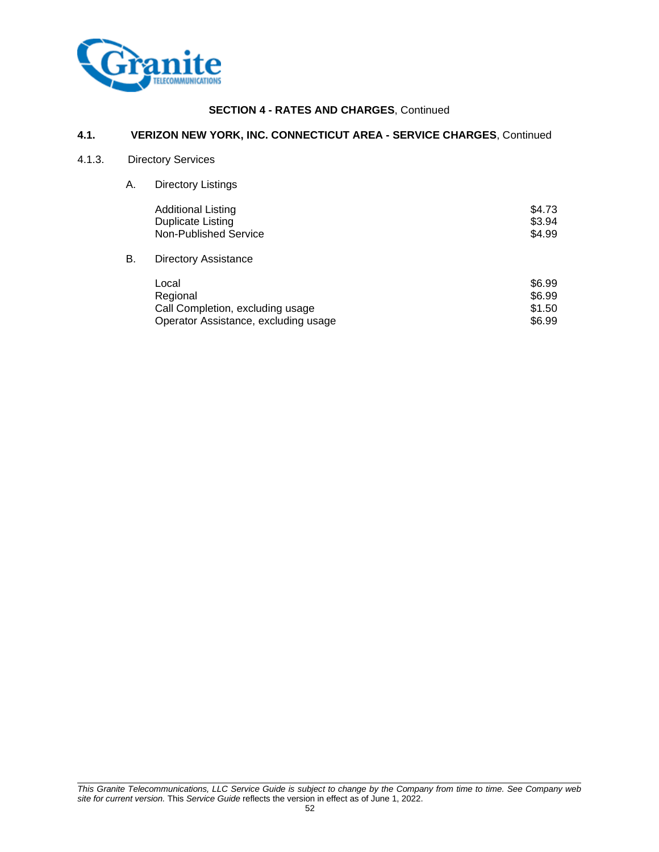

# **4.1. VERIZON NEW YORK, INC. CONNECTICUT AREA - SERVICE CHARGES**, Continued

#### 4.1.3. Directory Services

A. Directory Listings

|    | <b>Additional Listing</b><br><b>Duplicate Listing</b><br>Non-Published Service | \$4.73<br>\$3.94<br>\$4.99 |
|----|--------------------------------------------------------------------------------|----------------------------|
| В. | <b>Directory Assistance</b>                                                    |                            |
|    | Local<br>Regional<br>Call Completion, excluding usage                          | \$6.99<br>\$6.99<br>\$1.50 |

Operator Assistance, excluding usage \$6.99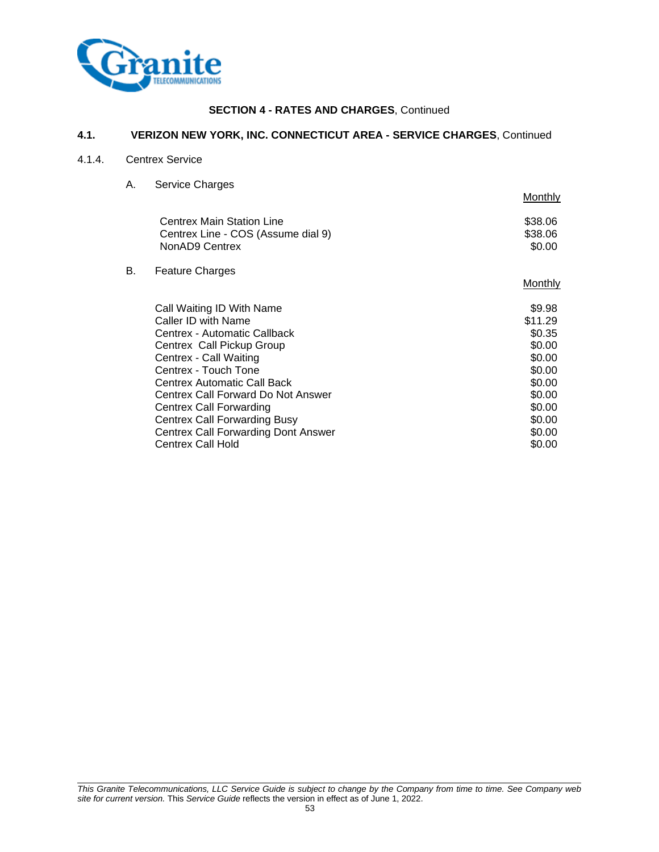

# **4.1. VERIZON NEW YORK, INC. CONNECTICUT AREA - SERVICE CHARGES**, Continued

# 4.1.4. Centrex Service

A. Service Charges

|                                                                                          | Monthly                      |
|------------------------------------------------------------------------------------------|------------------------------|
| <b>Centrex Main Station Line</b><br>Centrex Line - COS (Assume dial 9)<br>NonAD9 Centrex | \$38.06<br>\$38.06<br>\$0.00 |
| <b>Feature Charges</b>                                                                   |                              |
|                                                                                          | <b>Monthly</b>               |
| Call Waiting ID With Name                                                                | \$9.98                       |
| Caller ID with Name                                                                      | \$11.29                      |
| Centrex - Automatic Callback                                                             | \$0.35                       |
| Centrex Call Pickup Group                                                                | \$0.00                       |
| Centrex - Call Waiting                                                                   | \$0.00                       |
| Centrex - Touch Tone                                                                     | \$0.00                       |
| Centrex Automatic Call Back                                                              | \$0.00                       |
| Centrex Call Forward Do Not Answer                                                       | \$0.00                       |
| Centrex Call Forwarding                                                                  | \$0.00                       |
| <b>Centrex Call Forwarding Busy</b>                                                      | \$0.00                       |
| <b>Centrex Call Forwarding Dont Answer</b>                                               | \$0.00                       |
| <b>Centrex Call Hold</b>                                                                 | \$0.00                       |
|                                                                                          |                              |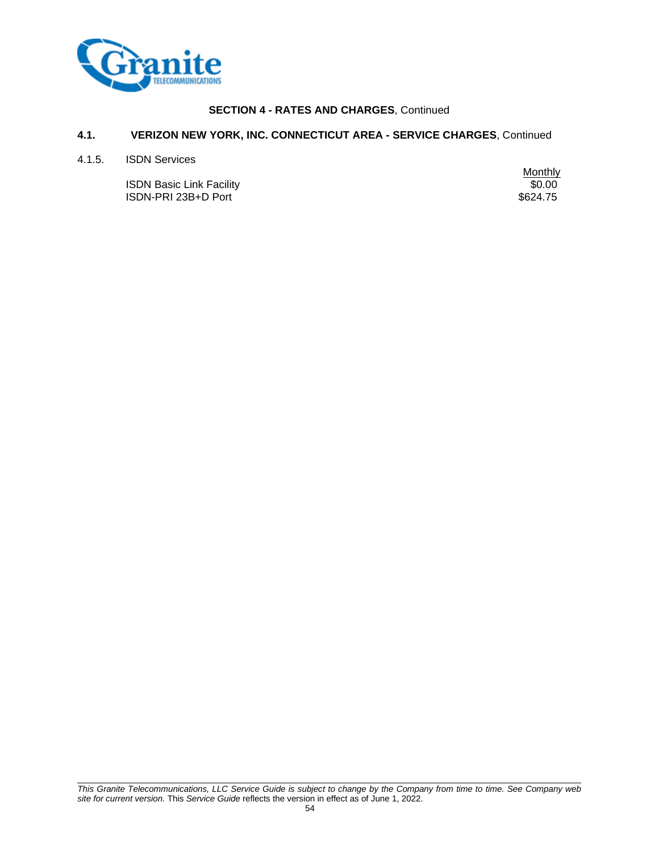

# **4.1. VERIZON NEW YORK, INC. CONNECTICUT AREA - SERVICE CHARGES**, Continued

4.1.5. ISDN Services

**ISDN Basic Link Facility** ISDN-PRI 23B+D Port \$624.75

Monthly<br>\$0.00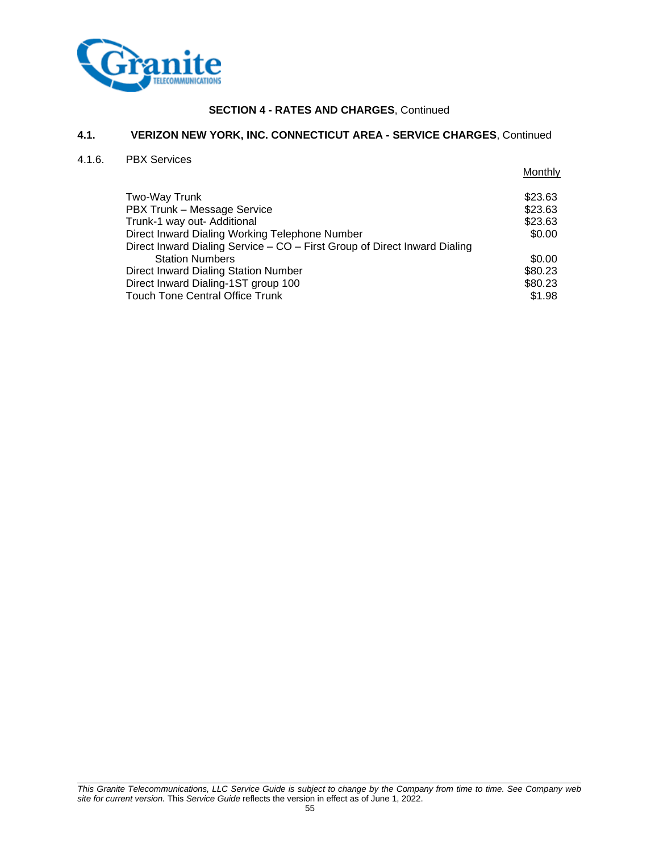

## **4.1. VERIZON NEW YORK, INC. CONNECTICUT AREA - SERVICE CHARGES**, Continued

#### 4.1.6. PBX Services

**Monthly** Two-Way Trunk \$23.63 PBX Trunk – Message Service  $$23.63$ Trunk-1 way out- Additional **\$23.63** and \$23.63 Direct Inward Dialing Working Telephone Number \$0.00 Direct Inward Dialing Service – CO – First Group of Direct Inward Dialing Station Numbers \$0.00 Direct Inward Dialing Station Number<br>
Direct Inward Dialing-1ST group 100<br>
\$80.23 Direct Inward Dialing-1ST group 100 Touch Tone Central Office Trunk  $$1.98$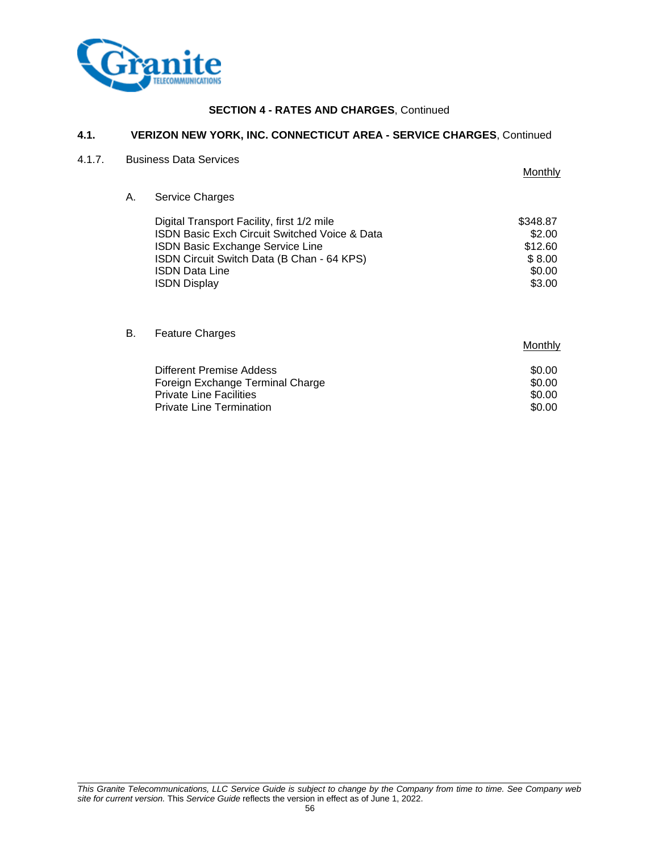

# **4.1. VERIZON NEW YORK, INC. CONNECTICUT AREA - SERVICE CHARGES**, Continued

# 4.1.7. Business Data Services

|    |                                                                                                                                                                                                                                                 | Monthly                                                     |
|----|-------------------------------------------------------------------------------------------------------------------------------------------------------------------------------------------------------------------------------------------------|-------------------------------------------------------------|
| А. | <b>Service Charges</b>                                                                                                                                                                                                                          |                                                             |
|    | Digital Transport Facility, first 1/2 mile<br><b>ISDN Basic Exch Circuit Switched Voice &amp; Data</b><br><b>ISDN Basic Exchange Service Line</b><br>ISDN Circuit Switch Data (B Chan - 64 KPS)<br><b>ISDN Data Line</b><br><b>ISDN Display</b> | \$348.87<br>\$2.00<br>\$12.60<br>\$8.00<br>\$0.00<br>\$3.00 |
| В. | <b>Feature Charges</b>                                                                                                                                                                                                                          | Monthly                                                     |
|    | Different Draming Addens                                                                                                                                                                                                                        | ድስ ሰሰ                                                       |

| Different Premise Addess         | \$0.00 |
|----------------------------------|--------|
| Foreign Exchange Terminal Charge | \$0.00 |
| <b>Private Line Facilities</b>   | \$0.00 |
| <b>Private Line Termination</b>  | \$0.00 |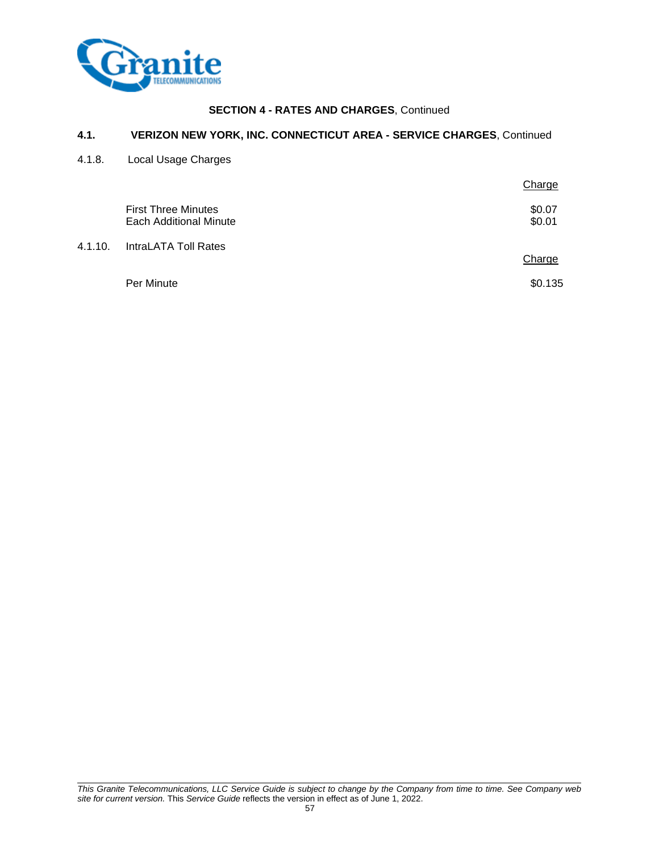

# **4.1. VERIZON NEW YORK, INC. CONNECTICUT AREA - SERVICE CHARGES**, Continued

4.1.8. Local Usage Charges

|         |                                                             | Charge           |
|---------|-------------------------------------------------------------|------------------|
|         | <b>First Three Minutes</b><br><b>Each Additional Minute</b> | \$0.07<br>\$0.01 |
| 4.1.10. | IntraLATA Toll Rates                                        | Charge           |
|         | Per Minute                                                  | \$0.135          |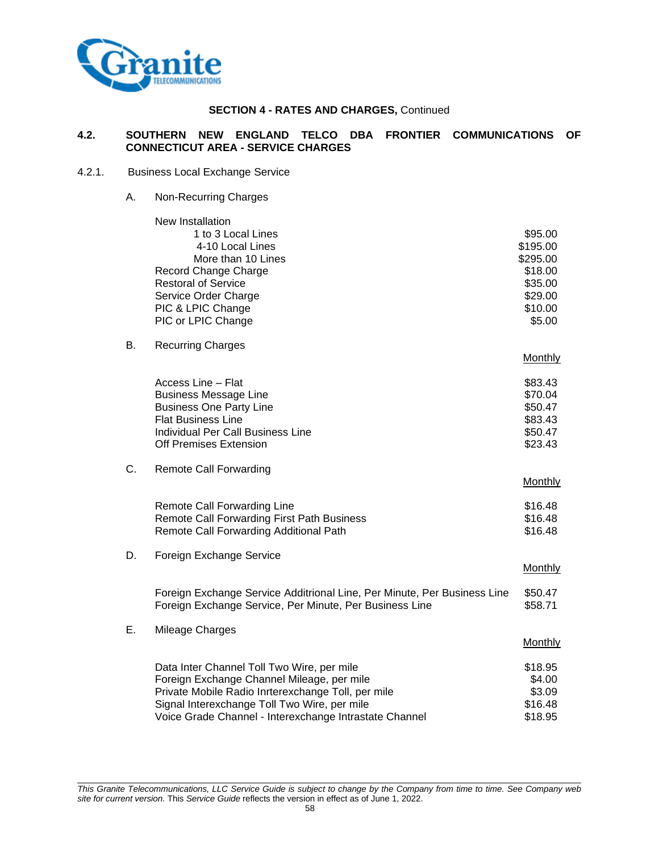

# **4.2. SOUTHERN NEW ENGLAND TELCO DBA FRONTIER COMMUNICATIONS OF CONNECTICUT AREA - SERVICE CHARGES**

### 4.2.1. Business Local Exchange Service

A. Non-Recurring Charges

|    | New Installation                                                         |                |
|----|--------------------------------------------------------------------------|----------------|
|    | 1 to 3 Local Lines                                                       | \$95.00        |
|    | 4-10 Local Lines                                                         | \$195.00       |
|    | More than 10 Lines                                                       | \$295.00       |
|    | Record Change Charge                                                     | \$18.00        |
|    | <b>Restoral of Service</b>                                               | \$35.00        |
|    | Service Order Charge                                                     | \$29.00        |
|    | PIC & LPIC Change                                                        | \$10.00        |
|    | PIC or LPIC Change                                                       | \$5.00         |
| В. | <b>Recurring Charges</b>                                                 |                |
|    |                                                                          | <b>Monthly</b> |
|    | Access Line - Flat                                                       | \$83.43        |
|    | <b>Business Message Line</b>                                             | \$70.04        |
|    | <b>Business One Party Line</b>                                           | \$50.47        |
|    | <b>Flat Business Line</b>                                                | \$83.43        |
|    | Individual Per Call Business Line                                        | \$50.47        |
|    | <b>Off Premises Extension</b>                                            | \$23.43        |
| C. | <b>Remote Call Forwarding</b>                                            |                |
|    |                                                                          | Monthly        |
|    | <b>Remote Call Forwarding Line</b>                                       | \$16.48        |
|    | Remote Call Forwarding First Path Business                               | \$16.48        |
|    | Remote Call Forwarding Additional Path                                   | \$16.48        |
| D. | Foreign Exchange Service                                                 |                |
|    |                                                                          | Monthly        |
|    | Foreign Exchange Service Additrional Line, Per Minute, Per Business Line | \$50.47        |
|    | Foreign Exchange Service, Per Minute, Per Business Line                  | \$58.71        |
| E. | Mileage Charges                                                          |                |
|    |                                                                          | Monthly        |
|    | Data Inter Channel Toll Two Wire, per mile                               | \$18.95        |
|    | Foreign Exchange Channel Mileage, per mile                               | \$4.00         |
|    | Private Mobile Radio Inrterexchange Toll, per mile                       | \$3.09         |
|    | Signal Interexchange Toll Two Wire, per mile                             | \$16.48        |
|    | Voice Grade Channel - Interexchange Intrastate Channel                   | \$18.95        |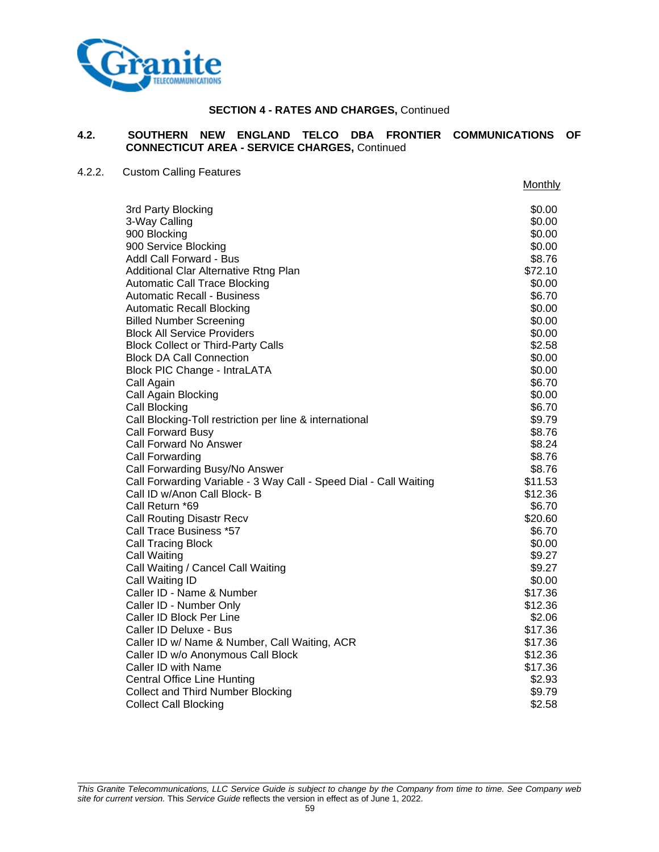

# **4.2. SOUTHERN NEW ENGLAND TELCO DBA FRONTIER COMMUNICATIONS OF CONNECTICUT AREA - SERVICE CHARGES,** Continued

# 4.2.2. Custom Calling Features

|                                                                   | Monthly |
|-------------------------------------------------------------------|---------|
| 3rd Party Blocking                                                | \$0.00  |
| 3-Way Calling                                                     | \$0.00  |
| 900 Blocking                                                      | \$0.00  |
| 900 Service Blocking                                              | \$0.00  |
| Addl Call Forward - Bus                                           | \$8.76  |
| Additional Clar Alternative Rtng Plan                             | \$72.10 |
| <b>Automatic Call Trace Blocking</b>                              | \$0.00  |
| Automatic Recall - Business                                       | \$6.70  |
| <b>Automatic Recall Blocking</b>                                  | \$0.00  |
| <b>Billed Number Screening</b>                                    | \$0.00  |
| <b>Block All Service Providers</b>                                | \$0.00  |
| <b>Block Collect or Third-Party Calls</b>                         | \$2.58  |
| <b>Block DA Call Connection</b>                                   | \$0.00  |
| <b>Block PIC Change - IntraLATA</b>                               | \$0.00  |
| Call Again                                                        | \$6.70  |
| Call Again Blocking                                               | \$0.00  |
| <b>Call Blocking</b>                                              | \$6.70  |
| Call Blocking-Toll restriction per line & international           | \$9.79  |
| Call Forward Busy                                                 | \$8.76  |
| Call Forward No Answer                                            | \$8.24  |
| <b>Call Forwarding</b>                                            | \$8.76  |
| Call Forwarding Busy/No Answer                                    | \$8.76  |
| Call Forwarding Variable - 3 Way Call - Speed Dial - Call Waiting | \$11.53 |
| Call ID w/Anon Call Block- B                                      | \$12.36 |
| Call Return *69                                                   | \$6.70  |
| <b>Call Routing Disastr Recv</b>                                  | \$20.60 |
| Call Trace Business *57                                           | \$6.70  |
| <b>Call Tracing Block</b>                                         | \$0.00  |
| Call Waiting                                                      | \$9.27  |
| Call Waiting / Cancel Call Waiting                                | \$9.27  |
| Call Waiting ID                                                   | \$0.00  |
| Caller ID - Name & Number                                         | \$17.36 |
| Caller ID - Number Only                                           | \$12.36 |
| Caller ID Block Per Line                                          | \$2.06  |
| Caller ID Deluxe - Bus                                            | \$17.36 |
| Caller ID w/ Name & Number, Call Waiting, ACR                     | \$17.36 |
| Caller ID w/o Anonymous Call Block                                | \$12.36 |
| Caller ID with Name                                               | \$17.36 |
| <b>Central Office Line Hunting</b>                                | \$2.93  |
| <b>Collect and Third Number Blocking</b>                          | \$9.79  |
| <b>Collect Call Blocking</b>                                      | \$2.58  |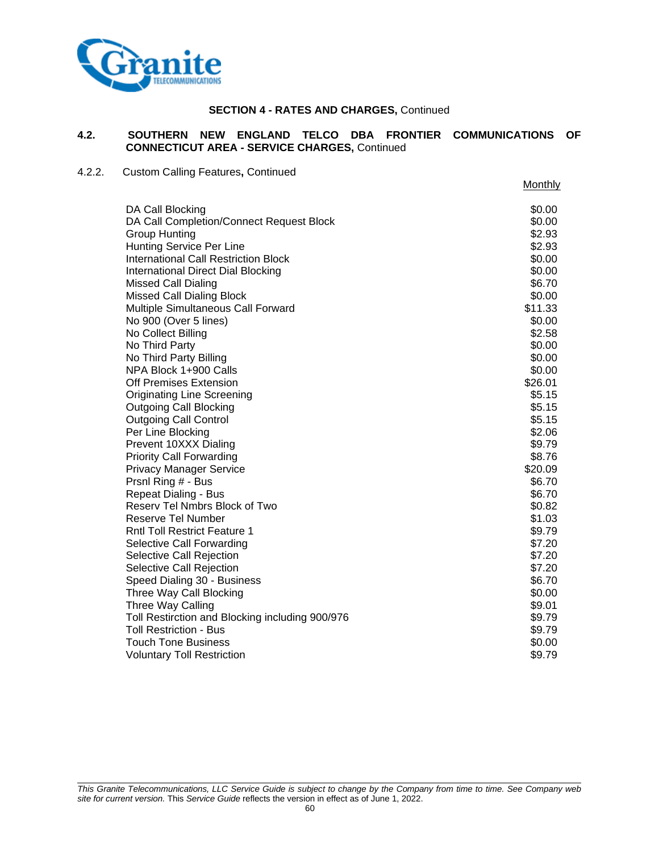

## **4.2. SOUTHERN NEW ENGLAND TELCO DBA FRONTIER COMMUNICATIONS OF CONNECTICUT AREA - SERVICE CHARGES,** Continued

# 4.2.2. Custom Calling Features**,** Continued

|                                                 | Monthly |
|-------------------------------------------------|---------|
| DA Call Blocking                                | \$0.00  |
| DA Call Completion/Connect Request Block        | \$0.00  |
| <b>Group Hunting</b>                            | \$2.93  |
| <b>Hunting Service Per Line</b>                 | \$2.93  |
| <b>International Call Restriction Block</b>     | \$0.00  |
| International Direct Dial Blocking              | \$0.00  |
| Missed Call Dialing                             | \$6.70  |
| <b>Missed Call Dialing Block</b>                | \$0.00  |
| Multiple Simultaneous Call Forward              | \$11.33 |
| No 900 (Over 5 lines)                           | \$0.00  |
| No Collect Billing                              | \$2.58  |
| No Third Party                                  | \$0.00  |
| No Third Party Billing                          | \$0.00  |
| NPA Block 1+900 Calls                           | \$0.00  |
| Off Premises Extension                          | \$26.01 |
| Originating Line Screening                      | \$5.15  |
| <b>Outgoing Call Blocking</b>                   | \$5.15  |
| <b>Outgoing Call Control</b>                    | \$5.15  |
| Per Line Blocking                               | \$2.06  |
| Prevent 10XXX Dialing                           | \$9.79  |
| <b>Priority Call Forwarding</b>                 | \$8.76  |
| <b>Privacy Manager Service</b>                  | \$20.09 |
| Prsnl Ring # - Bus                              | \$6.70  |
| <b>Repeat Dialing - Bus</b>                     | \$6.70  |
| Reserv Tel Nmbrs Block of Two                   | \$0.82  |
| Reserve Tel Number                              | \$1.03  |
| <b>Rntl Toll Restrict Feature 1</b>             | \$9.79  |
| Selective Call Forwarding                       | \$7.20  |
| Selective Call Rejection                        | \$7.20  |
| Selective Call Rejection                        | \$7.20  |
| Speed Dialing 30 - Business                     | \$6.70  |
| Three Way Call Blocking                         | \$0.00  |
| Three Way Calling                               | \$9.01  |
| Toll Restirction and Blocking including 900/976 | \$9.79  |
| Toll Restriction - Bus                          | \$9.79  |
| <b>Touch Tone Business</b>                      | \$0.00  |
| <b>Voluntary Toll Restriction</b>               | \$9.79  |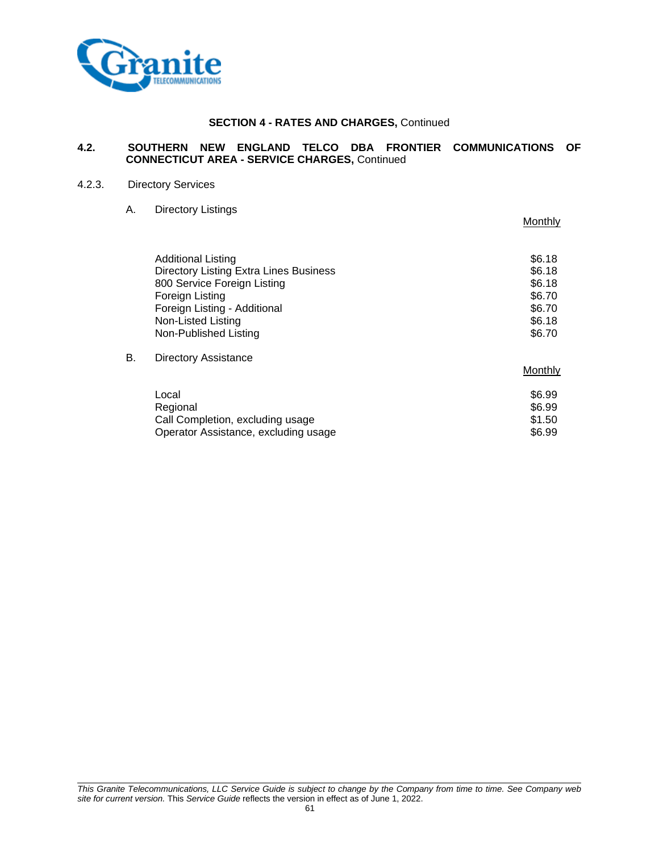

# **4.2. SOUTHERN NEW ENGLAND TELCO DBA FRONTIER COMMUNICATIONS OF CONNECTICUT AREA - SERVICE CHARGES,** Continued

#### 4.2.3. Directory Services

# A. Directory Listings

|    |                                               | Monthly |
|----|-----------------------------------------------|---------|
|    | Additional Listing                            | \$6.18  |
|    | <b>Directory Listing Extra Lines Business</b> | \$6.18  |
|    | 800 Service Foreign Listing                   | \$6.18  |
|    | Foreign Listing                               | \$6.70  |
|    | Foreign Listing - Additional                  | \$6.70  |
|    | Non-Listed Listing                            | \$6.18  |
|    | Non-Published Listing                         | \$6.70  |
| В. | <b>Directory Assistance</b>                   |         |
|    |                                               | Monthly |
|    | Local                                         | \$6.99  |
|    | Regional                                      | \$6.99  |
|    | Call Completion, excluding usage              | \$1.50  |
|    | Operator Assistance, excluding usage          | \$6.99  |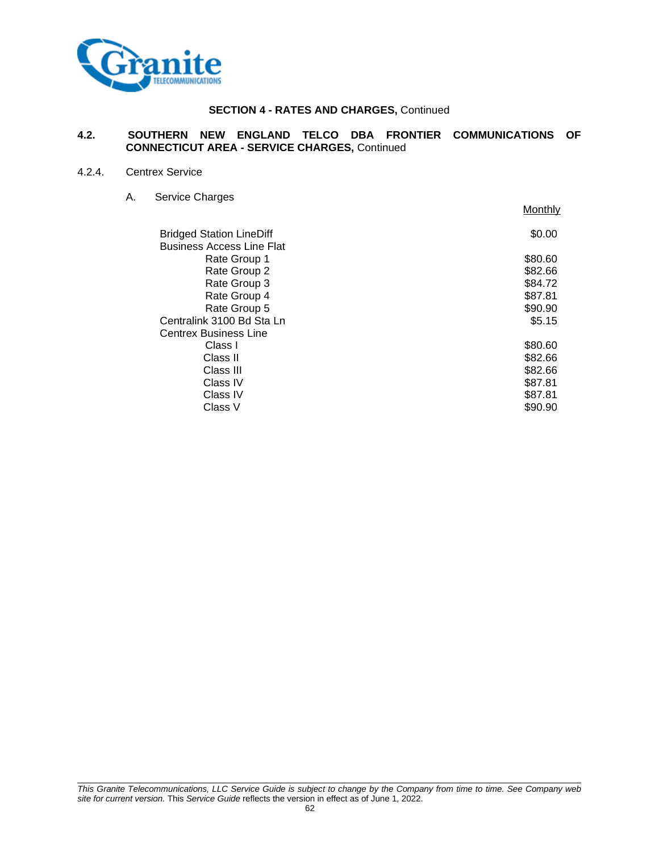

### **4.2. SOUTHERN NEW ENGLAND TELCO DBA FRONTIER COMMUNICATIONS OF CONNECTICUT AREA - SERVICE CHARGES,** Continued

#### 4.2.4. Centrex Service

A. Service Charges Monthly Bridged Station LineDiff  $$0.00$ Business Access Line Flat Rate Group 1 \$80.60 Rate Group 2  $$82.66$ <br>Rate Group 3  $$84.72$ Rate Group 3 Rate Group 4 \$87.81 Rate Group 5 \$90.90 Centralink 3100 Bd Sta Ln \$5.15 Centrex Business Line<br>Class I  $\textsf{Class I}$  \$80.60  $\textsf{Class II}$   $\textsf{82.66}$  $\textsf{Class III} \quad \textsf{S}82.66$ Class IV \$87.81  $\textsf{Class IV} \quad \textsf{S}87.81$  $\textsf{Class V} \quad \textsf{V} \quad \textsf{S}$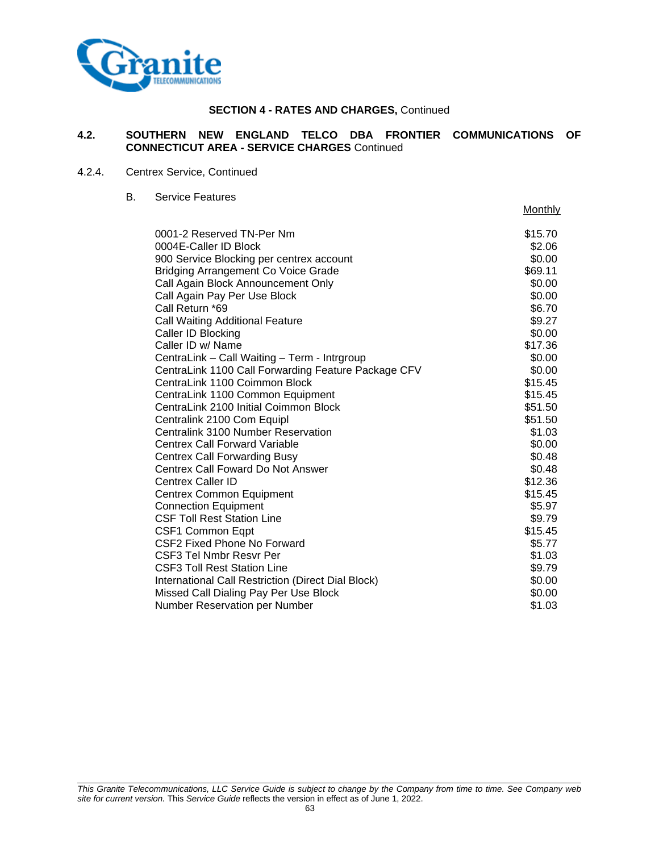

# **4.2. SOUTHERN NEW ENGLAND TELCO DBA FRONTIER COMMUNICATIONS OF CONNECTICUT AREA - SERVICE CHARGES** Continued

Monthly

## 4.2.4. Centrex Service, Continued

B. Service Features

| 0001-2 Reserved TN-Per Nm                           | \$15.70 |
|-----------------------------------------------------|---------|
| 0004E-Caller ID Block                               | \$2.06  |
| 900 Service Blocking per centrex account            | \$0.00  |
| <b>Bridging Arrangement Co Voice Grade</b>          | \$69.11 |
| Call Again Block Announcement Only                  | \$0.00  |
| Call Again Pay Per Use Block                        | \$0.00  |
| Call Return *69                                     | \$6.70  |
| <b>Call Waiting Additional Feature</b>              | \$9.27  |
| Caller ID Blocking                                  | \$0.00  |
| Caller ID w/ Name                                   | \$17.36 |
| CentraLink - Call Waiting - Term - Intrgroup        | \$0.00  |
| CentraLink 1100 Call Forwarding Feature Package CFV | \$0.00  |
| CentraLink 1100 Coimmon Block                       | \$15.45 |
| CentraLink 1100 Common Equipment                    | \$15.45 |
| CentraLink 2100 Initial Coimmon Block               | \$51.50 |
| Centralink 2100 Com Equipl                          | \$51.50 |
| Centralink 3100 Number Reservation                  | \$1.03  |
| <b>Centrex Call Forward Variable</b>                | \$0.00  |
| <b>Centrex Call Forwarding Busy</b>                 | \$0.48  |
| Centrex Call Foward Do Not Answer                   | \$0.48  |
| <b>Centrex Caller ID</b>                            | \$12.36 |
| <b>Centrex Common Equipment</b>                     | \$15.45 |
| <b>Connection Equipment</b>                         | \$5.97  |
| <b>CSF Toll Rest Station Line</b>                   | \$9.79  |
| CSF1 Common Eqpt                                    | \$15.45 |
| CSF2 Fixed Phone No Forward                         | \$5.77  |
| <b>CSF3 Tel Nmbr Resvr Per</b>                      | \$1.03  |
| <b>CSF3 Toll Rest Station Line</b>                  | \$9.79  |
| International Call Restriction (Direct Dial Block)  | \$0.00  |
| Missed Call Dialing Pay Per Use Block               | \$0.00  |
| <b>Number Reservation per Number</b>                | \$1.03  |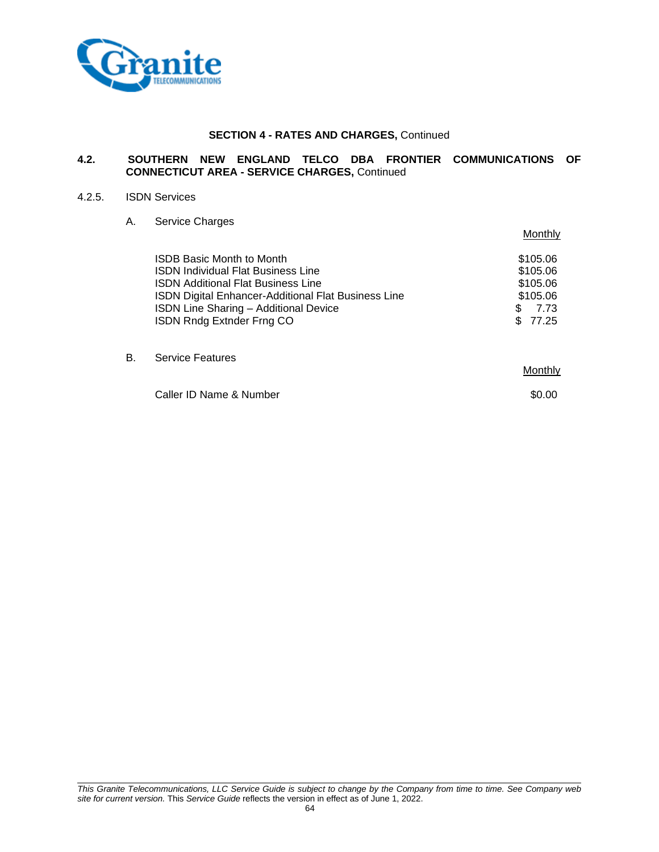

#### **4.2. SOUTHERN NEW ENGLAND TELCO DBA FRONTIER COMMUNICATIONS OF CONNECTICUT AREA - SERVICE CHARGES,** Continued

#### 4.2.5. ISDN Services

#### A. Service Charges

|    |                                                                                                                                                                                                                                                         | Monthly                                                                    |
|----|---------------------------------------------------------------------------------------------------------------------------------------------------------------------------------------------------------------------------------------------------------|----------------------------------------------------------------------------|
|    | ISDB Basic Month to Month<br><b>ISDN Individual Flat Business Line</b><br><b>ISDN Additional Flat Business Line</b><br>ISDN Digital Enhancer-Additional Flat Business Line<br><b>ISDN Line Sharing - Additional Device</b><br>ISDN Rndg Extnder Frng CO | \$105.06<br>\$105.06<br>\$105.06<br>\$105.06<br>7.73<br>\$.<br>77.25<br>S. |
| В. | <b>Service Features</b>                                                                                                                                                                                                                                 | Monthly                                                                    |
|    | Caller ID Name & Number                                                                                                                                                                                                                                 | \$0.00                                                                     |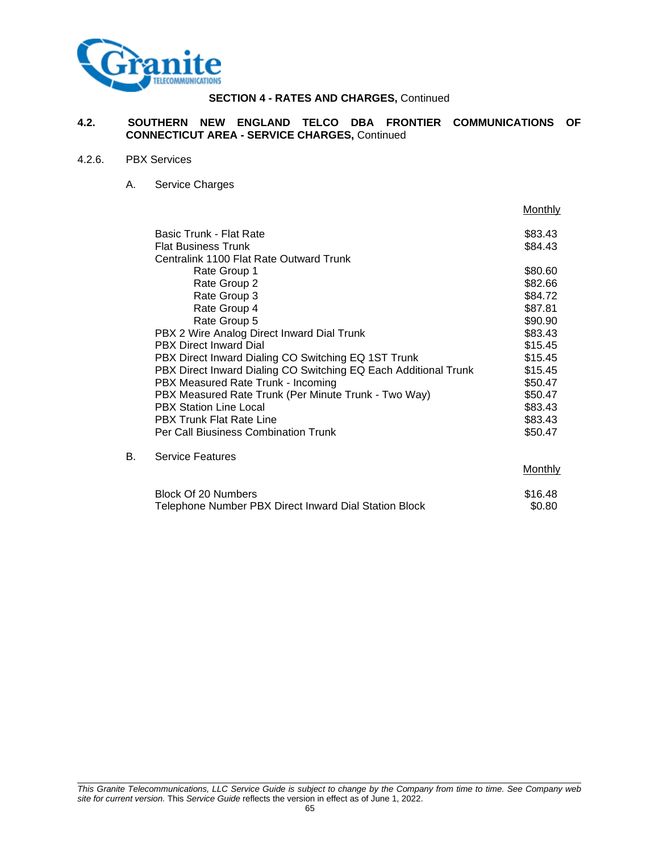

#### **4.2. SOUTHERN NEW ENGLAND TELCO DBA FRONTIER COMMUNICATIONS OF CONNECTICUT AREA - SERVICE CHARGES,** Continued

### 4.2.6. PBX Services

A. Service Charges

|    |                                                                 | Monthly |
|----|-----------------------------------------------------------------|---------|
|    | Basic Trunk - Flat Rate                                         | \$83.43 |
|    | <b>Flat Business Trunk</b>                                      | \$84.43 |
|    | Centralink 1100 Flat Rate Outward Trunk                         |         |
|    | Rate Group 1                                                    | \$80.60 |
|    | Rate Group 2                                                    | \$82.66 |
|    | Rate Group 3                                                    | \$84.72 |
|    | Rate Group 4                                                    | \$87.81 |
|    | Rate Group 5                                                    | \$90.90 |
|    | PBX 2 Wire Analog Direct Inward Dial Trunk                      | \$83.43 |
|    | <b>PBX Direct Inward Dial</b>                                   | \$15.45 |
|    | PBX Direct Inward Dialing CO Switching EQ 1ST Trunk             | \$15.45 |
|    | PBX Direct Inward Dialing CO Switching EQ Each Additional Trunk | \$15.45 |
|    | PBX Measured Rate Trunk - Incoming                              | \$50.47 |
|    | PBX Measured Rate Trunk (Per Minute Trunk - Two Way)            | \$50.47 |
|    | <b>PBX Station Line Local</b>                                   | \$83.43 |
|    | <b>PBX Trunk Flat Rate Line</b>                                 | \$83.43 |
|    | <b>Per Call Biusiness Combination Trunk</b>                     | \$50.47 |
| В. | <b>Service Features</b>                                         |         |
|    |                                                                 | Monthly |

| Block Of 20 Numbers                                   | \$16.48 |
|-------------------------------------------------------|---------|
| Telephone Number PBX Direct Inward Dial Station Block | \$0.80  |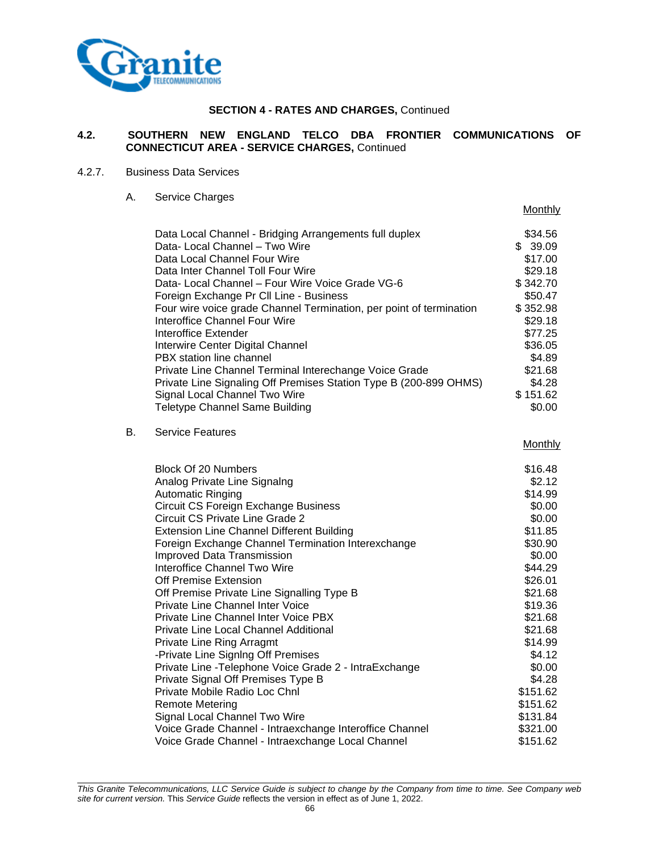

# **4.2. SOUTHERN NEW ENGLAND TELCO DBA FRONTIER COMMUNICATIONS OF CONNECTICUT AREA - SERVICE CHARGES,** Continued

Monthly

#### 4.2.7. Business Data Services

A. Service Charges

|    | Data Local Channel - Bridging Arrangements full duplex<br>Data- Local Channel – Two Wire<br>Data Local Channel Four Wire<br>Data Inter Channel Toll Four Wire<br>Data- Local Channel - Four Wire Voice Grade VG-6<br>Foreign Exchange Pr CII Line - Business<br>Four wire voice grade Channel Termination, per point of termination<br>Interoffice Channel Four Wire<br>Interoffice Extender<br>Interwire Center Digital Channel<br>PBX station line channel<br>Private Line Channel Terminal Interechange Voice Grade<br>Private Line Signaling Off Premises Station Type B (200-899 OHMS)<br>Signal Local Channel Two Wire<br><b>Teletype Channel Same Building</b>                                           | \$34.56<br>\$39.09<br>\$17.00<br>\$29.18<br>\$342.70<br>\$50.47<br>\$352.98<br>\$29.18<br>\$77.25<br>\$36.05<br>\$4.89<br>\$21.68<br>\$4.28<br>\$151.62<br>\$0.00                           |
|----|-----------------------------------------------------------------------------------------------------------------------------------------------------------------------------------------------------------------------------------------------------------------------------------------------------------------------------------------------------------------------------------------------------------------------------------------------------------------------------------------------------------------------------------------------------------------------------------------------------------------------------------------------------------------------------------------------------------------|---------------------------------------------------------------------------------------------------------------------------------------------------------------------------------------------|
|    |                                                                                                                                                                                                                                                                                                                                                                                                                                                                                                                                                                                                                                                                                                                 |                                                                                                                                                                                             |
| В. | <b>Service Features</b>                                                                                                                                                                                                                                                                                                                                                                                                                                                                                                                                                                                                                                                                                         | Monthly                                                                                                                                                                                     |
|    | <b>Block Of 20 Numbers</b><br>Analog Private Line Signalng<br><b>Automatic Ringing</b><br><b>Circuit CS Foreign Exchange Business</b><br>Circuit CS Private Line Grade 2<br><b>Extension Line Channel Different Building</b><br>Foreign Exchange Channel Termination Interexchange<br>Improved Data Transmission<br>Interoffice Channel Two Wire<br>Off Premise Extension<br>Off Premise Private Line Signalling Type B<br>Private Line Channel Inter Voice<br>Private Line Channel Inter Voice PBX<br>Private Line Local Channel Additional<br>Private Line Ring Arragmt<br>-Private Line SignIng Off Premises<br>Private Line - Telephone Voice Grade 2 - IntraExchange<br>Private Signal Off Premises Type B | \$16.48<br>\$2.12<br>\$14.99<br>\$0.00<br>\$0.00<br>\$11.85<br>\$30.90<br>\$0.00<br>\$44.29<br>\$26.01<br>\$21.68<br>\$19.36<br>\$21.68<br>\$21.68<br>\$14.99<br>\$4.12<br>\$0.00<br>\$4.28 |
|    | Private Mobile Radio Loc Chnl<br><b>Remote Metering</b><br>Signal Local Channel Two Wire<br>Voice Grade Channel - Intraexchange Interoffice Channel                                                                                                                                                                                                                                                                                                                                                                                                                                                                                                                                                             | \$151.62<br>\$151.62<br>\$131.84<br>\$321.00                                                                                                                                                |
|    | Voice Grade Channel - Intraexchange Local Channel                                                                                                                                                                                                                                                                                                                                                                                                                                                                                                                                                                                                                                                               | \$151.62                                                                                                                                                                                    |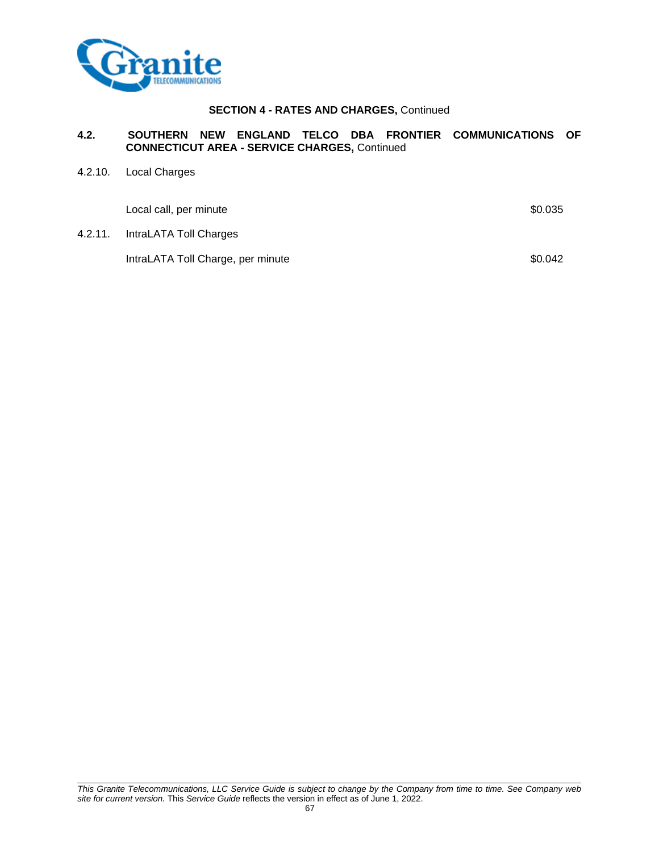

# **4.2. SOUTHERN NEW ENGLAND TELCO DBA FRONTIER COMMUNICATIONS OF CONNECTICUT AREA - SERVICE CHARGES,** Continued

4.2.10. Local Charges

| Local call, per minute            | \$0.035 |
|-----------------------------------|---------|
| 4.2.11. IntraLATA Toll Charges    |         |
| IntraLATA Toll Charge, per minute | \$0.042 |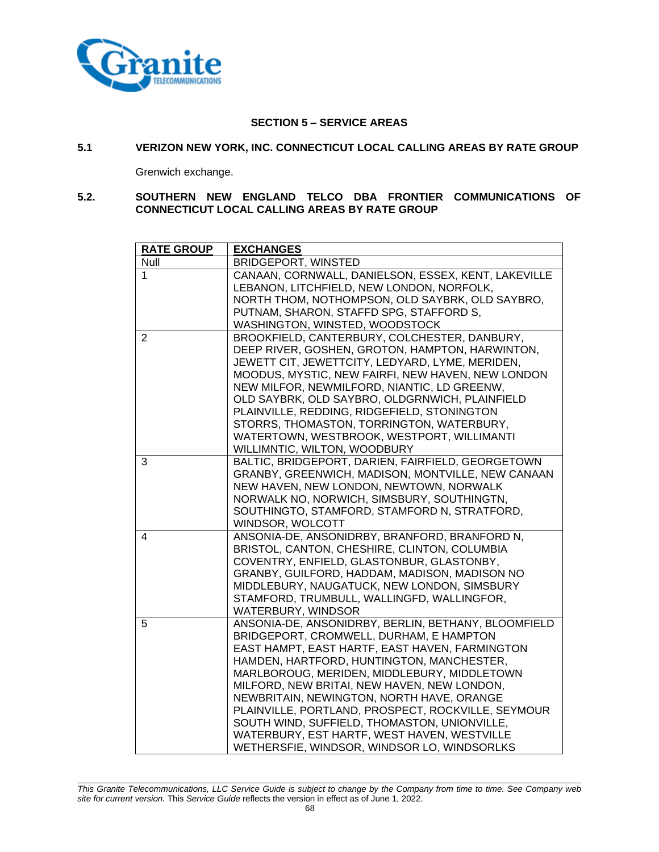

# **SECTION 5 – SERVICE AREAS**

### **5.1 VERIZON NEW YORK, INC. CONNECTICUT LOCAL CALLING AREAS BY RATE GROUP**

Grenwich exchange.

#### **5.2. SOUTHERN NEW ENGLAND TELCO DBA FRONTIER COMMUNICATIONS OF CONNECTICUT LOCAL CALLING AREAS BY RATE GROUP**

| <b>RATE GROUP</b> | <b>EXCHANGES</b>                                    |
|-------------------|-----------------------------------------------------|
| <b>Null</b>       | <b>BRIDGEPORT, WINSTED</b>                          |
| $\mathbf 1$       | CANAAN, CORNWALL, DANIELSON, ESSEX, KENT, LAKEVILLE |
|                   | LEBANON, LITCHFIELD, NEW LONDON, NORFOLK,           |
|                   | NORTH THOM, NOTHOMPSON, OLD SAYBRK, OLD SAYBRO,     |
|                   | PUTNAM, SHARON, STAFFD SPG, STAFFORD S,             |
|                   | WASHINGTON, WINSTED, WOODSTOCK                      |
| 2                 | BROOKFIELD, CANTERBURY, COLCHESTER, DANBURY,        |
|                   | DEEP RIVER, GOSHEN, GROTON, HAMPTON, HARWINTON,     |
|                   | JEWETT CIT, JEWETTCITY, LEDYARD, LYME, MERIDEN,     |
|                   | MOODUS, MYSTIC, NEW FAIRFI, NEW HAVEN, NEW LONDON   |
|                   | NEW MILFOR, NEWMILFORD, NIANTIC, LD GREENW,         |
|                   | OLD SAYBRK, OLD SAYBRO, OLDGRNWICH, PLAINFIELD      |
|                   | PLAINVILLE, REDDING, RIDGEFIELD, STONINGTON         |
|                   | STORRS, THOMASTON, TORRINGTON, WATERBURY,           |
|                   | WATERTOWN, WESTBROOK, WESTPORT, WILLIMANTI          |
|                   | WILLIMNTIC, WILTON, WOODBURY                        |
| 3                 | BALTIC, BRIDGEPORT, DARIEN, FAIRFIELD, GEORGETOWN   |
|                   | GRANBY, GREENWICH, MADISON, MONTVILLE, NEW CANAAN   |
|                   | NEW HAVEN, NEW LONDON, NEWTOWN, NORWALK             |
|                   | NORWALK NO, NORWICH, SIMSBURY, SOUTHINGTN,          |
|                   | SOUTHINGTO, STAMFORD, STAMFORD N, STRATFORD,        |
|                   | WINDSOR, WOLCOTT                                    |
| 4                 | ANSONIA-DE, ANSONIDRBY, BRANFORD, BRANFORD N,       |
|                   | BRISTOL, CANTON, CHESHIRE, CLINTON, COLUMBIA        |
|                   | COVENTRY, ENFIELD, GLASTONBUR, GLASTONBY,           |
|                   | GRANBY, GUILFORD, HADDAM, MADISON, MADISON NO       |
|                   | MIDDLEBURY, NAUGATUCK, NEW LONDON, SIMSBURY         |
|                   | STAMFORD, TRUMBULL, WALLINGFD, WALLINGFOR,          |
|                   | WATERBURY, WINDSOR                                  |
| 5                 | ANSONIA-DE, ANSONIDRBY, BERLIN, BETHANY, BLOOMFIELD |
|                   | BRIDGEPORT, CROMWELL, DURHAM, E HAMPTON             |
|                   | EAST HAMPT, EAST HARTF, EAST HAVEN, FARMINGTON      |
|                   | HAMDEN, HARTFORD, HUNTINGTON, MANCHESTER,           |
|                   | MARLBOROUG, MERIDEN, MIDDLEBURY, MIDDLETOWN         |
|                   | MILFORD, NEW BRITAI, NEW HAVEN, NEW LONDON,         |
|                   | NEWBRITAIN, NEWINGTON, NORTH HAVE, ORANGE           |
|                   | PLAINVILLE, PORTLAND, PROSPECT, ROCKVILLE, SEYMOUR  |
|                   | SOUTH WIND, SUFFIELD, THOMASTON, UNIONVILLE,        |
|                   | WATERBURY, EST HARTF, WEST HAVEN, WESTVILLE         |
|                   | WETHERSFIE, WINDSOR, WINDSOR LO, WINDSORLKS         |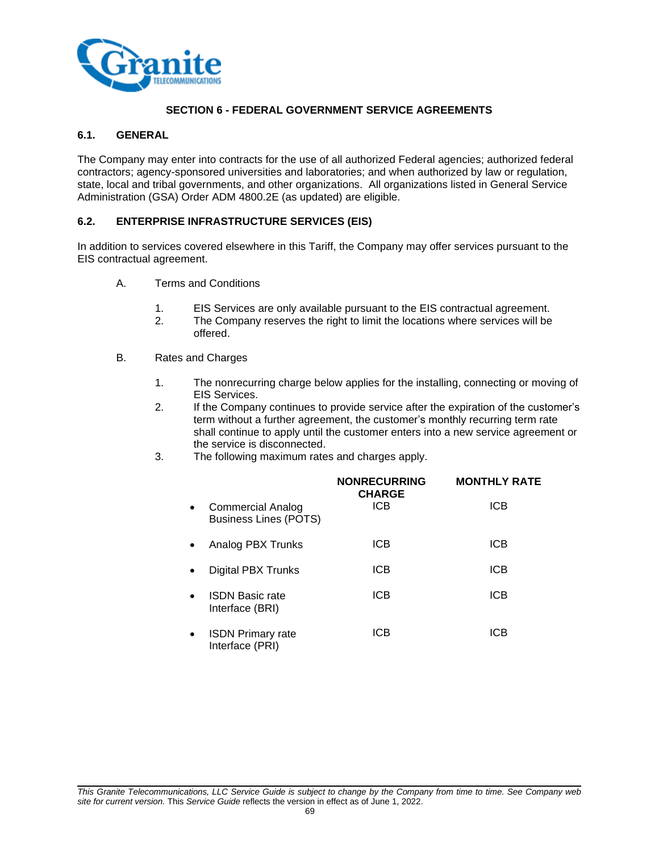

# **SECTION 6 - FEDERAL GOVERNMENT SERVICE AGREEMENTS**

### **6.1. GENERAL**

The Company may enter into contracts for the use of all authorized Federal agencies; authorized federal contractors; agency-sponsored universities and laboratories; and when authorized by law or regulation, state, local and tribal governments, and other organizations. All organizations listed in General Service Administration (GSA) Order ADM 4800.2E (as updated) are eligible.

#### **6.2. ENTERPRISE INFRASTRUCTURE SERVICES (EIS)**

In addition to services covered elsewhere in this Tariff, the Company may offer services pursuant to the EIS contractual agreement.

- A. Terms and Conditions
	- 1. EIS Services are only available pursuant to the EIS contractual agreement.
	- 2. The Company reserves the right to limit the locations where services will be offered.
- B. Rates and Charges
	- 1. The nonrecurring charge below applies for the installing, connecting or moving of EIS Services.
	- 2. If the Company continues to provide service after the expiration of the customer's term without a further agreement, the customer's monthly recurring term rate shall continue to apply until the customer enters into a new service agreement or the service is disconnected.
	- 3. The following maximum rates and charges apply.

|           |                                                   | <b>NONRECURRING</b><br><b>CHARGE</b> | <b>MONTHLY RATE</b> |
|-----------|---------------------------------------------------|--------------------------------------|---------------------|
| $\bullet$ | Commercial Analog<br><b>Business Lines (POTS)</b> | ICB                                  | <b>ICB</b>          |
| $\bullet$ | Analog PBX Trunks                                 | ICB                                  | <b>ICB</b>          |
| $\bullet$ | Digital PBX Trunks                                | <b>ICB</b>                           | <b>ICB</b>          |
| $\bullet$ | <b>ISDN Basic rate</b><br>Interface (BRI)         | <b>ICB</b>                           | <b>ICB</b>          |
| $\bullet$ | <b>ISDN Primary rate</b><br>Interface (PRI)       | ICB                                  | ICB                 |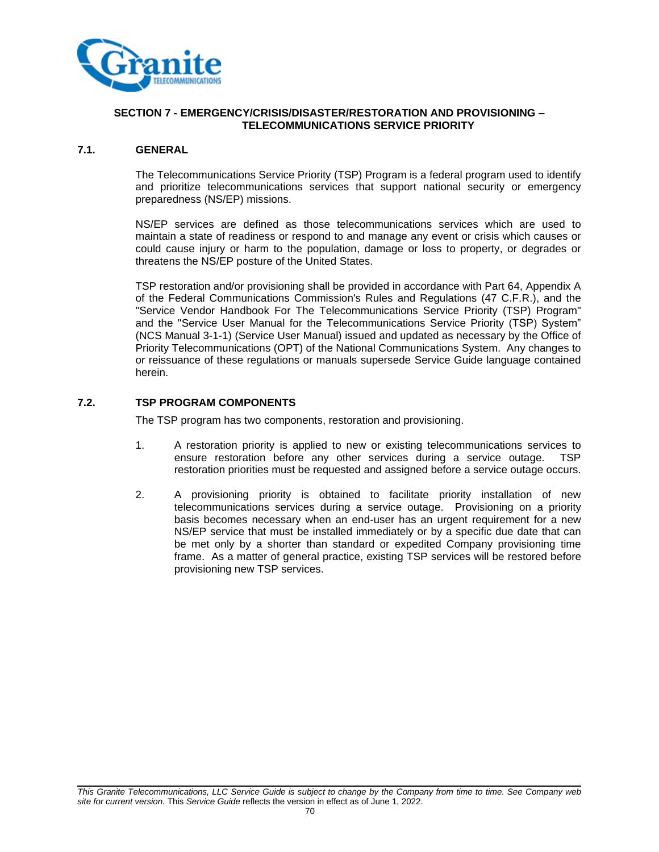

### **SECTION 7 - EMERGENCY/CRISIS/DISASTER/RESTORATION AND PROVISIONING – TELECOMMUNICATIONS SERVICE PRIORITY**

### **7.1. GENERAL**

The Telecommunications Service Priority (TSP) Program is a federal program used to identify and prioritize telecommunications services that support national security or emergency preparedness (NS/EP) missions.

NS/EP services are defined as those telecommunications services which are used to maintain a state of readiness or respond to and manage any event or crisis which causes or could cause injury or harm to the population, damage or loss to property, or degrades or threatens the NS/EP posture of the United States.

TSP restoration and/or provisioning shall be provided in accordance with Part 64, Appendix A of the Federal Communications Commission's Rules and Regulations (47 C.F.R.), and the "Service Vendor Handbook For The Telecommunications Service Priority (TSP) Program" and the "Service User Manual for the Telecommunications Service Priority (TSP) System" (NCS Manual 3-1-1) (Service User Manual) issued and updated as necessary by the Office of Priority Telecommunications (OPT) of the National Communications System. Any changes to or reissuance of these regulations or manuals supersede Service Guide language contained herein.

# **7.2. TSP PROGRAM COMPONENTS**

The TSP program has two components, restoration and provisioning.

- 1. A restoration priority is applied to new or existing telecommunications services to ensure restoration before any other services during a service outage. TSP restoration priorities must be requested and assigned before a service outage occurs.
- 2. A provisioning priority is obtained to facilitate priority installation of new telecommunications services during a service outage. Provisioning on a priority basis becomes necessary when an end-user has an urgent requirement for a new NS/EP service that must be installed immediately or by a specific due date that can be met only by a shorter than standard or expedited Company provisioning time frame. As a matter of general practice, existing TSP services will be restored before provisioning new TSP services.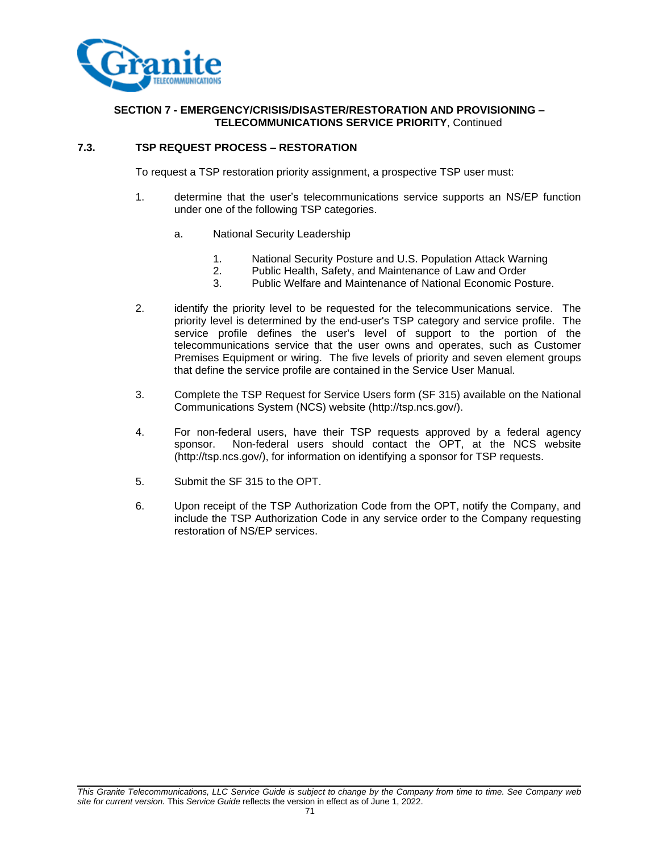

# **SECTION 7 - EMERGENCY/CRISIS/DISASTER/RESTORATION AND PROVISIONING – TELECOMMUNICATIONS SERVICE PRIORITY**, Continued

### **7.3. TSP REQUEST PROCESS – RESTORATION**

To request a TSP restoration priority assignment, a prospective TSP user must:

- 1. determine that the user's telecommunications service supports an NS/EP function under one of the following TSP categories.
	- a. National Security Leadership
		- 1. National Security Posture and U.S. Population Attack Warning
		- 2. Public Health, Safety, and Maintenance of Law and Order
		- 3. Public Welfare and Maintenance of National Economic Posture.
- 2. identify the priority level to be requested for the telecommunications service. The priority level is determined by the end-user's TSP category and service profile. The service profile defines the user's level of support to the portion of the telecommunications service that the user owns and operates, such as Customer Premises Equipment or wiring. The five levels of priority and seven element groups that define the service profile are contained in the Service User Manual.
- 3. Complete the TSP Request for Service Users form (SF 315) available on the National Communications System (NCS) website (http://tsp.ncs.gov/).
- 4. For non-federal users, have their TSP requests approved by a federal agency sponsor. Non-federal users should contact the OPT, at the NCS website (http://tsp.ncs.gov/), for information on identifying a sponsor for TSP requests.
- 5. Submit the SF 315 to the OPT.
- 6. Upon receipt of the TSP Authorization Code from the OPT, notify the Company, and include the TSP Authorization Code in any service order to the Company requesting restoration of NS/EP services.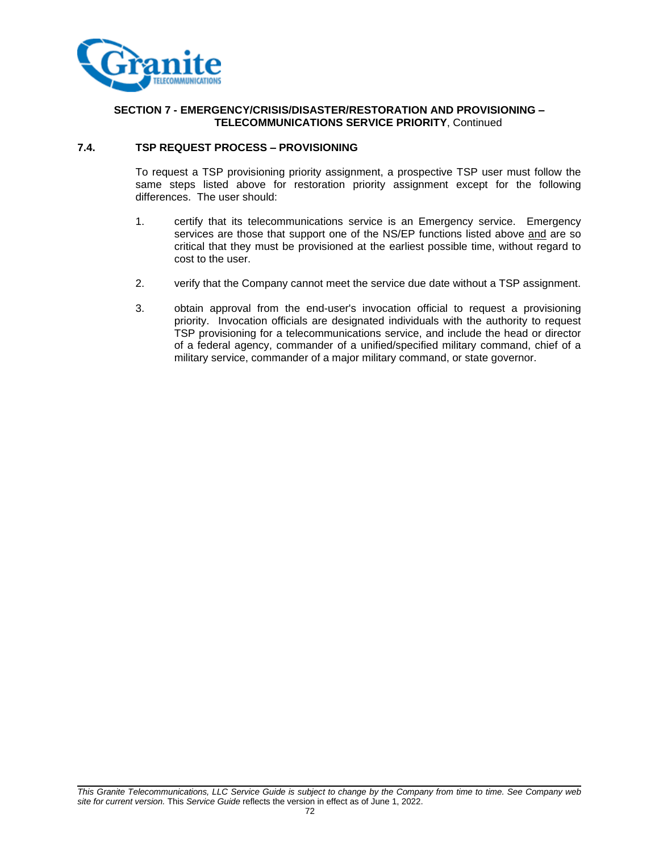

# **SECTION 7 - EMERGENCY/CRISIS/DISASTER/RESTORATION AND PROVISIONING – TELECOMMUNICATIONS SERVICE PRIORITY**, Continued

#### **7.4. TSP REQUEST PROCESS – PROVISIONING**

To request a TSP provisioning priority assignment, a prospective TSP user must follow the same steps listed above for restoration priority assignment except for the following differences. The user should:

- 1. certify that its telecommunications service is an Emergency service. Emergency services are those that support one of the NS/EP functions listed above and are so critical that they must be provisioned at the earliest possible time, without regard to cost to the user.
- 2. verify that the Company cannot meet the service due date without a TSP assignment.
- 3. obtain approval from the end-user's invocation official to request a provisioning priority. Invocation officials are designated individuals with the authority to request TSP provisioning for a telecommunications service, and include the head or director of a federal agency, commander of a unified/specified military command, chief of a military service, commander of a major military command, or state governor.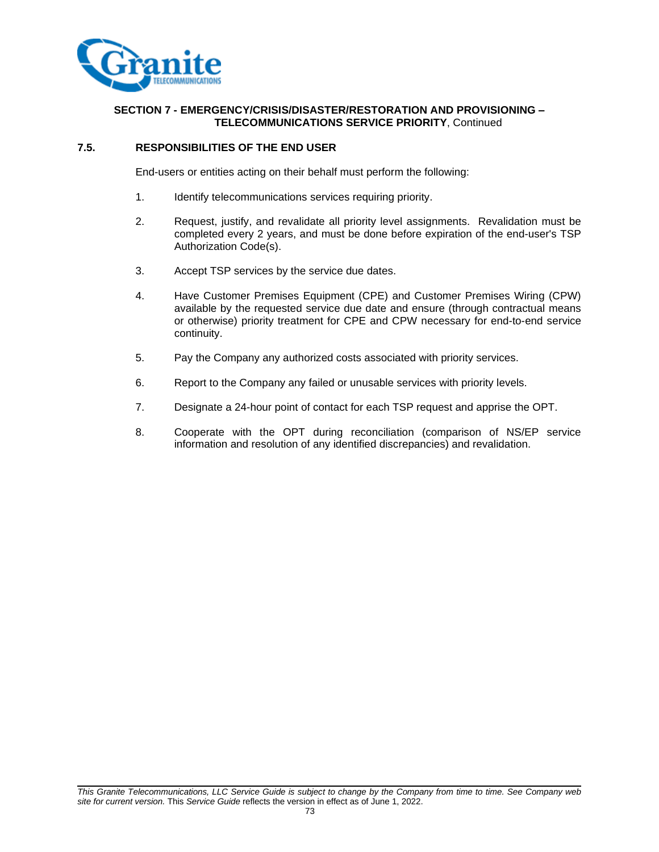

# **SECTION 7 - EMERGENCY/CRISIS/DISASTER/RESTORATION AND PROVISIONING – TELECOMMUNICATIONS SERVICE PRIORITY**, Continued

## **7.5. RESPONSIBILITIES OF THE END USER**

End-users or entities acting on their behalf must perform the following:

- 1. Identify telecommunications services requiring priority.
- 2. Request, justify, and revalidate all priority level assignments. Revalidation must be completed every 2 years, and must be done before expiration of the end-user's TSP Authorization Code(s).
- 3. Accept TSP services by the service due dates.
- 4. Have Customer Premises Equipment (CPE) and Customer Premises Wiring (CPW) available by the requested service due date and ensure (through contractual means or otherwise) priority treatment for CPE and CPW necessary for end-to-end service continuity.
- 5. Pay the Company any authorized costs associated with priority services.
- 6. Report to the Company any failed or unusable services with priority levels.
- 7. Designate a 24-hour point of contact for each TSP request and apprise the OPT.
- 8. Cooperate with the OPT during reconciliation (comparison of NS/EP service information and resolution of any identified discrepancies) and revalidation.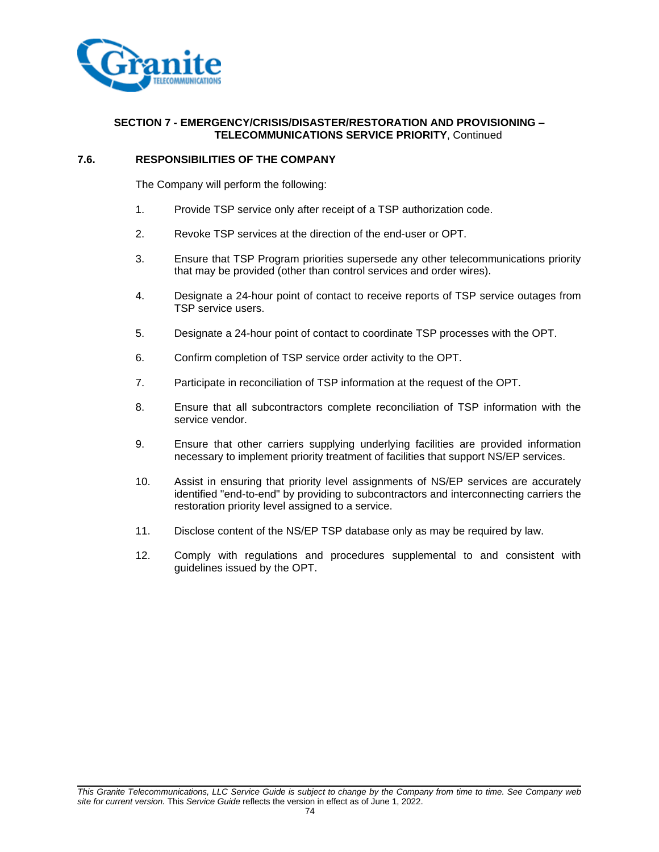

## **SECTION 7 - EMERGENCY/CRISIS/DISASTER/RESTORATION AND PROVISIONING – TELECOMMUNICATIONS SERVICE PRIORITY**, Continued

## **7.6. RESPONSIBILITIES OF THE COMPANY**

The Company will perform the following:

- 1. Provide TSP service only after receipt of a TSP authorization code.
- 2. Revoke TSP services at the direction of the end-user or OPT.
- 3. Ensure that TSP Program priorities supersede any other telecommunications priority that may be provided (other than control services and order wires).
- 4. Designate a 24-hour point of contact to receive reports of TSP service outages from TSP service users.
- 5. Designate a 24-hour point of contact to coordinate TSP processes with the OPT.
- 6. Confirm completion of TSP service order activity to the OPT.
- 7. Participate in reconciliation of TSP information at the request of the OPT.
- 8. Ensure that all subcontractors complete reconciliation of TSP information with the service vendor.
- 9. Ensure that other carriers supplying underlying facilities are provided information necessary to implement priority treatment of facilities that support NS/EP services.
- 10. Assist in ensuring that priority level assignments of NS/EP services are accurately identified "end-to-end" by providing to subcontractors and interconnecting carriers the restoration priority level assigned to a service.
- 11. Disclose content of the NS/EP TSP database only as may be required by law.
- 12. Comply with regulations and procedures supplemental to and consistent with guidelines issued by the OPT.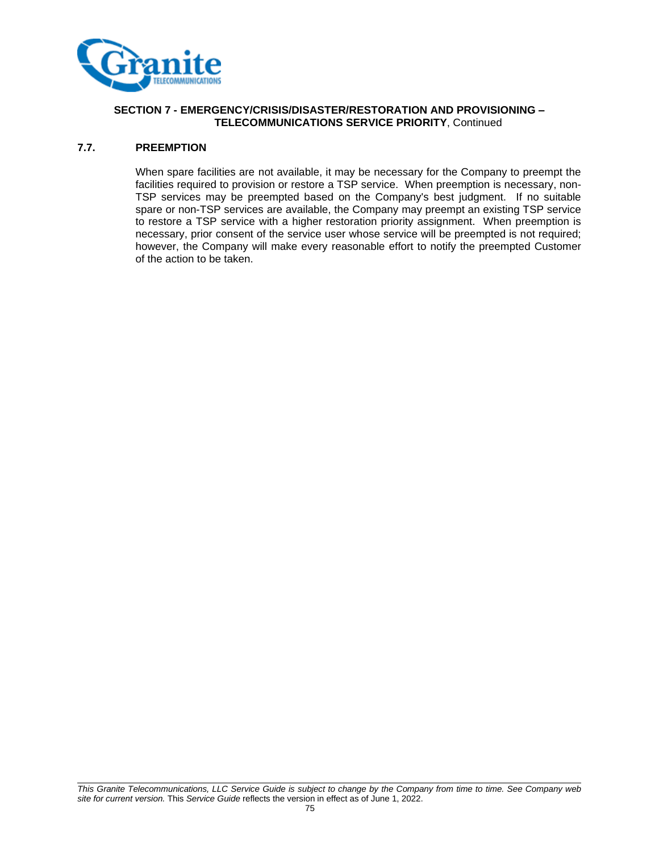

# **SECTION 7 - EMERGENCY/CRISIS/DISASTER/RESTORATION AND PROVISIONING – TELECOMMUNICATIONS SERVICE PRIORITY**, Continued

## **7.7. PREEMPTION**

When spare facilities are not available, it may be necessary for the Company to preempt the facilities required to provision or restore a TSP service. When preemption is necessary, non-TSP services may be preempted based on the Company's best judgment. If no suitable spare or non-TSP services are available, the Company may preempt an existing TSP service to restore a TSP service with a higher restoration priority assignment. When preemption is necessary, prior consent of the service user whose service will be preempted is not required; however, the Company will make every reasonable effort to notify the preempted Customer of the action to be taken.

*This Granite Telecommunications, LLC Service Guide is subject to change by the Company from time to time. See Company web site for current version.* This *Service Guide* reflects the version in effect as of June 1, 2022.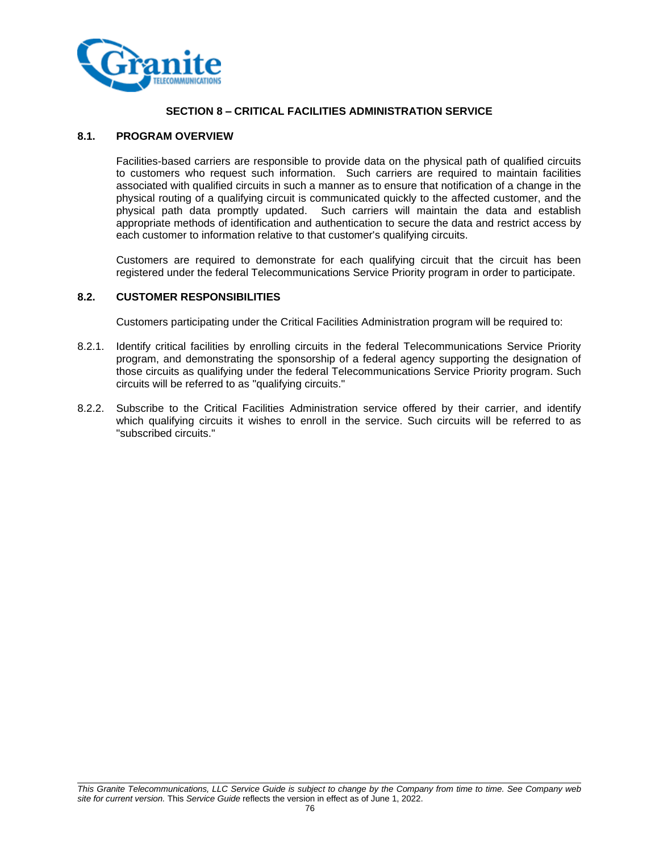

# **SECTION 8 – CRITICAL FACILITIES ADMINISTRATION SERVICE**

#### **8.1. PROGRAM OVERVIEW**

Facilities-based carriers are responsible to provide data on the physical path of qualified circuits to customers who request such information. Such carriers are required to maintain facilities associated with qualified circuits in such a manner as to ensure that notification of a change in the physical routing of a qualifying circuit is communicated quickly to the affected customer, and the physical path data promptly updated. Such carriers will maintain the data and establish appropriate methods of identification and authentication to secure the data and restrict access by each customer to information relative to that customer's qualifying circuits.

Customers are required to demonstrate for each qualifying circuit that the circuit has been registered under the federal Telecommunications Service Priority program in order to participate.

#### **8.2. CUSTOMER RESPONSIBILITIES**

Customers participating under the Critical Facilities Administration program will be required to:

- 8.2.1. Identify critical facilities by enrolling circuits in the federal Telecommunications Service Priority program, and demonstrating the sponsorship of a federal agency supporting the designation of those circuits as qualifying under the federal Telecommunications Service Priority program. Such circuits will be referred to as "qualifying circuits."
- 8.2.2. Subscribe to the Critical Facilities Administration service offered by their carrier, and identify which qualifying circuits it wishes to enroll in the service. Such circuits will be referred to as "subscribed circuits."